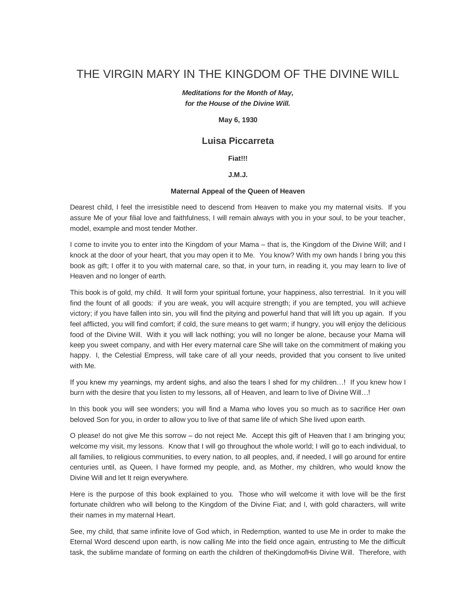# THE VIRGIN MARY IN THE KINGDOM OF THE DIVINE WILL

*Meditations for the Month of May, for the House of the Divine Will.*

### **May 6, 1930**

## **Luisa Piccarreta**

**Fiat!!!**

## **J.M.J.**

## **Maternal Appeal of the Queen of Heaven**

Dearest child, I feel the irresistible need to descend from Heaven to make you my maternal visits. If you assure Me of your filial love and faithfulness, I will remain always with you in your soul, to be your teacher, model, example and most tender Mother.

I come to invite you to enter into the Kingdom of your Mama – that is, the Kingdom of the Divine Will; and I knock at the door of your heart, that you may open it to Me. You know? With my own hands I bring you this book as gift; I offer it to you with maternal care, so that, in your turn, in reading it, you may learn to live of Heaven and no longer of earth.

This book is of gold, my child. It will form your spiritual fortune, your happiness, also terrestrial. In it you will find the fount of all goods: if you are weak, you will acquire strength; if you are tempted, you will achieve victory; if you have fallen into sin, you will find the pitying and powerful hand that will lift you up again. If you feel afflicted, you will find comfort; if cold, the sure means to get warm; if hungry, you will enjoy the delicious food of the Divine Will. With it you will lack nothing; you will no longer be alone, because your Mama will keep you sweet company, and with Her every maternal care She will take on the commitment of making you happy. I, the Celestial Empress, will take care of all your needs, provided that you consent to live united with Me.

If you knew my yearnings, my ardent sighs, and also the tears I shed for my children…! If you knew how I burn with the desire that you listen to my lessons, all of Heaven, and learn to live of Divine Will…!

In this book you will see wonders; you will find a Mama who loves you so much as to sacrifice Her own beloved Son for you, in order to allow you to live of that same life of which She lived upon earth.

O please! do not give Me this sorrow – do not reject Me. Accept this gift of Heaven that I am bringing you; welcome my visit, my lessons. Know that I will go throughout the whole world; I will go to each individual, to all families, to religious communities, to every nation, to all peoples, and, if needed, I will go around for entire centuries until, as Queen, I have formed my people, and, as Mother, my children, who would know the Divine Will and let It reign everywhere.

Here is the purpose of this book explained to you. Those who will welcome it with love will be the first fortunate children who will belong to the Kingdom of the Divine Fiat; and I, with gold characters, will write their names in my maternal Heart.

See, my child, that same infinite love of God which, in Redemption, wanted to use Me in order to make the Eternal Word descend upon earth, is now calling Me into the field once again, entrusting to Me the difficult task, the sublime mandate of forming on earth the children of theKingdomofHis Divine Will. Therefore, with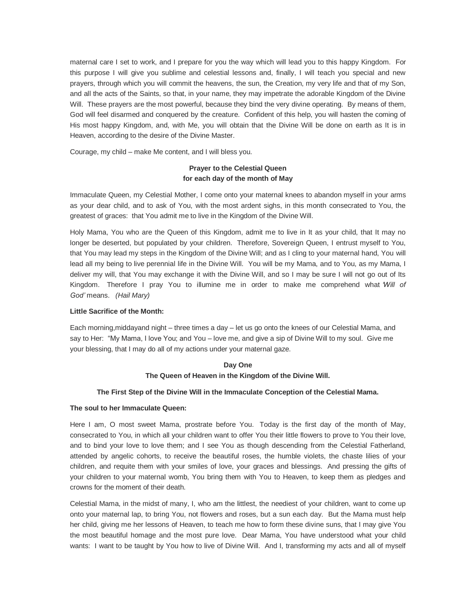maternal care I set to work, and I prepare for you the way which will lead you to this happy Kingdom. For this purpose I will give you sublime and celestial lessons and, finally, I will teach you special and new prayers, through which you will commit the heavens, the sun, the Creation, my very life and that of my Son, and all the acts of the Saints, so that, in your name, they may impetrate the adorable Kingdom of the Divine Will. These prayers are the most powerful, because they bind the very divine operating. By means of them, God will feel disarmed and conquered by the creature. Confident of this help, you will hasten the coming of His most happy Kingdom, and, with Me, you will obtain that the Divine Will be done on earth as It is in Heaven, according to the desire of the Divine Master.

Courage, my child – make Me content, and I will bless you.

## **Prayer to the Celestial Queen for each day of the month of May**

Immaculate Queen, my Celestial Mother, I come onto your maternal knees to abandon myself in your arms as your dear child, and to ask of You, with the most ardent sighs, in this month consecrated to You, the greatest of graces: that You admit me to live in the Kingdom of the Divine Will.

Holy Mama, You who are the Queen of this Kingdom, admit me to live in It as your child, that It may no longer be deserted, but populated by your children. Therefore, Sovereign Queen, I entrust myself to You, that You may lead my steps in the Kingdom of the Divine Will; and as I cling to your maternal hand, You will lead all my being to live perennial life in the Divine Will. You will be my Mama, and to You, as my Mama, I deliver my will, that You may exchange it with the Divine Will, and so I may be sure I will not go out of Its Kingdom. Therefore I pray You to illumine me in order to make me comprehend what *'Will of God'* means. *(Hail Mary)*

### **Little Sacrifice of the Month:**

Each morning,middayand night – three times a day – let us go onto the knees of our Celestial Mama, and say to Her: "My Mama, I love You; and You – love me, and give a sip of Divine Will to my soul. Give me your blessing, that I may do all of my actions under your maternal gaze.

## **Day One The Queen of Heaven in the Kingdom of the Divine Will.**

## **The First Step of the Divine Will in the Immaculate Conception of the Celestial Mama.**

#### **The soul to her Immaculate Queen:**

Here I am, O most sweet Mama, prostrate before You. Today is the first day of the month of May, consecrated to You, in which all your children want to offer You their little flowers to prove to You their love, and to bind your love to love them; and I see You as though descending from the Celestial Fatherland, attended by angelic cohorts, to receive the beautiful roses, the humble violets, the chaste lilies of your children, and requite them with your smiles of love, your graces and blessings. And pressing the gifts of your children to your maternal womb, You bring them with You to Heaven, to keep them as pledges and crowns for the moment of their death.

Celestial Mama, in the midst of many, I, who am the littlest, the neediest of your children, want to come up onto your maternal lap, to bring You, not flowers and roses, but a sun each day. But the Mama must help her child, giving me her lessons of Heaven, to teach me how to form these divine suns, that I may give You the most beautiful homage and the most pure love. Dear Mama, You have understood what your child wants: I want to be taught by You how to live of Divine Will. And I, transforming my acts and all of myself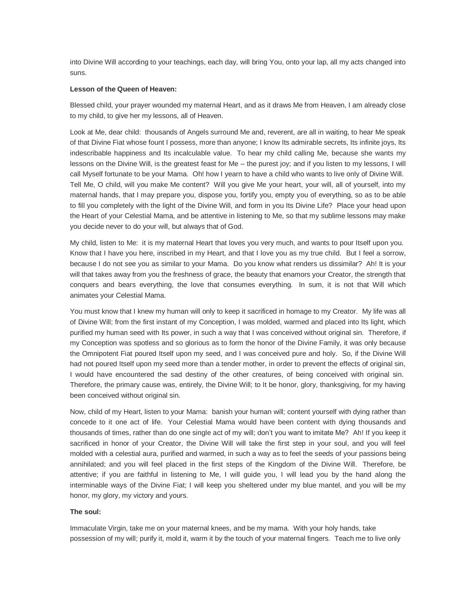into Divine Will according to your teachings, each day, will bring You, onto your lap, all my acts changed into suns.

## **Lesson of the Queen of Heaven:**

Blessed child, your prayer wounded my maternal Heart, and as it draws Me from Heaven, I am already close to my child, to give her my lessons, all of Heaven.

Look at Me, dear child: thousands of Angels surround Me and, reverent, are all in waiting, to hear Me speak of that Divine Fiat whose fount I possess, more than anyone; I know Its admirable secrets, Its infinite joys, Its indescribable happiness and Its incalculable value. To hear my child calling Me, because she wants my lessons on the Divine Will, is the greatest feast for Me – the purest joy; and if you listen to my lessons, I will call Myself fortunate to be your Mama. Oh! how I yearn to have a child who wants to live only of Divine Will. Tell Me, O child, will you make Me content? Will you give Me your heart, your will, all of yourself, into my maternal hands, that I may prepare you, dispose you, fortify you, empty you of everything, so as to be able to fill you completely with the light of the Divine Will, and form in you Its Divine Life? Place your head upon the Heart of your Celestial Mama, and be attentive in listening to Me, so that my sublime lessons may make you decide never to do your will, but always that of God.

My child, listen to Me: it is my maternal Heart that loves you very much, and wants to pour Itself upon you. Know that I have you here, inscribed in my Heart, and that I love you as my true child. But I feel a sorrow, because I do not see you as similar to your Mama. Do you know what renders us dissimilar? Ah! It is your will that takes away from you the freshness of grace, the beauty that enamors your Creator, the strength that conquers and bears everything, the love that consumes everything. In sum, it is not that Will which animates your Celestial Mama.

You must know that I knew my human will only to keep it sacrificed in homage to my Creator. My life was all of Divine Will; from the first instant of my Conception, I was molded, warmed and placed into Its light, which purified my human seed with Its power, in such a way that I was conceived without original sin. Therefore, if my Conception was spotless and so glorious as to form the honor of the Divine Family, it was only because the Omnipotent Fiat poured Itself upon my seed, and I was conceived pure and holy. So, if the Divine Will had not poured Itself upon my seed more than a tender mother, in order to prevent the effects of original sin, I would have encountered the sad destiny of the other creatures, of being conceived with original sin. Therefore, the primary cause was, entirely, the Divine Will; to It be honor, glory, thanksgiving, for my having been conceived without original sin.

Now, child of my Heart, listen to your Mama: banish your human will; content yourself with dying rather than concede to it one act of life. Your Celestial Mama would have been content with dying thousands and thousands of times, rather than do one single act of my will; don't you want to imitate Me? Ah! If you keep it sacrificed in honor of your Creator, the Divine Will will take the first step in your soul, and you will feel molded with a celestial aura, purified and warmed, in such a way as to feel the seeds of your passions being annihilated; and you will feel placed in the first steps of the Kingdom of the Divine Will. Therefore, be attentive; if you are faithful in listening to Me, I will guide you, I will lead you by the hand along the interminable ways of the Divine Fiat; I will keep you sheltered under my blue mantel, and you will be my honor, my glory, my victory and yours.

## **The soul:**

Immaculate Virgin, take me on your maternal knees, and be my mama. With your holy hands, take possession of my will; purify it, mold it, warm it by the touch of your maternal fingers. Teach me to live only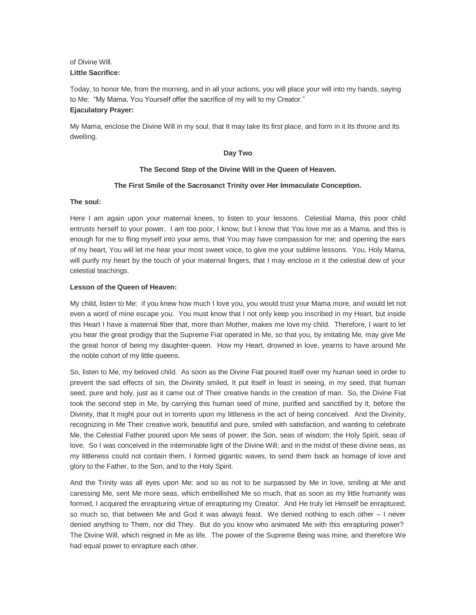## of Divine Will. **Little Sacrifice:**

Today, to honor Me, from the morning, and in all your actions, you will place your will into my hands, saying to Me: "My Mama, You Yourself offer the sacrifice of my will to my Creator."

## **Ejaculatory Prayer:**

My Mama, enclose the Divine Will in my soul, that It may take Its first place, and form in it Its throne and Its dwelling.

## **Day Two**

## **The Second Step of the Divine Will in the Queen of Heaven.**

## **The First Smile of the Sacrosanct Trinity over Her Immaculate Conception.**

## **The soul:**

Here I am again upon your maternal knees, to listen to your lessons. Celestial Mama, this poor child entrusts herself to your power. I am too poor, I know; but I know that You love me as a Mama, and this is enough for me to fling myself into your arms, that You may have compassion for me; and opening the ears of my heart, You will let me hear your most sweet voice, to give me your sublime lessons. You, Holy Mama, will purify my heart by the touch of your maternal fingers, that I may enclose in it the celestial dew of your celestial teachings.

## **Lesson of the Queen of Heaven:**

My child, listen to Me: if you knew how much I love you, you would trust your Mama more, and would let not even a word of mine escape you. You must know that I not only keep you inscribed in my Heart, but inside this Heart I have a maternal fiber that, more than Mother, makes me love my child. Therefore, I want to let you hear the great prodigy that the Supreme Fiat operated in Me, so that you, by imitating Me, may give Me the great honor of being my daughter-queen. How my Heart, drowned in love, yearns to have around Me the noble cohort of my little queens.

So, listen to Me, my beloved child. As soon as the Divine Fiat poured Itself over my human seed in order to prevent the sad effects of sin, the Divinity smiled, It put Itself in feast in seeing, in my seed, that human seed, pure and holy, just as it came out of Their creative hands in the creation of man. So, the Divine Fiat took the second step in Me, by carrying this human seed of mine, purified and sanctified by It, before the Divinity, that It might pour out in torrents upon my littleness in the act of being conceived. And the Divinity, recognizing in Me Their creative work, beautiful and pure, smiled with satisfaction, and wanting to celebrate Me, the Celestial Father poured upon Me seas of power; the Son, seas of wisdom; the Holy Spirit, seas of love. So I was conceived in the interminable light of the Divine Will; and in the midst of these divine seas, as my littleness could not contain them, I formed gigantic waves, to send them back as homage of love and glory to the Father, to the Son, and to the Holy Spirit.

And the Trinity was all eyes upon Me; and so as not to be surpassed by Me in love, smiling at Me and caressing Me, sent Me more seas, which embellished Me so much, that as soon as my little humanity was formed, I acquired the enrapturing virtue of enrapturing my Creator. And He truly let Himself be enraptured; so much so, that between Me and God it was always feast. We denied nothing to each other – I never denied anything to Them, nor did They. But do you know who animated Me with this enrapturing power? The Divine Will, which reigned in Me as life. The power of the Supreme Being was mine, and therefore We had equal power to enrapture each other.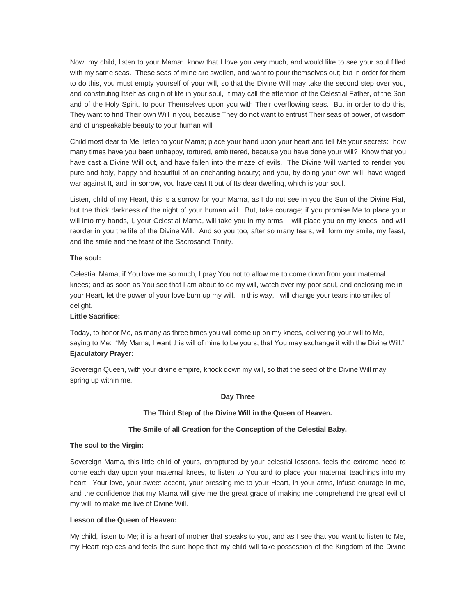Now, my child, listen to your Mama: know that I love you very much, and would like to see your soul filled with my same seas. These seas of mine are swollen, and want to pour themselves out; but in order for them to do this, you must empty yourself of your will, so that the Divine Will may take the second step over you, and constituting Itself as origin of life in your soul, It may call the attention of the Celestial Father, of the Son and of the Holy Spirit, to pour Themselves upon you with Their overflowing seas. But in order to do this, They want to find Their own Will in you, because They do not want to entrust Their seas of power, of wisdom and of unspeakable beauty to your human will

Child most dear to Me, listen to your Mama; place your hand upon your heart and tell Me your secrets: how many times have you been unhappy, tortured, embittered, because you have done your will? Know that you have cast a Divine Will out, and have fallen into the maze of evils. The Divine Will wanted to render you pure and holy, happy and beautiful of an enchanting beauty; and you, by doing your own will, have waged war against It, and, in sorrow, you have cast It out of Its dear dwelling, which is your soul.

Listen, child of my Heart, this is a sorrow for your Mama, as I do not see in you the Sun of the Divine Fiat, but the thick darkness of the night of your human will. But, take courage; if you promise Me to place your will into my hands, I, your Celestial Mama, will take you in my arms; I will place you on my knees, and will reorder in you the life of the Divine Will. And so you too, after so many tears, will form my smile, my feast, and the smile and the feast of the Sacrosanct Trinity.

## **The soul:**

Celestial Mama, if You love me so much, I pray You not to allow me to come down from your maternal knees; and as soon as You see that I am about to do my will, watch over my poor soul, and enclosing me in your Heart, let the power of your love burn up my will. In this way, I will change your tears into smiles of delight.

## **Little Sacrifice:**

Today, to honor Me, as many as three times you will come up on my knees, delivering your will to Me, saying to Me: "My Mama, I want this will of mine to be yours, that You may exchange it with the Divine Will." **Ejaculatory Prayer:**

Sovereign Queen, with your divine empire, knock down my will, so that the seed of the Divine Will may spring up within me.

## **Day Three**

#### **The Third Step of the Divine Will in the Queen of Heaven.**

## **The Smile of all Creation for the Conception of the Celestial Baby.**

#### **The soul to the Virgin:**

Sovereign Mama, this little child of yours, enraptured by your celestial lessons, feels the extreme need to come each day upon your maternal knees, to listen to You and to place your maternal teachings into my heart. Your love, your sweet accent, your pressing me to your Heart, in your arms, infuse courage in me, and the confidence that my Mama will give me the great grace of making me comprehend the great evil of my will, to make me live of Divine Will.

#### **Lesson of the Queen of Heaven:**

My child, listen to Me; it is a heart of mother that speaks to you, and as I see that you want to listen to Me, my Heart rejoices and feels the sure hope that my child will take possession of the Kingdom of the Divine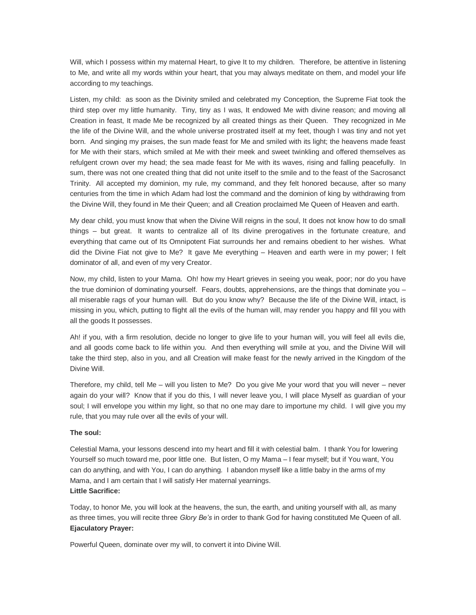Will, which I possess within my maternal Heart, to give It to my children. Therefore, be attentive in listening to Me, and write all my words within your heart, that you may always meditate on them, and model your life according to my teachings.

Listen, my child: as soon as the Divinity smiled and celebrated my Conception, the Supreme Fiat took the third step over my little humanity. Tiny, tiny as I was, It endowed Me with divine reason; and moving all Creation in feast, It made Me be recognized by all created things as their Queen. They recognized in Me the life of the Divine Will, and the whole universe prostrated itself at my feet, though I was tiny and not yet born. And singing my praises, the sun made feast for Me and smiled with its light; the heavens made feast for Me with their stars, which smiled at Me with their meek and sweet twinkling and offered themselves as refulgent crown over my head; the sea made feast for Me with its waves, rising and falling peacefully. In sum, there was not one created thing that did not unite itself to the smile and to the feast of the Sacrosanct Trinity. All accepted my dominion, my rule, my command, and they felt honored because, after so many centuries from the time in which Adam had lost the command and the dominion of king by withdrawing from the Divine Will, they found in Me their Queen; and all Creation proclaimed Me Queen of Heaven and earth.

My dear child, you must know that when the Divine Will reigns in the soul, It does not know how to do small things – but great. It wants to centralize all of Its divine prerogatives in the fortunate creature, and everything that came out of Its Omnipotent Fiat surrounds her and remains obedient to her wishes. What did the Divine Fiat not give to Me? It gave Me everything – Heaven and earth were in my power; I felt dominator of all, and even of my very Creator.

Now, my child, listen to your Mama. Oh! how my Heart grieves in seeing you weak, poor; nor do you have the true dominion of dominating yourself. Fears, doubts, apprehensions, are the things that dominate you – all miserable rags of your human will. But do you know why? Because the life of the Divine Will, intact, is missing in you, which, putting to flight all the evils of the human will, may render you happy and fill you with all the goods It possesses.

Ah! if you, with a firm resolution, decide no longer to give life to your human will, you will feel all evils die, and all goods come back to life within you. And then everything will smile at you, and the Divine Will will take the third step, also in you, and all Creation will make feast for the newly arrived in the Kingdom of the Divine Will.

Therefore, my child, tell Me – will you listen to Me? Do you give Me your word that you will never – never again do your will? Know that if you do this, I will never leave you, I will place Myself as guardian of your soul; I will envelope you within my light, so that no one may dare to importune my child. I will give you my rule, that you may rule over all the evils of your will.

#### **The soul:**

Celestial Mama, your lessons descend into my heart and fill it with celestial balm. I thank You for lowering Yourself so much toward me, poor little one. But listen, O my Mama – I fear myself; but if You want, You can do anything, and with You, I can do anything. I abandon myself like a little baby in the arms of my Mama, and I am certain that I will satisfy Her maternal yearnings.

## **Little Sacrifice:**

Today, to honor Me, you will look at the heavens, the sun, the earth, and uniting yourself with all, as many as three times, you will recite three *Glory Be's* in order to thank God for having constituted Me Queen of all. **Ejaculatory Prayer:**

Powerful Queen, dominate over my will, to convert it into Divine Will.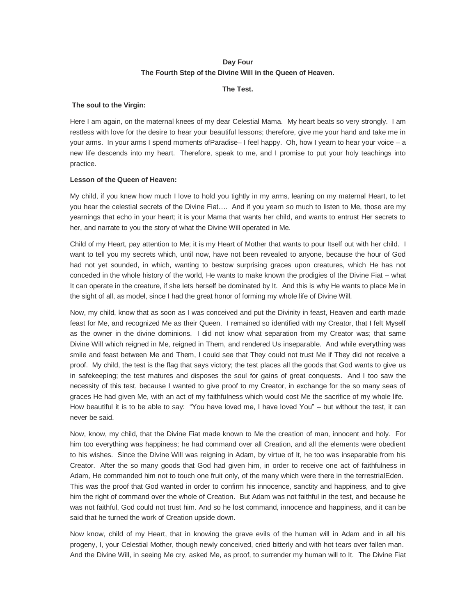## **Day Four The Fourth Step of the Divine Will in the Queen of Heaven.**

## **The Test.**

### **The soul to the Virgin:**

Here I am again, on the maternal knees of my dear Celestial Mama. My heart beats so very strongly. I am restless with love for the desire to hear your beautiful lessons; therefore, give me your hand and take me in your arms. In your arms I spend moments ofParadise– I feel happy. Oh, how I yearn to hear your voice – a new life descends into my heart. Therefore, speak to me, and I promise to put your holy teachings into practice.

#### **Lesson of the Queen of Heaven:**

My child, if you knew how much I love to hold you tightly in my arms, leaning on my maternal Heart, to let you hear the celestial secrets of the Divine Fiat…. And if you yearn so much to listen to Me, those are my yearnings that echo in your heart; it is your Mama that wants her child, and wants to entrust Her secrets to her, and narrate to you the story of what the Divine Will operated in Me.

Child of my Heart, pay attention to Me; it is my Heart of Mother that wants to pour Itself out with her child. I want to tell you my secrets which, until now, have not been revealed to anyone, because the hour of God had not yet sounded, in which, wanting to bestow surprising graces upon creatures, which He has not conceded in the whole history of the world, He wants to make known the prodigies of the Divine Fiat – what It can operate in the creature, if she lets herself be dominated by It. And this is why He wants to place Me in the sight of all, as model, since I had the great honor of forming my whole life of Divine Will.

Now, my child, know that as soon as I was conceived and put the Divinity in feast, Heaven and earth made feast for Me, and recognized Me as their Queen. I remained so identified with my Creator, that I felt Myself as the owner in the divine dominions. I did not know what separation from my Creator was; that same Divine Will which reigned in Me, reigned in Them, and rendered Us inseparable. And while everything was smile and feast between Me and Them, I could see that They could not trust Me if They did not receive a proof. My child, the test is the flag that says victory; the test places all the goods that God wants to give us in safekeeping; the test matures and disposes the soul for gains of great conquests. And I too saw the necessity of this test, because I wanted to give proof to my Creator, in exchange for the so many seas of graces He had given Me, with an act of my faithfulness which would cost Me the sacrifice of my whole life. How beautiful it is to be able to say: "You have loved me, I have loved You" – but without the test, it can never be said.

Now, know, my child, that the Divine Fiat made known to Me the creation of man, innocent and holy. For him too everything was happiness; he had command over all Creation, and all the elements were obedient to his wishes. Since the Divine Will was reigning in Adam, by virtue of It, he too was inseparable from his Creator. After the so many goods that God had given him, in order to receive one act of faithfulness in Adam, He commanded him not to touch one fruit only, of the many which were there in the terrestrialEden. This was the proof that God wanted in order to confirm his innocence, sanctity and happiness, and to give him the right of command over the whole of Creation. But Adam was not faithful in the test, and because he was not faithful, God could not trust him. And so he lost command, innocence and happiness, and it can be said that he turned the work of Creation upside down.

Now know, child of my Heart, that in knowing the grave evils of the human will in Adam and in all his progeny, I, your Celestial Mother, though newly conceived, cried bitterly and with hot tears over fallen man. And the Divine Will, in seeing Me cry, asked Me, as proof, to surrender my human will to It. The Divine Fiat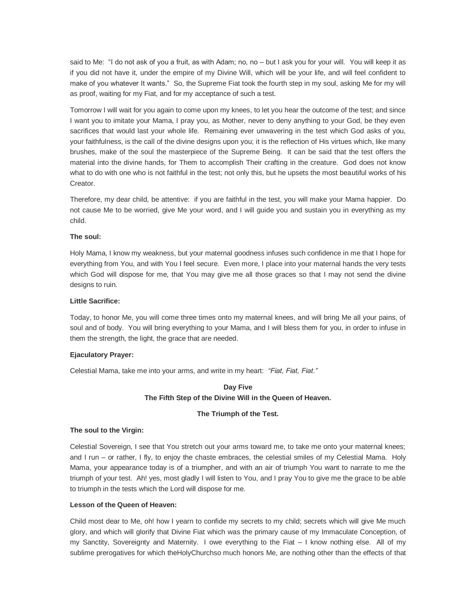said to Me: "I do not ask of you a fruit, as with Adam; no, no – but I ask you for your will. You will keep it as if you did not have it, under the empire of my Divine Will, which will be your life, and will feel confident to make of you whatever It wants." So, the Supreme Fiat took the fourth step in my soul, asking Me for my will as proof, waiting for my Fiat, and for my acceptance of such a test.

Tomorrow I will wait for you again to come upon my knees, to let you hear the outcome of the test; and since I want you to imitate your Mama, I pray you, as Mother, never to deny anything to your God, be they even sacrifices that would last your whole life. Remaining ever unwavering in the test which God asks of you, your faithfulness, is the call of the divine designs upon you; it is the reflection of His virtues which, like many brushes, make of the soul the masterpiece of the Supreme Being. It can be said that the test offers the material into the divine hands, for Them to accomplish Their crafting in the creature. God does not know what to do with one who is not faithful in the test; not only this, but he upsets the most beautiful works of his Creator.

Therefore, my dear child, be attentive: if you are faithful in the test, you will make your Mama happier. Do not cause Me to be worried, give Me your word, and I will guide you and sustain you in everything as my child.

## **The soul:**

Holy Mama, I know my weakness, but your maternal goodness infuses such confidence in me that I hope for everything from You, and with You I feel secure. Even more, I place into your maternal hands the very tests which God will dispose for me, that You may give me all those graces so that I may not send the divine designs to ruin.

#### **Little Sacrifice:**

Today, to honor Me, you will come three times onto my maternal knees, and will bring Me all your pains, of soul and of body. You will bring everything to your Mama, and I will bless them for you, in order to infuse in them the strength, the light, the grace that are needed.

## **Ejaculatory Prayer:**

Celestial Mama, take me into your arms, and write in my heart: *"Fiat, Fiat, Fiat."*

## **Day Five The Fifth Step of the Divine Will in the Queen of Heaven.**

#### **The Triumph of the Test.**

#### **The soul to the Virgin:**

Celestial Sovereign, I see that You stretch out your arms toward me, to take me onto your maternal knees; and I run – or rather, I fly, to enjoy the chaste embraces, the celestial smiles of my Celestial Mama. Holy Mama, your appearance today is of a triumpher, and with an air of triumph You want to narrate to me the triumph of your test. Ah! yes, most gladly I will listen to You, and I pray You to give me the grace to be able to triumph in the tests which the Lord will dispose for me.

## **Lesson of the Queen of Heaven:**

Child most dear to Me, oh! how I yearn to confide my secrets to my child; secrets which will give Me much glory, and which will glorify that Divine Fiat which was the primary cause of my Immaculate Conception, of my Sanctity, Sovereignty and Maternity. I owe everything to the Fiat – I know nothing else. All of my sublime prerogatives for which theHolyChurchso much honors Me, are nothing other than the effects of that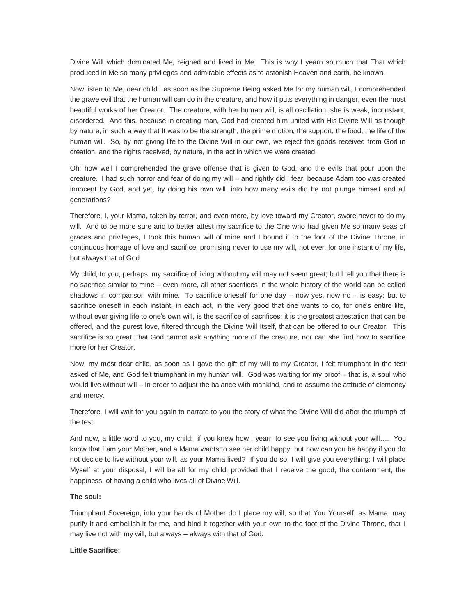Divine Will which dominated Me, reigned and lived in Me. This is why I yearn so much that That which produced in Me so many privileges and admirable effects as to astonish Heaven and earth, be known.

Now listen to Me, dear child: as soon as the Supreme Being asked Me for my human will, I comprehended the grave evil that the human will can do in the creature, and how it puts everything in danger, even the most beautiful works of her Creator. The creature, with her human will, is all oscillation; she is weak, inconstant, disordered. And this, because in creating man, God had created him united with His Divine Will as though by nature, in such a way that It was to be the strength, the prime motion, the support, the food, the life of the human will. So, by not giving life to the Divine Will in our own, we reject the goods received from God in creation, and the rights received, by nature, in the act in which we were created.

Oh! how well I comprehended the grave offense that is given to God, and the evils that pour upon the creature. I had such horror and fear of doing my will – and rightly did I fear, because Adam too was created innocent by God, and yet, by doing his own will, into how many evils did he not plunge himself and all generations?

Therefore, I, your Mama, taken by terror, and even more, by love toward my Creator, swore never to do my will. And to be more sure and to better attest my sacrifice to the One who had given Me so many seas of graces and privileges, I took this human will of mine and I bound it to the foot of the Divine Throne, in continuous homage of love and sacrifice, promising never to use my will, not even for one instant of my life, but always that of God.

My child, to you, perhaps, my sacrifice of living without my will may not seem great; but I tell you that there is no sacrifice similar to mine – even more, all other sacrifices in the whole history of the world can be called shadows in comparison with mine. To sacrifice oneself for one day  $-$  now yes, now no  $-$  is easy; but to sacrifice oneself in each instant, in each act, in the very good that one wants to do, for one's entire life, without ever giving life to one's own will, is the sacrifice of sacrifices; it is the greatest attestation that can be offered, and the purest love, filtered through the Divine Will Itself, that can be offered to our Creator. This sacrifice is so great, that God cannot ask anything more of the creature, nor can she find how to sacrifice more for her Creator.

Now, my most dear child, as soon as I gave the gift of my will to my Creator, I felt triumphant in the test asked of Me, and God felt triumphant in my human will. God was waiting for my proof – that is, a soul who would live without will – in order to adjust the balance with mankind, and to assume the attitude of clemency and mercy.

Therefore, I will wait for you again to narrate to you the story of what the Divine Will did after the triumph of the test.

And now, a little word to you, my child: if you knew how I yearn to see you living without your will…. You know that I am your Mother, and a Mama wants to see her child happy; but how can you be happy if you do not decide to live without your will, as your Mama lived? If you do so, I will give you everything; I will place Myself at your disposal, I will be all for my child, provided that I receive the good, the contentment, the happiness, of having a child who lives all of Divine Will.

### **The soul:**

Triumphant Sovereign, into your hands of Mother do I place my will, so that You Yourself, as Mama, may purify it and embellish it for me, and bind it together with your own to the foot of the Divine Throne, that I may live not with my will, but always – always with that of God.

## **Little Sacrifice:**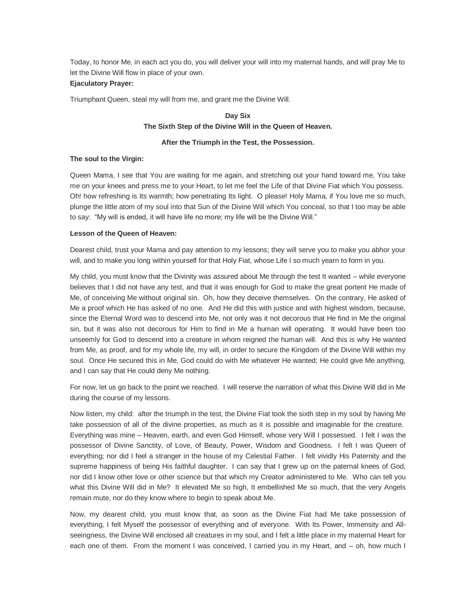Today, to honor Me, in each act you do, you will deliver your will into my maternal hands, and will pray Me to let the Divine Will flow in place of your own.

## **Ejaculatory Prayer:**

Triumphant Queen, steal my will from me, and grant me the Divine Will.

## **Day Six The Sixth Step of the Divine Will in the Queen of Heaven.**

## **After the Triumph in the Test, the Possession.**

## **The soul to the Virgin:**

Queen Mama, I see that You are waiting for me again, and stretching out your hand toward me, You take me on your knees and press me to your Heart, to let me feel the Life of that Divine Fiat which You possess. Oh! how refreshing is Its warmth; how penetrating Its light. O please! Holy Mama, if You love me so much, plunge the little atom of my soul into that Sun of the Divine Will which You conceal, so that I too may be able to say: "My will is ended, it will have life no more; my life will be the Divine Will."

## **Lesson of the Queen of Heaven:**

Dearest child, trust your Mama and pay attention to my lessons; they will serve you to make you abhor your will, and to make you long within yourself for that Holy Fiat, whose Life I so much yearn to form in you.

My child, you must know that the Divinity was assured about Me through the test It wanted – while everyone believes that I did not have any test, and that it was enough for God to make the great portent He made of Me, of conceiving Me without original sin. Oh, how they deceive themselves. On the contrary, He asked of Me a proof which He has asked of no one. And He did this with justice and with highest wisdom, because, since the Eternal Word was to descend into Me, not only was it not decorous that He find in Me the original sin, but it was also not decorous for Him to find in Me a human will operating. It would have been too unseemly for God to descend into a creature in whom reigned the human will. And this is why He wanted from Me, as proof, and for my whole life, my will, in order to secure the Kingdom of the Divine Will within my soul. Once He secured this in Me, God could do with Me whatever He wanted; He could give Me anything, and I can say that He could deny Me nothing.

For now, let us go back to the point we reached. I will reserve the narration of what this Divine Will did in Me during the course of my lessons.

Now listen, my child: after the triumph in the test, the Divine Fiat took the sixth step in my soul by having Me take possession of all of the divine properties, as much as it is possible and imaginable for the creature. Everything was mine – Heaven, earth, and even God Himself, whose very Will I possessed. I felt I was the possessor of Divine Sanctity, of Love, of Beauty, Power, Wisdom and Goodness. I felt I was Queen of everything; nor did I feel a stranger in the house of my Celestial Father. I felt vividly His Paternity and the supreme happiness of being His faithful daughter. I can say that I grew up on the paternal knees of God, nor did I know other love or other science but that which my Creator administered to Me. Who can tell you what this Divine Will did in Me? It elevated Me so high, It embellished Me so much, that the very Angels remain mute, nor do they know where to begin to speak about Me.

Now, my dearest child, you must know that, as soon as the Divine Fiat had Me take possession of everything, I felt Myself the possessor of everything and of everyone. With Its Power, Immensity and Allseeingness, the Divine Will enclosed all creatures in my soul, and I felt a little place in my maternal Heart for each one of them. From the moment I was conceived, I carried you in my Heart, and – oh, how much I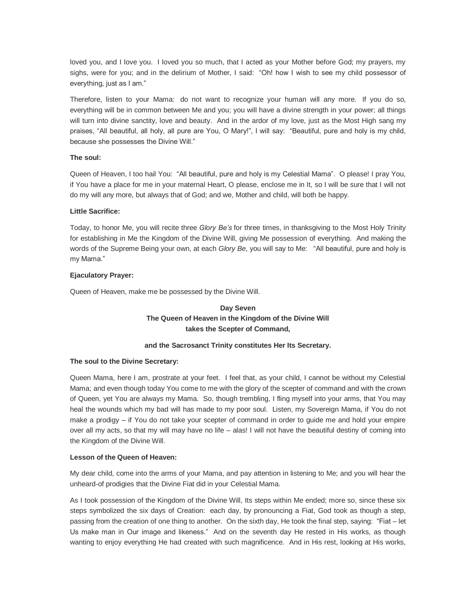loved you, and I love you. I loved you so much, that I acted as your Mother before God; my prayers, my sighs, were for you; and in the delirium of Mother, I said: "Oh! how I wish to see my child possessor of everything, just as I am."

Therefore, listen to your Mama: do not want to recognize your human will any more. If you do so, everything will be in common between Me and you; you will have a divine strength in your power; all things will turn into divine sanctity, love and beauty. And in the ardor of my love, just as the Most High sang my praises, "All beautiful, all holy, all pure are You, O Mary!", I will say: "Beautiful, pure and holy is my child, because she possesses the Divine Will."

## **The soul:**

Queen of Heaven, I too hail You: "All beautiful, pure and holy is my Celestial Mama". O please! I pray You, if You have a place for me in your maternal Heart, O please, enclose me in It, so I will be sure that I will not do my will any more, but always that of God; and we, Mother and child, will both be happy.

## **Little Sacrifice:**

Today, to honor Me, you will recite three *Glory Be's* for three times, in thanksgiving to the Most Holy Trinity for establishing in Me the Kingdom of the Divine Will, giving Me possession of everything. And making the words of the Supreme Being your own, at each *Glory Be*, you will say to Me: "All beautiful, pure and holy is my Mama."

## **Ejaculatory Prayer:**

Queen of Heaven, make me be possessed by the Divine Will.

## **Day Seven The Queen of Heaven in the Kingdom of the Divine Will takes the Scepter of Command,**

## **and the Sacrosanct Trinity constitutes Her Its Secretary.**

## **The soul to the Divine Secretary:**

Queen Mama, here I am, prostrate at your feet. I feel that, as your child, I cannot be without my Celestial Mama; and even though today You come to me with the glory of the scepter of command and with the crown of Queen, yet You are always my Mama. So, though trembling, I fling myself into your arms, that You may heal the wounds which my bad will has made to my poor soul. Listen, my Sovereign Mama, if You do not make a prodigy – if You do not take your scepter of command in order to guide me and hold your empire over all my acts, so that my will may have no life – alas! I will not have the beautiful destiny of coming into the Kingdom of the Divine Will.

## **Lesson of the Queen of Heaven:**

My dear child, come into the arms of your Mama, and pay attention in listening to Me; and you will hear the unheard-of prodigies that the Divine Fiat did in your Celestial Mama.

As I took possession of the Kingdom of the Divine Will, Its steps within Me ended; more so, since these six steps symbolized the six days of Creation: each day, by pronouncing a Fiat, God took as though a step, passing from the creation of one thing to another. On the sixth day, He took the final step, saying: "Fiat – let Us make man in Our image and likeness." And on the seventh day He rested in His works, as though wanting to enjoy everything He had created with such magnificence. And in His rest, looking at His works,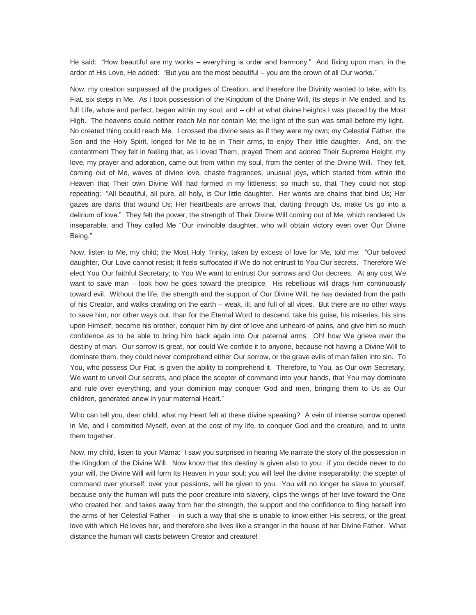He said: "How beautiful are my works – everything is order and harmony." And fixing upon man, in the ardor of His Love, He added: "But you are the most beautiful – you are the crown of all Our works."

Now, my creation surpassed all the prodigies of Creation, and therefore the Divinity wanted to take, with Its Fiat, six steps in Me. As I took possession of the Kingdom of the Divine Will, Its steps in Me ended, and Its full Life, whole and perfect, began within my soul; and – oh! at what divine heights I was placed by the Most High. The heavens could neither reach Me nor contain Me; the light of the sun was small before my light. No created thing could reach Me. I crossed the divine seas as if they were my own; my Celestial Father, the Son and the Holy Spirit, longed for Me to be in Their arms, to enjoy Their little daughter. And, oh! the contentment They felt in feeling that, as I loved Them, prayed Them and adored Their Supreme Height, my love, my prayer and adoration, came out from within my soul, from the center of the Divine Will. They felt, coming out of Me, waves of divine love, chaste fragrances, unusual joys, which started from within the Heaven that Their own Divine Will had formed in my littleness; so much so, that They could not stop repeating: "All beautiful, all pure, all holy, is Our little daughter. Her words are chains that bind Us; Her gazes are darts that wound Us; Her heartbeats are arrows that, darting through Us, make Us go into a delirium of love." They felt the power, the strength of Their Divine Will coming out of Me, which rendered Us inseparable; and They called Me "Our invincible daughter, who will obtain victory even over Our Divine Being."

Now, listen to Me, my child; the Most Holy Trinity, taken by excess of love for Me, told me: "Our beloved daughter, Our Love cannot resist; It feels suffocated if We do not entrust to You Our secrets. Therefore We elect You Our faithful Secretary; to You We want to entrust Our sorrows and Our decrees. At any cost We want to save man – look how he goes toward the precipice. His rebellious will drags him continuously toward evil. Without the life, the strength and the support of Our Divine Will, he has deviated from the path of his Creator, and walks crawling on the earth – weak, ill, and full of all vices. But there are no other ways to save him, nor other ways out, than for the Eternal Word to descend, take his guise, his miseries, his sins upon Himself; become his brother, conquer him by dint of love and unheard-of pains, and give him so much confidence as to be able to bring him back again into Our paternal arms. Oh! how We grieve over the destiny of man. Our sorrow is great, nor could We confide it to anyone, because not having a Divine Will to dominate them, they could never comprehend either Our sorrow, or the grave evils of man fallen into sin. To You, who possess Our Fiat, is given the ability to comprehend it. Therefore, to You, as Our own Secretary, We want to unveil Our secrets, and place the scepter of command into your hands, that You may dominate and rule over everything, and your dominion may conquer God and men, bringing them to Us as Our children, generated anew in your maternal Heart."

Who can tell you, dear child, what my Heart felt at these divine speaking? A vein of intense sorrow opened in Me, and I committed Myself, even at the cost of my life, to conquer God and the creature, and to unite them together.

Now, my child, listen to your Mama: I saw you surprised in hearing Me narrate the story of the possession in the Kingdom of the Divine Will. Now know that this destiny is given also to you: if you decide never to do your will, the Divine Will will form Its Heaven in your soul; you will feel the divine inseparability; the scepter of command over yourself, over your passions, will be given to you. You will no longer be slave to yourself, because only the human will puts the poor creature into slavery, clips the wings of her love toward the One who created her, and takes away from her the strength, the support and the confidence to fling herself into the arms of her Celestial Father – in such a way that she is unable to know either His secrets, or the great love with which He loves her, and therefore she lives like a stranger in the house of her Divine Father. What distance the human will casts between Creator and creature!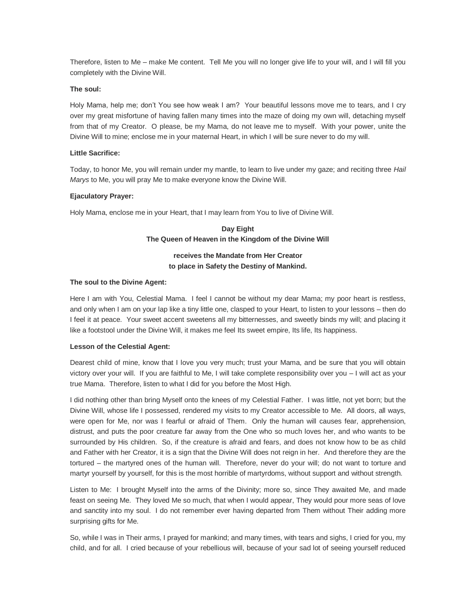Therefore, listen to Me – make Me content. Tell Me you will no longer give life to your will, and I will fill you completely with the Divine Will.

## **The soul:**

Holy Mama, help me; don't You see how weak I am? Your beautiful lessons move me to tears, and I cry over my great misfortune of having fallen many times into the maze of doing my own will, detaching myself from that of my Creator. O please, be my Mama, do not leave me to myself. With your power, unite the Divine Will to mine; enclose me in your maternal Heart, in which I will be sure never to do my will.

## **Little Sacrifice:**

Today, to honor Me, you will remain under my mantle, to learn to live under my gaze; and reciting three *Hail Marys* to Me, you will pray Me to make everyone know the Divine Will.

#### **Ejaculatory Prayer:**

Holy Mama, enclose me in your Heart, that I may learn from You to live of Divine Will.

## **Day Eight The Queen of Heaven in the Kingdom of the Divine Will**

## **receives the Mandate from Her Creator to place in Safety the Destiny of Mankind.**

### **The soul to the Divine Agent:**

Here I am with You, Celestial Mama. I feel I cannot be without my dear Mama; my poor heart is restless, and only when I am on your lap like a tiny little one, clasped to your Heart, to listen to your lessons – then do I feel it at peace. Your sweet accent sweetens all my bitternesses, and sweetly binds my will; and placing it like a footstool under the Divine Will, it makes me feel Its sweet empire, Its life, Its happiness.

## **Lesson of the Celestial Agent:**

Dearest child of mine, know that I love you very much; trust your Mama, and be sure that you will obtain victory over your will. If you are faithful to Me, I will take complete responsibility over you – I will act as your true Mama. Therefore, listen to what I did for you before the Most High.

I did nothing other than bring Myself onto the knees of my Celestial Father. I was little, not yet born; but the Divine Will, whose life I possessed, rendered my visits to my Creator accessible to Me. All doors, all ways, were open for Me, nor was I fearful or afraid of Them. Only the human will causes fear, apprehension, distrust, and puts the poor creature far away from the One who so much loves her, and who wants to be surrounded by His children. So, if the creature is afraid and fears, and does not know how to be as child and Father with her Creator, it is a sign that the Divine Will does not reign in her. And therefore they are the tortured – the martyred ones of the human will. Therefore, never do your will; do not want to torture and martyr yourself by yourself, for this is the most horrible of martyrdoms, without support and without strength.

Listen to Me: I brought Myself into the arms of the Divinity; more so, since They awaited Me, and made feast on seeing Me. They loved Me so much, that when I would appear, They would pour more seas of love and sanctity into my soul. I do not remember ever having departed from Them without Their adding more surprising gifts for Me.

So, while I was in Their arms, I prayed for mankind; and many times, with tears and sighs, I cried for you, my child, and for all. I cried because of your rebellious will, because of your sad lot of seeing yourself reduced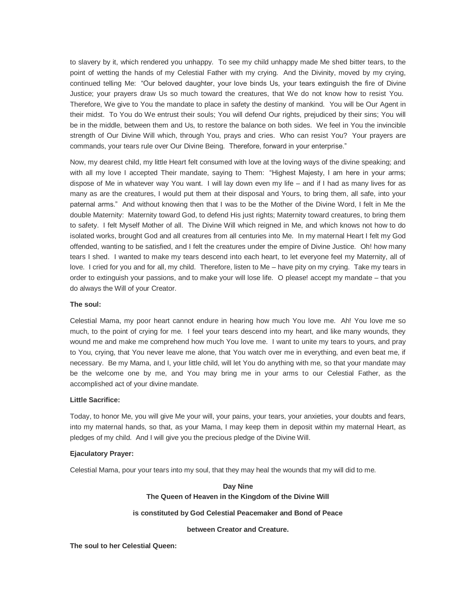to slavery by it, which rendered you unhappy. To see my child unhappy made Me shed bitter tears, to the point of wetting the hands of my Celestial Father with my crying. And the Divinity, moved by my crying, continued telling Me: "Our beloved daughter, your love binds Us, your tears extinguish the fire of Divine Justice; your prayers draw Us so much toward the creatures, that We do not know how to resist You. Therefore, We give to You the mandate to place in safety the destiny of mankind. You will be Our Agent in their midst. To You do We entrust their souls; You will defend Our rights, prejudiced by their sins; You will be in the middle, between them and Us, to restore the balance on both sides. We feel in You the invincible strength of Our Divine Will which, through You, prays and cries. Who can resist You? Your prayers are commands, your tears rule over Our Divine Being. Therefore, forward in your enterprise."

Now, my dearest child, my little Heart felt consumed with love at the loving ways of the divine speaking; and with all my love I accepted Their mandate, saying to Them: "Highest Majesty, I am here in your arms; dispose of Me in whatever way You want. I will lay down even my life – and if I had as many lives for as many as are the creatures, I would put them at their disposal and Yours, to bring them, all safe, into your paternal arms." And without knowing then that I was to be the Mother of the Divine Word, I felt in Me the double Maternity: Maternity toward God, to defend His just rights; Maternity toward creatures, to bring them to safety. I felt Myself Mother of all. The Divine Will which reigned in Me, and which knows not how to do isolated works, brought God and all creatures from all centuries into Me. In my maternal Heart I felt my God offended, wanting to be satisfied, and I felt the creatures under the empire of Divine Justice. Oh! how many tears I shed. I wanted to make my tears descend into each heart, to let everyone feel my Maternity, all of love. I cried for you and for all, my child. Therefore, listen to Me – have pity on my crying. Take my tears in order to extinguish your passions, and to make your will lose life. O please! accept my mandate – that you do always the Will of your Creator.

#### **The soul:**

Celestial Mama, my poor heart cannot endure in hearing how much You love me. Ah! You love me so much, to the point of crying for me. I feel your tears descend into my heart, and like many wounds, they wound me and make me comprehend how much You love me. I want to unite my tears to yours, and pray to You, crying, that You never leave me alone, that You watch over me in everything, and even beat me, if necessary. Be my Mama, and I, your little child, will let You do anything with me, so that your mandate may be the welcome one by me, and You may bring me in your arms to our Celestial Father, as the accomplished act of your divine mandate.

#### **Little Sacrifice:**

Today, to honor Me, you will give Me your will, your pains, your tears, your anxieties, your doubts and fears, into my maternal hands, so that, as your Mama, I may keep them in deposit within my maternal Heart, as pledges of my child. And I will give you the precious pledge of the Divine Will.

#### **Ejaculatory Prayer:**

Celestial Mama, pour your tears into my soul, that they may heal the wounds that my will did to me.

## **Day Nine The Queen of Heaven in the Kingdom of the Divine Will**

## **is constituted by God Celestial Peacemaker and Bond of Peace**

**between Creator and Creature.**

#### **The soul to her Celestial Queen:**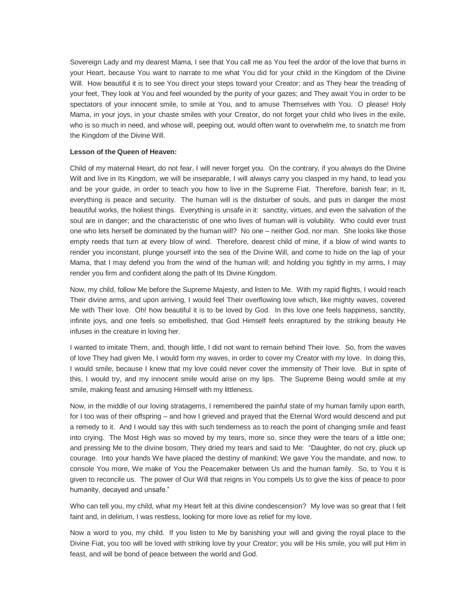Sovereign Lady and my dearest Mama, I see that You call me as You feel the ardor of the love that burns in your Heart, because You want to narrate to me what You did for your child in the Kingdom of the Divine Will. How beautiful it is to see You direct your steps toward your Creator; and as They hear the treading of your feet, They look at You and feel wounded by the purity of your gazes; and They await You in order to be spectators of your innocent smile, to smile at You, and to amuse Themselves with You. O please! Holy Mama, in your joys, in your chaste smiles with your Creator, do not forget your child who lives in the exile, who is so much in need, and whose will, peeping out, would often want to overwhelm me, to snatch me from the Kingdom of the Divine Will.

#### **Lesson of the Queen of Heaven:**

Child of my maternal Heart, do not fear, I will never forget you. On the contrary, if you always do the Divine Will and live in Its Kingdom, we will be inseparable, I will always carry you clasped in my hand, to lead you and be your guide, in order to teach you how to live in the Supreme Fiat. Therefore, banish fear; in It, everything is peace and security. The human will is the disturber of souls, and puts in danger the most beautiful works, the holiest things. Everything is unsafe in it: sanctity, virtues, and even the salvation of the soul are in danger; and the characteristic of one who lives of human will is volubility. Who could ever trust one who lets herself be dominated by the human will? No one – neither God, nor man. She looks like those empty reeds that turn at every blow of wind. Therefore, dearest child of mine, if a blow of wind wants to render you inconstant, plunge yourself into the sea of the Divine Will, and come to hide on the lap of your Mama, that I may defend you from the wind of the human will; and holding you tightly in my arms, I may render you firm and confident along the path of Its Divine Kingdom.

Now, my child, follow Me before the Supreme Majesty, and listen to Me. With my rapid flights, I would reach Their divine arms, and upon arriving, I would feel Their overflowing love which, like mighty waves, covered Me with Their love. Oh! how beautiful it is to be loved by God. In this love one feels happiness, sanctity, infinite joys, and one feels so embellished, that God Himself feels enraptured by the striking beauty He infuses in the creature in loving her.

I wanted to imitate Them, and, though little, I did not want to remain behind Their love. So, from the waves of love They had given Me, I would form my waves, in order to cover my Creator with my love. In doing this, I would smile, because I knew that my love could never cover the immensity of Their love. But in spite of this, I would try, and my innocent smile would arise on my lips. The Supreme Being would smile at my smile, making feast and amusing Himself with my littleness.

Now, in the middle of our loving stratagems, I remembered the painful state of my human family upon earth, for I too was of their offspring – and how I grieved and prayed that the Eternal Word would descend and put a remedy to it. And I would say this with such tenderness as to reach the point of changing smile and feast into crying. The Most High was so moved by my tears, more so, since they were the tears of a little one; and pressing Me to the divine bosom, They dried my tears and said to Me: "Daughter, do not cry, pluck up courage. Into your hands We have placed the destiny of mankind; We gave You the mandate, and now, to console You more, We make of You the Peacemaker between Us and the human family. So, to You it is given to reconcile us. The power of Our Will that reigns in You compels Us to give the kiss of peace to poor humanity, decayed and unsafe."

Who can tell you, my child, what my Heart felt at this divine condescension? My love was so great that I felt faint and, in delirium, I was restless, looking for more love as relief for my love.

Now a word to you, my child. If you listen to Me by banishing your will and giving the royal place to the Divine Fiat, you too will be loved with striking love by your Creator; you will be His smile, you will put Him in feast, and will be bond of peace between the world and God.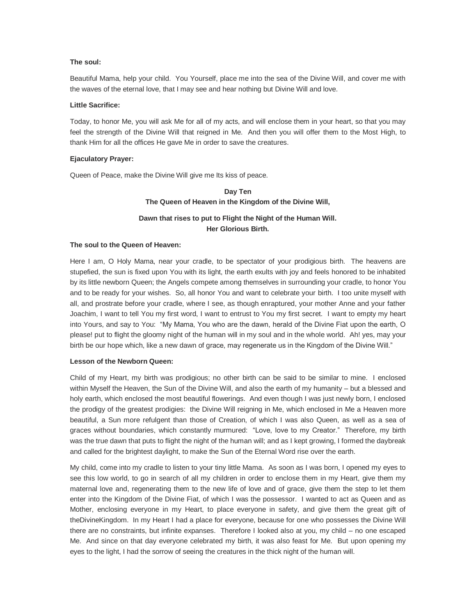## **The soul:**

Beautiful Mama, help your child. You Yourself, place me into the sea of the Divine Will, and cover me with the waves of the eternal love, that I may see and hear nothing but Divine Will and love.

### **Little Sacrifice:**

Today, to honor Me, you will ask Me for all of my acts, and will enclose them in your heart, so that you may feel the strength of the Divine Will that reigned in Me. And then you will offer them to the Most High, to thank Him for all the offices He gave Me in order to save the creatures.

#### **Ejaculatory Prayer:**

Queen of Peace, make the Divine Will give me Its kiss of peace.

## **Day Ten The Queen of Heaven in the Kingdom of the Divine Will,**

## **Dawn that rises to put to Flight the Night of the Human Will. Her Glorious Birth.**

### **The soul to the Queen of Heaven:**

Here I am, O Holy Mama, near your cradle, to be spectator of your prodigious birth. The heavens are stupefied, the sun is fixed upon You with its light, the earth exults with joy and feels honored to be inhabited by its little newborn Queen; the Angels compete among themselves in surrounding your cradle, to honor You and to be ready for your wishes. So, all honor You and want to celebrate your birth. I too unite myself with all, and prostrate before your cradle, where I see, as though enraptured, your mother Anne and your father Joachim, I want to tell You my first word, I want to entrust to You my first secret. I want to empty my heart into Yours, and say to You: "My Mama, You who are the dawn, herald of the Divine Fiat upon the earth, O please! put to flight the gloomy night of the human will in my soul and in the whole world. Ah! yes, may your birth be our hope which, like a new dawn of grace, may regenerate us in the Kingdom of the Divine Will."

#### **Lesson of the Newborn Queen:**

Child of my Heart, my birth was prodigious; no other birth can be said to be similar to mine. I enclosed within Myself the Heaven, the Sun of the Divine Will, and also the earth of my humanity – but a blessed and holy earth, which enclosed the most beautiful flowerings. And even though I was just newly born, I enclosed the prodigy of the greatest prodigies: the Divine Will reigning in Me, which enclosed in Me a Heaven more beautiful, a Sun more refulgent than those of Creation, of which I was also Queen, as well as a sea of graces without boundaries, which constantly murmured: "Love, love to my Creator." Therefore, my birth was the true dawn that puts to flight the night of the human will; and as I kept growing, I formed the daybreak and called for the brightest daylight, to make the Sun of the Eternal Word rise over the earth.

My child, come into my cradle to listen to your tiny little Mama. As soon as I was born, I opened my eyes to see this low world, to go in search of all my children in order to enclose them in my Heart, give them my maternal love and, regenerating them to the new life of love and of grace, give them the step to let them enter into the Kingdom of the Divine Fiat, of which I was the possessor. I wanted to act as Queen and as Mother, enclosing everyone in my Heart, to place everyone in safety, and give them the great gift of theDivineKingdom. In my Heart I had a place for everyone, because for one who possesses the Divine Will there are no constraints, but infinite expanses. Therefore I looked also at you, my child – no one escaped Me. And since on that day everyone celebrated my birth, it was also feast for Me. But upon opening my eyes to the light, I had the sorrow of seeing the creatures in the thick night of the human will.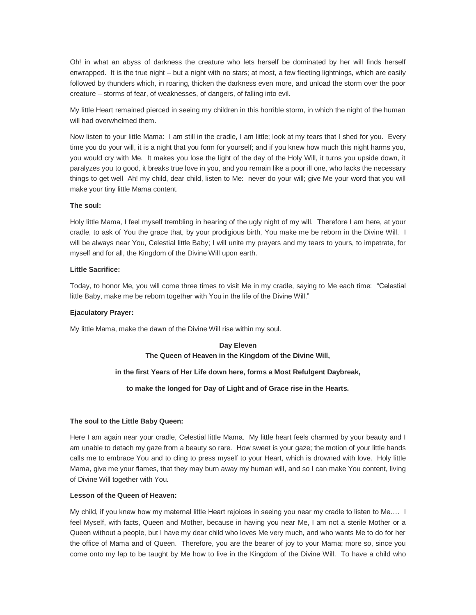Oh! in what an abyss of darkness the creature who lets herself be dominated by her will finds herself enwrapped. It is the true night – but a night with no stars; at most, a few fleeting lightnings, which are easily followed by thunders which, in roaring, thicken the darkness even more, and unload the storm over the poor creature – storms of fear, of weaknesses, of dangers, of falling into evil.

My little Heart remained pierced in seeing my children in this horrible storm, in which the night of the human will had overwhelmed them.

Now listen to your little Mama: I am still in the cradle, I am little; look at my tears that I shed for you. Every time you do your will, it is a night that you form for yourself; and if you knew how much this night harms you, you would cry with Me. It makes you lose the light of the day of the Holy Will, it turns you upside down, it paralyzes you to good, it breaks true love in you, and you remain like a poor ill one, who lacks the necessary things to get well Ah! my child, dear child, listen to Me: never do your will; give Me your word that you will make your tiny little Mama content.

### **The soul:**

Holy little Mama, I feel myself trembling in hearing of the ugly night of my will. Therefore I am here, at your cradle, to ask of You the grace that, by your prodigious birth, You make me be reborn in the Divine Will. I will be always near You, Celestial little Baby; I will unite my prayers and my tears to yours, to impetrate, for myself and for all, the Kingdom of the Divine Will upon earth.

#### **Little Sacrifice:**

Today, to honor Me, you will come three times to visit Me in my cradle, saying to Me each time: "Celestial little Baby, make me be reborn together with You in the life of the Divine Will."

#### **Ejaculatory Prayer:**

My little Mama, make the dawn of the Divine Will rise within my soul.

## **Day Eleven The Queen of Heaven in the Kingdom of the Divine Will,**

#### **in the first Years of Her Life down here, forms a Most Refulgent Daybreak,**

## **to make the longed for Day of Light and of Grace rise in the Hearts.**

#### **The soul to the Little Baby Queen:**

Here I am again near your cradle, Celestial little Mama. My little heart feels charmed by your beauty and I am unable to detach my gaze from a beauty so rare. How sweet is your gaze; the motion of your little hands calls me to embrace You and to cling to press myself to your Heart, which is drowned with love. Holy little Mama, give me your flames, that they may burn away my human will, and so I can make You content, living of Divine Will together with You.

## **Lesson of the Queen of Heaven:**

My child, if you knew how my maternal little Heart rejoices in seeing you near my cradle to listen to Me.... I feel Myself, with facts, Queen and Mother, because in having you near Me, I am not a sterile Mother or a Queen without a people, but I have my dear child who loves Me very much, and who wants Me to do for her the office of Mama and of Queen. Therefore, you are the bearer of joy to your Mama; more so, since you come onto my lap to be taught by Me how to live in the Kingdom of the Divine Will. To have a child who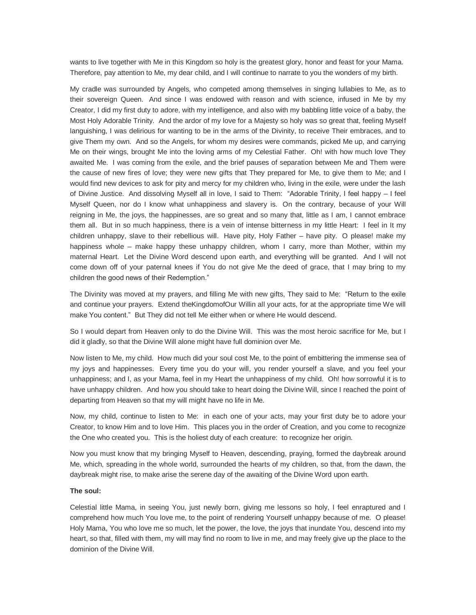wants to live together with Me in this Kingdom so holy is the greatest glory, honor and feast for your Mama. Therefore, pay attention to Me, my dear child, and I will continue to narrate to you the wonders of my birth.

My cradle was surrounded by Angels, who competed among themselves in singing lullabies to Me, as to their sovereign Queen. And since I was endowed with reason and with science, infused in Me by my Creator, I did my first duty to adore, with my intelligence, and also with my babbling little voice of a baby, the Most Holy Adorable Trinity. And the ardor of my love for a Majesty so holy was so great that, feeling Myself languishing, I was delirious for wanting to be in the arms of the Divinity, to receive Their embraces, and to give Them my own. And so the Angels, for whom my desires were commands, picked Me up, and carrying Me on their wings, brought Me into the loving arms of my Celestial Father. Oh! with how much love They awaited Me. I was coming from the exile, and the brief pauses of separation between Me and Them were the cause of new fires of love; they were new gifts that They prepared for Me, to give them to Me; and I would find new devices to ask for pity and mercy for my children who, living in the exile, were under the lash of Divine Justice. And dissolving Myself all in love, I said to Them: "Adorable Trinity, I feel happy – I feel Myself Queen, nor do I know what unhappiness and slavery is. On the contrary, because of your Will reigning in Me, the joys, the happinesses, are so great and so many that, little as I am, I cannot embrace them all. But in so much happiness, there is a vein of intense bitterness in my little Heart: I feel in It my children unhappy, slave to their rebellious will. Have pity, Holy Father – have pity. O please! make my happiness whole – make happy these unhappy children, whom I carry, more than Mother, within my maternal Heart. Let the Divine Word descend upon earth, and everything will be granted. And I will not come down off of your paternal knees if You do not give Me the deed of grace, that I may bring to my children the good news of their Redemption."

The Divinity was moved at my prayers, and filling Me with new gifts, They said to Me: "Return to the exile and continue your prayers. Extend theKingdomofOur Willin all your acts, for at the appropriate time We will make You content." But They did not tell Me either when or where He would descend.

So I would depart from Heaven only to do the Divine Will. This was the most heroic sacrifice for Me, but I did it gladly, so that the Divine Will alone might have full dominion over Me.

Now listen to Me, my child. How much did your soul cost Me, to the point of embittering the immense sea of my joys and happinesses. Every time you do your will, you render yourself a slave, and you feel your unhappiness; and I, as your Mama, feel in my Heart the unhappiness of my child. Oh! how sorrowful it is to have unhappy children. And how you should take to heart doing the Divine Will, since I reached the point of departing from Heaven so that my will might have no life in Me.

Now, my child, continue to listen to Me: in each one of your acts, may your first duty be to adore your Creator, to know Him and to love Him. This places you in the order of Creation, and you come to recognize the One who created you. This is the holiest duty of each creature: to recognize her origin.

Now you must know that my bringing Myself to Heaven, descending, praying, formed the daybreak around Me, which, spreading in the whole world, surrounded the hearts of my children, so that, from the dawn, the daybreak might rise, to make arise the serene day of the awaiting of the Divine Word upon earth.

#### **The soul:**

Celestial little Mama, in seeing You, just newly born, giving me lessons so holy, I feel enraptured and I comprehend how much You love me, to the point of rendering Yourself unhappy because of me. O please! Holy Mama, You who love me so much, let the power, the love, the joys that inundate You, descend into my heart, so that, filled with them, my will may find no room to live in me, and may freely give up the place to the dominion of the Divine Will.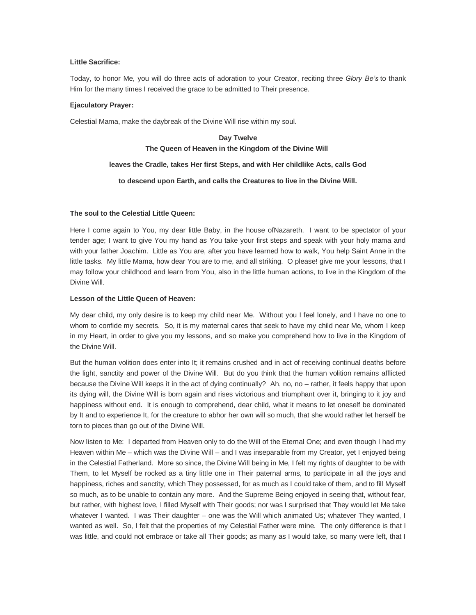## **Little Sacrifice:**

Today, to honor Me, you will do three acts of adoration to your Creator, reciting three *Glory Be's* to thank Him for the many times I received the grace to be admitted to Their presence.

#### **Ejaculatory Prayer:**

Celestial Mama, make the daybreak of the Divine Will rise within my soul.

## **Day Twelve The Queen of Heaven in the Kingdom of the Divine Will**

#### **leaves the Cradle, takes Her first Steps, and with Her childlike Acts, calls God**

#### **to descend upon Earth, and calls the Creatures to live in the Divine Will.**

## **The soul to the Celestial Little Queen:**

Here I come again to You, my dear little Baby, in the house ofNazareth. I want to be spectator of your tender age; I want to give You my hand as You take your first steps and speak with your holy mama and with your father Joachim. Little as You are, after you have learned how to walk, You help Saint Anne in the little tasks. My little Mama, how dear You are to me, and all striking. O please! give me your lessons, that I may follow your childhood and learn from You, also in the little human actions, to live in the Kingdom of the Divine Will.

## **Lesson of the Little Queen of Heaven:**

My dear child, my only desire is to keep my child near Me. Without you I feel lonely, and I have no one to whom to confide my secrets. So, it is my maternal cares that seek to have my child near Me, whom I keep in my Heart, in order to give you my lessons, and so make you comprehend how to live in the Kingdom of the Divine Will.

But the human volition does enter into It; it remains crushed and in act of receiving continual deaths before the light, sanctity and power of the Divine Will. But do you think that the human volition remains afflicted because the Divine Will keeps it in the act of dying continually? Ah, no, no – rather, it feels happy that upon its dying will, the Divine Will is born again and rises victorious and triumphant over it, bringing to it joy and happiness without end. It is enough to comprehend, dear child, what it means to let oneself be dominated by It and to experience It, for the creature to abhor her own will so much, that she would rather let herself be torn to pieces than go out of the Divine Will.

Now listen to Me: I departed from Heaven only to do the Will of the Eternal One; and even though I had my Heaven within Me – which was the Divine Will – and I was inseparable from my Creator, yet I enjoyed being in the Celestial Fatherland. More so since, the Divine Will being in Me, I felt my rights of daughter to be with Them, to let Myself be rocked as a tiny little one in Their paternal arms, to participate in all the joys and happiness, riches and sanctity, which They possessed, for as much as I could take of them, and to fill Myself so much, as to be unable to contain any more. And the Supreme Being enjoyed in seeing that, without fear, but rather, with highest love, I filled Myself with Their goods; nor was I surprised that They would let Me take whatever I wanted. I was Their daughter – one was the Will which animated Us; whatever They wanted, I wanted as well. So, I felt that the properties of my Celestial Father were mine. The only difference is that I was little, and could not embrace or take all Their goods; as many as I would take, so many were left, that I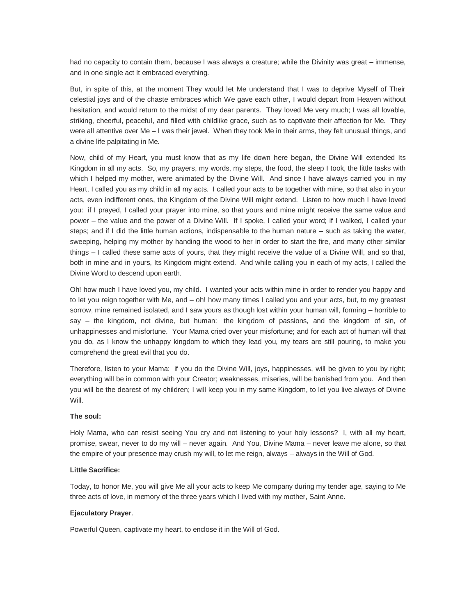had no capacity to contain them, because I was always a creature; while the Divinity was great – immense, and in one single act It embraced everything.

But, in spite of this, at the moment They would let Me understand that I was to deprive Myself of Their celestial joys and of the chaste embraces which We gave each other, I would depart from Heaven without hesitation, and would return to the midst of my dear parents. They loved Me very much; I was all lovable, striking, cheerful, peaceful, and filled with childlike grace, such as to captivate their affection for Me. They were all attentive over Me – I was their jewel. When they took Me in their arms, they felt unusual things, and a divine life palpitating in Me.

Now, child of my Heart, you must know that as my life down here began, the Divine Will extended Its Kingdom in all my acts. So, my prayers, my words, my steps, the food, the sleep I took, the little tasks with which I helped my mother, were animated by the Divine Will. And since I have always carried you in my Heart, I called you as my child in all my acts. I called your acts to be together with mine, so that also in your acts, even indifferent ones, the Kingdom of the Divine Will might extend. Listen to how much I have loved you: if I prayed, I called your prayer into mine, so that yours and mine might receive the same value and power – the value and the power of a Divine Will. If I spoke, I called your word; if I walked, I called your steps; and if I did the little human actions, indispensable to the human nature – such as taking the water, sweeping, helping my mother by handing the wood to her in order to start the fire, and many other similar things – I called these same acts of yours, that they might receive the value of a Divine Will, and so that, both in mine and in yours, Its Kingdom might extend. And while calling you in each of my acts, I called the Divine Word to descend upon earth.

Oh! how much I have loved you, my child. I wanted your acts within mine in order to render you happy and to let you reign together with Me, and – oh! how many times I called you and your acts, but, to my greatest sorrow, mine remained isolated, and I saw yours as though lost within your human will, forming – horrible to say – the kingdom, not divine, but human: the kingdom of passions, and the kingdom of sin, of unhappinesses and misfortune. Your Mama cried over your misfortune; and for each act of human will that you do, as I know the unhappy kingdom to which they lead you, my tears are still pouring, to make you comprehend the great evil that you do.

Therefore, listen to your Mama: if you do the Divine Will, joys, happinesses, will be given to you by right; everything will be in common with your Creator; weaknesses, miseries, will be banished from you. And then you will be the dearest of my children; I will keep you in my same Kingdom, to let you live always of Divine Will.

#### **The soul:**

Holy Mama, who can resist seeing You cry and not listening to your holy lessons? I, with all my heart, promise, swear, never to do my will – never again. And You, Divine Mama – never leave me alone, so that the empire of your presence may crush my will, to let me reign, always – always in the Will of God.

#### **Little Sacrifice:**

Today, to honor Me, you will give Me all your acts to keep Me company during my tender age, saying to Me three acts of love, in memory of the three years which I lived with my mother, Saint Anne.

#### **Ejaculatory Prayer**.

Powerful Queen, captivate my heart, to enclose it in the Will of God.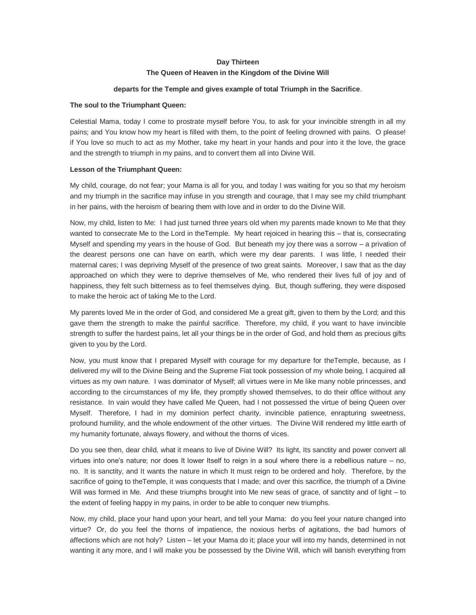## **Day Thirteen The Queen of Heaven in the Kingdom of the Divine Will**

## **departs for the Temple and gives example of total Triumph in the Sacrifice**.

## **The soul to the Triumphant Queen:**

Celestial Mama, today I come to prostrate myself before You, to ask for your invincible strength in all my pains; and You know how my heart is filled with them, to the point of feeling drowned with pains. O please! if You love so much to act as my Mother, take my heart in your hands and pour into it the love, the grace and the strength to triumph in my pains, and to convert them all into Divine Will.

## **Lesson of the Triumphant Queen:**

My child, courage, do not fear; your Mama is all for you, and today I was waiting for you so that my heroism and my triumph in the sacrifice may infuse in you strength and courage, that I may see my child triumphant in her pains, with the heroism of bearing them with love and in order to do the Divine Will.

Now, my child, listen to Me: I had just turned three years old when my parents made known to Me that they wanted to consecrate Me to the Lord in theTemple. My heart rejoiced in hearing this – that is, consecrating Myself and spending my years in the house of God. But beneath my joy there was a sorrow – a privation of the dearest persons one can have on earth, which were my dear parents. I was little, I needed their maternal cares; I was depriving Myself of the presence of two great saints. Moreover, I saw that as the day approached on which they were to deprive themselves of Me, who rendered their lives full of joy and of happiness, they felt such bitterness as to feel themselves dying. But, though suffering, they were disposed to make the heroic act of taking Me to the Lord.

My parents loved Me in the order of God, and considered Me a great gift, given to them by the Lord; and this gave them the strength to make the painful sacrifice. Therefore, my child, if you want to have invincible strength to suffer the hardest pains, let all your things be in the order of God, and hold them as precious gifts given to you by the Lord.

Now, you must know that I prepared Myself with courage for my departure for theTemple, because, as I delivered my will to the Divine Being and the Supreme Fiat took possession of my whole being, I acquired all virtues as my own nature. I was dominator of Myself; all virtues were in Me like many noble princesses, and according to the circumstances of my life, they promptly showed themselves, to do their office without any resistance. In vain would they have called Me Queen, had I not possessed the virtue of being Queen over Myself. Therefore, I had in my dominion perfect charity, invincible patience, enrapturing sweetness, profound humility, and the whole endowment of the other virtues. The Divine Will rendered my little earth of my humanity fortunate, always flowery, and without the thorns of vices.

Do you see then, dear child, what it means to live of Divine Will? Its light, Its sanctity and power convert all virtues into one's nature; nor does It lower Itself to reign in a soul where there is a rebellious nature – no, no. It is sanctity, and It wants the nature in which It must reign to be ordered and holy. Therefore, by the sacrifice of going to theTemple, it was conquests that I made; and over this sacrifice, the triumph of a Divine Will was formed in Me. And these triumphs brought into Me new seas of grace, of sanctity and of light – to the extent of feeling happy in my pains, in order to be able to conquer new triumphs.

Now, my child, place your hand upon your heart, and tell your Mama: do you feel your nature changed into virtue? Or, do you feel the thorns of impatience, the noxious herbs of agitations, the bad humors of affections which are not holy? Listen – let your Mama do it; place your will into my hands, determined in not wanting it any more, and I will make you be possessed by the Divine Will, which will banish everything from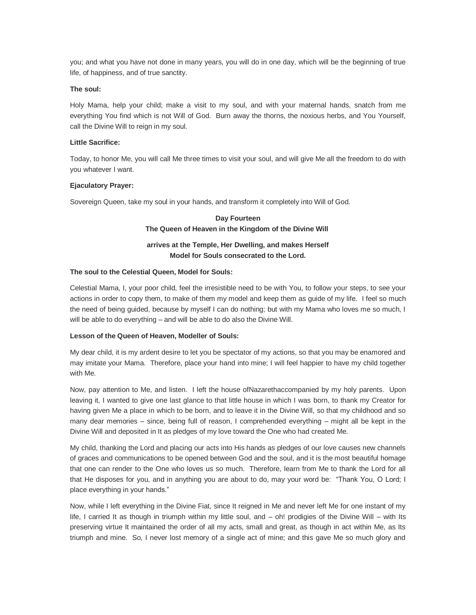you; and what you have not done in many years, you will do in one day, which will be the beginning of true life, of happiness, and of true sanctity.

## **The soul:**

Holy Mama, help your child; make a visit to my soul, and with your maternal hands, snatch from me everything You find which is not Will of God. Burn away the thorns, the noxious herbs, and You Yourself, call the Divine Will to reign in my soul.

## **Little Sacrifice:**

Today, to honor Me, you will call Me three times to visit your soul, and will give Me all the freedom to do with you whatever I want.

## **Ejaculatory Prayer:**

Sovereign Queen, take my soul in your hands, and transform it completely into Will of God.

## **Day Fourteen The Queen of Heaven in the Kingdom of the Divine Will**

## **arrives at the Temple, Her Dwelling, and makes Herself Model for Souls consecrated to the Lord.**

#### **The soul to the Celestial Queen, Model for Souls:**

Celestial Mama, I, your poor child, feel the irresistible need to be with You, to follow your steps, to see your actions in order to copy them, to make of them my model and keep them as guide of my life. I feel so much the need of being guided, because by myself I can do nothing; but with my Mama who loves me so much, I will be able to do everything – and will be able to do also the Divine Will.

#### **Lesson of the Queen of Heaven, Modeller of Souls:**

My dear child, it is my ardent desire to let you be spectator of my actions, so that you may be enamored and may imitate your Mama. Therefore, place your hand into mine; I will feel happier to have my child together with Me.

Now, pay attention to Me, and listen. I left the house ofNazarethaccompanied by my holy parents. Upon leaving it, I wanted to give one last glance to that little house in which I was born, to thank my Creator for having given Me a place in which to be born, and to leave it in the Divine Will, so that my childhood and so many dear memories – since, being full of reason, I comprehended everything – might all be kept in the Divine Will and deposited in It as pledges of my love toward the One who had created Me.

My child, thanking the Lord and placing our acts into His hands as pledges of our love causes new channels of graces and communications to be opened between God and the soul, and it is the most beautiful homage that one can render to the One who loves us so much. Therefore, learn from Me to thank the Lord for all that He disposes for you, and in anything you are about to do, may your word be: "Thank You, O Lord; I place everything in your hands."

Now, while I left everything in the Divine Fiat, since It reigned in Me and never left Me for one instant of my life, I carried It as though in triumph within my little soul, and – oh! prodigies of the Divine Will – with Its preserving virtue It maintained the order of all my acts, small and great, as though in act within Me, as Its triumph and mine. So, I never lost memory of a single act of mine; and this gave Me so much glory and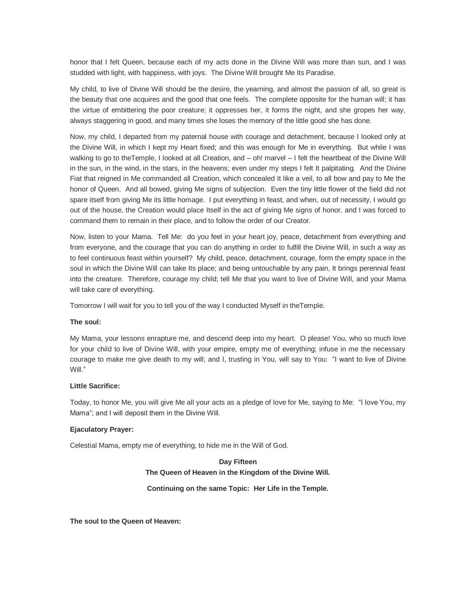honor that I felt Queen, because each of my acts done in the Divine Will was more than sun, and I was studded with light, with happiness, with joys. The Divine Will brought Me Its Paradise.

My child, to live of Divine Will should be the desire, the yearning, and almost the passion of all, so great is the beauty that one acquires and the good that one feels. The complete opposite for the human will; it has the virtue of embittering the poor creature; it oppresses her, it forms the night, and she gropes her way, always staggering in good, and many times she loses the memory of the little good she has done.

Now, my child, I departed from my paternal house with courage and detachment, because I looked only at the Divine Will, in which I kept my Heart fixed; and this was enough for Me in everything. But while I was walking to go to theTemple, I looked at all Creation, and – oh! marvel – I felt the heartbeat of the Divine Will in the sun, in the wind, in the stars, in the heavens; even under my steps I felt It palpitating. And the Divine Fiat that reigned in Me commanded all Creation, which concealed It like a veil, to all bow and pay to Me the honor of Queen. And all bowed, giving Me signs of subjection. Even the tiny little flower of the field did not spare itself from giving Me its little homage. I put everything in feast, and when, out of necessity, I would go out of the house, the Creation would place Itself in the act of giving Me signs of honor, and I was forced to command them to remain in their place, and to follow the order of our Creator.

Now, listen to your Mama. Tell Me: do you feel in your heart joy, peace, detachment from everything and from everyone, and the courage that you can do anything in order to fulfill the Divine Will, in such a way as to feel continuous feast within yourself? My child, peace, detachment, courage, form the empty space in the soul in which the Divine Will can take Its place; and being untouchable by any pain, It brings perennial feast into the creature. Therefore, courage my child; tell Me that you want to live of Divine Will, and your Mama will take care of everything.

Tomorrow I will wait for you to tell you of the way I conducted Myself in theTemple.

#### **The soul:**

My Mama, your lessons enrapture me, and descend deep into my heart. O please! You, who so much love for your child to live of Divine Will, with your empire, empty me of everything; infuse in me the necessary courage to make me give death to my will; and I, trusting in You, will say to You: "I want to live of Divine Will."

### **Little Sacrifice:**

Today, to honor Me, you will give Me all your acts as a pledge of love for Me, saying to Me: "I love You, my Mama"; and I will deposit them in the Divine Will.

#### **Ejaculatory Prayer:**

Celestial Mama, empty me of everything, to hide me in the Will of God.

## **Day Fifteen The Queen of Heaven in the Kingdom of the Divine Will.**

## **Continuing on the same Topic: Her Life in the Temple.**

**The soul to the Queen of Heaven:**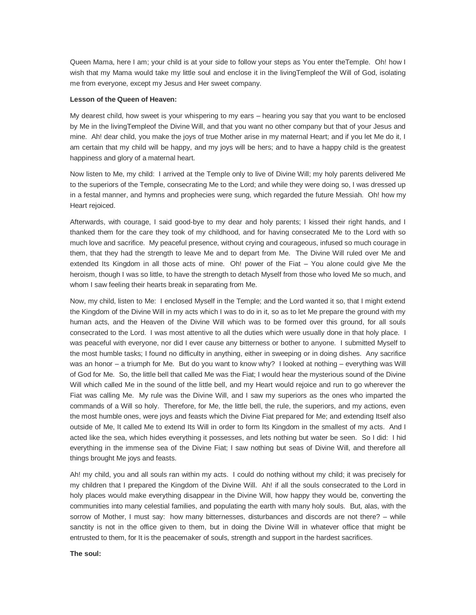Queen Mama, here I am; your child is at your side to follow your steps as You enter theTemple. Oh! how I wish that my Mama would take my little soul and enclose it in the livingTempleof the Will of God, isolating me from everyone, except my Jesus and Her sweet company.

#### **Lesson of the Queen of Heaven:**

My dearest child, how sweet is your whispering to my ears – hearing you say that you want to be enclosed by Me in the livingTempleof the Divine Will, and that you want no other company but that of your Jesus and mine. Ah! dear child, you make the joys of true Mother arise in my maternal Heart; and if you let Me do it, I am certain that my child will be happy, and my joys will be hers; and to have a happy child is the greatest happiness and glory of a maternal heart.

Now listen to Me, my child: I arrived at the Temple only to live of Divine Will; my holy parents delivered Me to the superiors of the Temple, consecrating Me to the Lord; and while they were doing so, I was dressed up in a festal manner, and hymns and prophecies were sung, which regarded the future Messiah. Oh! how my Heart rejoiced.

Afterwards, with courage, I said good-bye to my dear and holy parents; I kissed their right hands, and I thanked them for the care they took of my childhood, and for having consecrated Me to the Lord with so much love and sacrifice. My peaceful presence, without crying and courageous, infused so much courage in them, that they had the strength to leave Me and to depart from Me. The Divine Will ruled over Me and extended Its Kingdom in all those acts of mine. Oh! power of the Fiat – You alone could give Me the heroism, though I was so little, to have the strength to detach Myself from those who loved Me so much, and whom I saw feeling their hearts break in separating from Me.

Now, my child, listen to Me: I enclosed Myself in the Temple; and the Lord wanted it so, that I might extend the Kingdom of the Divine Will in my acts which I was to do in it, so as to let Me prepare the ground with my human acts, and the Heaven of the Divine Will which was to be formed over this ground, for all souls consecrated to the Lord. I was most attentive to all the duties which were usually done in that holy place. I was peaceful with everyone, nor did I ever cause any bitterness or bother to anyone. I submitted Myself to the most humble tasks; I found no difficulty in anything, either in sweeping or in doing dishes. Any sacrifice was an honor – a triumph for Me. But do you want to know why? I looked at nothing – everything was Will of God for Me. So, the little bell that called Me was the Fiat; I would hear the mysterious sound of the Divine Will which called Me in the sound of the little bell, and my Heart would rejoice and run to go wherever the Fiat was calling Me. My rule was the Divine Will, and I saw my superiors as the ones who imparted the commands of a Will so holy. Therefore, for Me, the little bell, the rule, the superiors, and my actions, even the most humble ones, were joys and feasts which the Divine Fiat prepared for Me; and extending Itself also outside of Me, It called Me to extend Its Will in order to form Its Kingdom in the smallest of my acts. And I acted like the sea, which hides everything it possesses, and lets nothing but water be seen. So I did: I hid everything in the immense sea of the Divine Fiat; I saw nothing but seas of Divine Will, and therefore all things brought Me joys and feasts.

Ah! my child, you and all souls ran within my acts. I could do nothing without my child; it was precisely for my children that I prepared the Kingdom of the Divine Will. Ah! if all the souls consecrated to the Lord in holy places would make everything disappear in the Divine Will, how happy they would be, converting the communities into many celestial families, and populating the earth with many holy souls. But, alas, with the sorrow of Mother, I must say: how many bitternesses, disturbances and discords are not there? – while sanctity is not in the office given to them, but in doing the Divine Will in whatever office that might be entrusted to them, for It is the peacemaker of souls, strength and support in the hardest sacrifices.

**The soul:**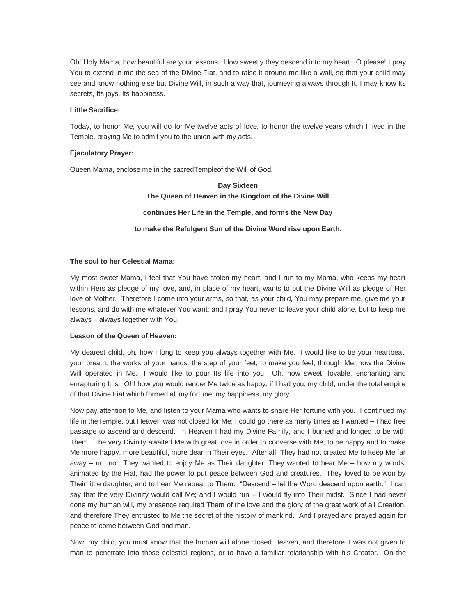Oh! Holy Mama, how beautiful are your lessons. How sweetly they descend into my heart. O please! I pray You to extend in me the sea of the Divine Fiat, and to raise it around me like a wall, so that your child may see and know nothing else but Divine Will, in such a way that, journeying always through It, I may know Its secrets, Its joys, Its happiness.

#### **Little Sacrifice:**

Today, to honor Me, you will do for Me twelve acts of love, to honor the twelve years which I lived in the Temple, praying Me to admit you to the union with my acts.

#### **Ejaculatory Prayer:**

Queen Mama, enclose me in the sacredTempleof the Will of God.

## **Day Sixteen The Queen of Heaven in the Kingdom of the Divine Will**

**continues Her Life in the Temple, and forms the New Day**

#### **to make the Refulgent Sun of the Divine Word rise upon Earth.**

## **The soul to her Celestial Mama:**

My most sweet Mama, I feel that You have stolen my heart, and I run to my Mama, who keeps my heart within Hers as pledge of my love, and, in place of my heart, wants to put the Divine Will as pledge of Her love of Mother. Therefore I come into your arms, so that, as your child, You may prepare me, give me your lessons, and do with me whatever You want; and I pray You never to leave your child alone, but to keep me always – always together with You.

#### **Lesson of the Queen of Heaven:**

My dearest child, oh, how I long to keep you always together with Me. I would like to be your heartbeat, your breath, the works of your hands, the step of your feet, to make you feel, through Me, how the Divine Will operated in Me. I would like to pour Its life into you. Oh, how sweet, lovable, enchanting and enrapturing It is. Oh! how you would render Me twice as happy, if I had you, my child, under the total empire of that Divine Fiat which formed all my fortune, my happiness, my glory.

Now pay attention to Me, and listen to your Mama who wants to share Her fortune with you. I continued my life in theTemple, but Heaven was not closed for Me; I could go there as many times as I wanted – I had free passage to ascend and descend. In Heaven I had my Divine Family, and I burned and longed to be with Them. The very Divinity awaited Me with great love in order to converse with Me, to be happy and to make Me more happy, more beautiful, more dear in Their eyes. After all, They had not created Me to keep Me far away – no, no. They wanted to enjoy Me as Their daughter; They wanted to hear Me – how my words, animated by the Fiat, had the power to put peace between God and creatures. They loved to be won by Their little daughter, and to hear Me repeat to Them: "Descend – let the Word descend upon earth." I can say that the very Divinity would call Me; and I would run – I would fly into Their midst. Since I had never done my human will, my presence requited Them of the love and the glory of the great work of all Creation, and therefore They entrusted to Me the secret of the history of mankind. And I prayed and prayed again for peace to come between God and man.

Now, my child, you must know that the human will alone closed Heaven, and therefore it was not given to man to penetrate into those celestial regions, or to have a familiar relationship with his Creator. On the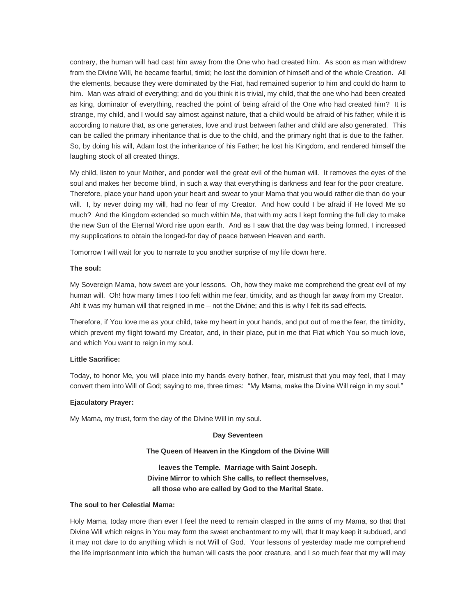contrary, the human will had cast him away from the One who had created him. As soon as man withdrew from the Divine Will, he became fearful, timid; he lost the dominion of himself and of the whole Creation. All the elements, because they were dominated by the Fiat, had remained superior to him and could do harm to him. Man was afraid of everything; and do you think it is trivial, my child, that the one who had been created as king, dominator of everything, reached the point of being afraid of the One who had created him? It is strange, my child, and I would say almost against nature, that a child would be afraid of his father; while it is according to nature that, as one generates, love and trust between father and child are also generated. This can be called the primary inheritance that is due to the child, and the primary right that is due to the father. So, by doing his will, Adam lost the inheritance of his Father; he lost his Kingdom, and rendered himself the laughing stock of all created things.

My child, listen to your Mother, and ponder well the great evil of the human will. It removes the eyes of the soul and makes her become blind, in such a way that everything is darkness and fear for the poor creature. Therefore, place your hand upon your heart and swear to your Mama that you would rather die than do your will. I, by never doing my will, had no fear of my Creator. And how could I be afraid if He loved Me so much? And the Kingdom extended so much within Me, that with my acts I kept forming the full day to make the new Sun of the Eternal Word rise upon earth. And as I saw that the day was being formed, I increased my supplications to obtain the longed-for day of peace between Heaven and earth.

Tomorrow I will wait for you to narrate to you another surprise of my life down here.

#### **The soul:**

My Sovereign Mama, how sweet are your lessons. Oh, how they make me comprehend the great evil of my human will. Oh! how many times I too felt within me fear, timidity, and as though far away from my Creator. Ah! it was my human will that reigned in me – not the Divine; and this is why I felt its sad effects.

Therefore, if You love me as your child, take my heart in your hands, and put out of me the fear, the timidity, which prevent my flight toward my Creator, and, in their place, put in me that Fiat which You so much love, and which You want to reign in my soul.

## **Little Sacrifice:**

Today, to honor Me, you will place into my hands every bother, fear, mistrust that you may feel, that I may convert them into Will of God; saying to me, three times: "My Mama, make the Divine Will reign in my soul."

#### **Ejaculatory Prayer:**

My Mama, my trust, form the day of the Divine Will in my soul.

## **Day Seventeen**

#### **The Queen of Heaven in the Kingdom of the Divine Will**

**leaves the Temple. Marriage with Saint Joseph. Divine Mirror to which She calls, to reflect themselves, all those who are called by God to the Marital State.**

## **The soul to her Celestial Mama:**

Holy Mama, today more than ever I feel the need to remain clasped in the arms of my Mama, so that that Divine Will which reigns in You may form the sweet enchantment to my will, that It may keep it subdued, and it may not dare to do anything which is not Will of God. Your lessons of yesterday made me comprehend the life imprisonment into which the human will casts the poor creature, and I so much fear that my will may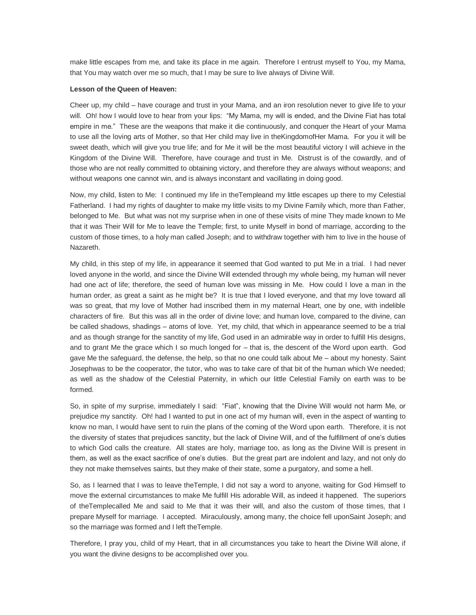make little escapes from me, and take its place in me again. Therefore I entrust myself to You, my Mama, that You may watch over me so much, that I may be sure to live always of Divine Will.

## **Lesson of the Queen of Heaven:**

Cheer up, my child – have courage and trust in your Mama, and an iron resolution never to give life to your will. Oh! how I would love to hear from your lips: "My Mama, my will is ended, and the Divine Fiat has total empire in me." These are the weapons that make it die continuously, and conquer the Heart of your Mama to use all the loving arts of Mother, so that Her child may live in theKingdomofHer Mama. For you it will be sweet death, which will give you true life; and for Me it will be the most beautiful victory I will achieve in the Kingdom of the Divine Will. Therefore, have courage and trust in Me. Distrust is of the cowardly, and of those who are not really committed to obtaining victory, and therefore they are always without weapons; and without weapons one cannot win, and is always inconstant and vacillating in doing good.

Now, my child, listen to Me: I continued my life in theTempleand my little escapes up there to my Celestial Fatherland. I had my rights of daughter to make my little visits to my Divine Family which, more than Father, belonged to Me. But what was not my surprise when in one of these visits of mine They made known to Me that it was Their Will for Me to leave the Temple; first, to unite Myself in bond of marriage, according to the custom of those times, to a holy man called Joseph; and to withdraw together with him to live in the house of Nazareth.

My child, in this step of my life, in appearance it seemed that God wanted to put Me in a trial. I had never loved anyone in the world, and since the Divine Will extended through my whole being, my human will never had one act of life; therefore, the seed of human love was missing in Me. How could I love a man in the human order, as great a saint as he might be? It is true that I loved everyone, and that my love toward all was so great, that my love of Mother had inscribed them in my maternal Heart, one by one, with indelible characters of fire. But this was all in the order of divine love; and human love, compared to the divine, can be called shadows, shadings – atoms of love. Yet, my child, that which in appearance seemed to be a trial and as though strange for the sanctity of my life, God used in an admirable way in order to fulfill His designs, and to grant Me the grace which I so much longed for – that is, the descent of the Word upon earth. God gave Me the safeguard, the defense, the help, so that no one could talk about Me – about my honesty. Saint Josephwas to be the cooperator, the tutor, who was to take care of that bit of the human which We needed; as well as the shadow of the Celestial Paternity, in which our little Celestial Family on earth was to be formed.

So, in spite of my surprise, immediately I said: "Fiat", knowing that the Divine Will would not harm Me, or prejudice my sanctity. Oh! had I wanted to put in one act of my human will, even in the aspect of wanting to know no man, I would have sent to ruin the plans of the coming of the Word upon earth. Therefore, it is not the diversity of states that prejudices sanctity, but the lack of Divine Will, and of the fulfillment of one's duties to which God calls the creature. All states are holy, marriage too, as long as the Divine Will is present in them, as well as the exact sacrifice of one's duties. But the great part are indolent and lazy, and not only do they not make themselves saints, but they make of their state, some a purgatory, and some a hell.

So, as I learned that I was to leave theTemple, I did not say a word to anyone, waiting for God Himself to move the external circumstances to make Me fulfill His adorable Will, as indeed it happened. The superiors of theTemplecalled Me and said to Me that it was their will, and also the custom of those times, that I prepare Myself for marriage. I accepted. Miraculously, among many, the choice fell uponSaint Joseph; and so the marriage was formed and I left theTemple.

Therefore, I pray you, child of my Heart, that in all circumstances you take to heart the Divine Will alone, if you want the divine designs to be accomplished over you.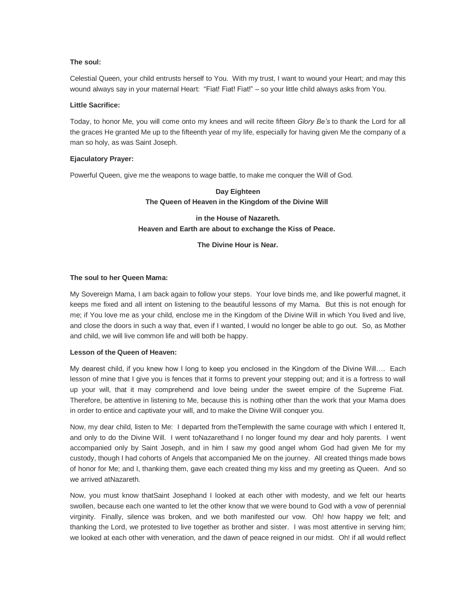## **The soul:**

Celestial Queen, your child entrusts herself to You. With my trust, I want to wound your Heart; and may this wound always say in your maternal Heart: "Fiat! Fiat! Fiat!" – so your little child always asks from You.

#### **Little Sacrifice:**

Today, to honor Me, you will come onto my knees and will recite fifteen *Glory Be's* to thank the Lord for all the graces He granted Me up to the fifteenth year of my life, especially for having given Me the company of a man so holy, as was Saint Joseph.

#### **Ejaculatory Prayer:**

Powerful Queen, give me the weapons to wage battle, to make me conquer the Will of God.

## **Day Eighteen The Queen of Heaven in the Kingdom of the Divine Will**

## **in the House of Nazareth. Heaven and Earth are about to exchange the Kiss of Peace.**

#### **The Divine Hour is Near.**

## **The soul to her Queen Mama:**

My Sovereign Mama, I am back again to follow your steps. Your love binds me, and like powerful magnet, it keeps me fixed and all intent on listening to the beautiful lessons of my Mama. But this is not enough for me; if You love me as your child, enclose me in the Kingdom of the Divine Will in which You lived and live, and close the doors in such a way that, even if I wanted, I would no longer be able to go out. So, as Mother and child, we will live common life and will both be happy.

#### **Lesson of the Queen of Heaven:**

My dearest child, if you knew how I long to keep you enclosed in the Kingdom of the Divine Will…. Each lesson of mine that I give you is fences that it forms to prevent your stepping out; and it is a fortress to wall up your will, that it may comprehend and love being under the sweet empire of the Supreme Fiat. Therefore, be attentive in listening to Me, because this is nothing other than the work that your Mama does in order to entice and captivate your will, and to make the Divine Will conquer you.

Now, my dear child, listen to Me: I departed from theTemplewith the same courage with which I entered It, and only to do the Divine Will. I went toNazarethand I no longer found my dear and holy parents. I went accompanied only by Saint Joseph, and in him I saw my good angel whom God had given Me for my custody, though I had cohorts of Angels that accompanied Me on the journey. All created things made bows of honor for Me; and I, thanking them, gave each created thing my kiss and my greeting as Queen. And so we arrived atNazareth.

Now, you must know thatSaint Josephand I looked at each other with modesty, and we felt our hearts swollen, because each one wanted to let the other know that we were bound to God with a vow of perennial virginity. Finally, silence was broken, and we both manifested our vow. Oh! how happy we felt; and thanking the Lord, we protested to live together as brother and sister. I was most attentive in serving him; we looked at each other with veneration, and the dawn of peace reigned in our midst. Oh! if all would reflect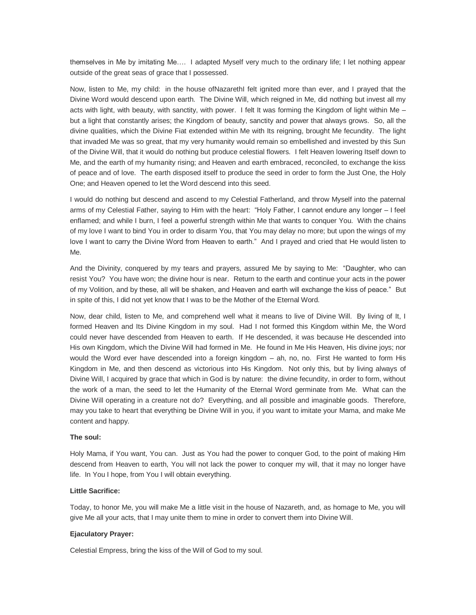themselves in Me by imitating Me…. I adapted Myself very much to the ordinary life; I let nothing appear outside of the great seas of grace that I possessed.

Now, listen to Me, my child: in the house ofNazarethI felt ignited more than ever, and I prayed that the Divine Word would descend upon earth. The Divine Will, which reigned in Me, did nothing but invest all my acts with light, with beauty, with sanctity, with power. I felt It was forming the Kingdom of light within Me – but a light that constantly arises; the Kingdom of beauty, sanctity and power that always grows. So, all the divine qualities, which the Divine Fiat extended within Me with Its reigning, brought Me fecundity. The light that invaded Me was so great, that my very humanity would remain so embellished and invested by this Sun of the Divine Will, that it would do nothing but produce celestial flowers. I felt Heaven lowering Itself down to Me, and the earth of my humanity rising; and Heaven and earth embraced, reconciled, to exchange the kiss of peace and of love. The earth disposed itself to produce the seed in order to form the Just One, the Holy One; and Heaven opened to let the Word descend into this seed.

I would do nothing but descend and ascend to my Celestial Fatherland, and throw Myself into the paternal arms of my Celestial Father, saying to Him with the heart: "Holy Father, I cannot endure any longer – I feel enflamed; and while I burn, I feel a powerful strength within Me that wants to conquer You. With the chains of my love I want to bind You in order to disarm You, that You may delay no more; but upon the wings of my love I want to carry the Divine Word from Heaven to earth." And I prayed and cried that He would listen to Me.

And the Divinity, conquered by my tears and prayers, assured Me by saying to Me: "Daughter, who can resist You? You have won; the divine hour is near. Return to the earth and continue your acts in the power of my Volition, and by these, all will be shaken, and Heaven and earth will exchange the kiss of peace." But in spite of this, I did not yet know that I was to be the Mother of the Eternal Word.

Now, dear child, listen to Me, and comprehend well what it means to live of Divine Will. By living of It, I formed Heaven and Its Divine Kingdom in my soul. Had I not formed this Kingdom within Me, the Word could never have descended from Heaven to earth. If He descended, it was because He descended into His own Kingdom, which the Divine Will had formed in Me. He found in Me His Heaven, His divine joys; nor would the Word ever have descended into a foreign kingdom – ah, no, no. First He wanted to form His Kingdom in Me, and then descend as victorious into His Kingdom. Not only this, but by living always of Divine Will, I acquired by grace that which in God is by nature: the divine fecundity, in order to form, without the work of a man, the seed to let the Humanity of the Eternal Word germinate from Me. What can the Divine Will operating in a creature not do? Everything, and all possible and imaginable goods. Therefore, may you take to heart that everything be Divine Will in you, if you want to imitate your Mama, and make Me content and happy.

#### **The soul:**

Holy Mama, if You want, You can. Just as You had the power to conquer God, to the point of making Him descend from Heaven to earth, You will not lack the power to conquer my will, that it may no longer have life. In You I hope, from You I will obtain everything.

### **Little Sacrifice:**

Today, to honor Me, you will make Me a little visit in the house of Nazareth, and, as homage to Me, you will give Me all your acts, that I may unite them to mine in order to convert them into Divine Will.

## **Ejaculatory Prayer:**

Celestial Empress, bring the kiss of the Will of God to my soul.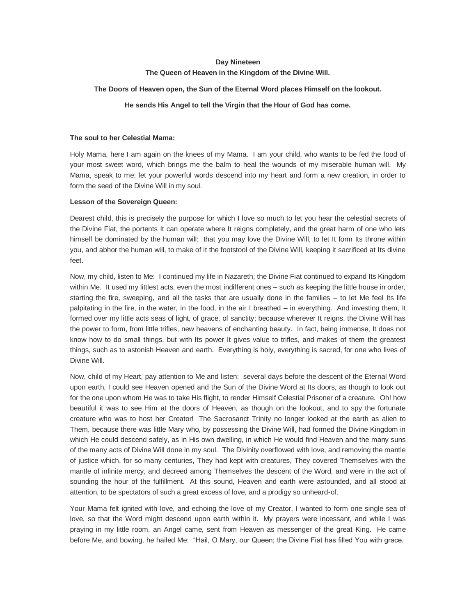#### **Day Nineteen**

## **The Queen of Heaven in the Kingdom of the Divine Will.**

## **The Doors of Heaven open, the Sun of the Eternal Word places Himself on the lookout.**

### **He sends His Angel to tell the Virgin that the Hour of God has come.**

### **The soul to her Celestial Mama:**

Holy Mama, here I am again on the knees of my Mama. I am your child, who wants to be fed the food of your most sweet word, which brings me the balm to heal the wounds of my miserable human will. My Mama, speak to me; let your powerful words descend into my heart and form a new creation, in order to form the seed of the Divine Will in my soul.

#### **Lesson of the Sovereign Queen:**

Dearest child, this is precisely the purpose for which I love so much to let you hear the celestial secrets of the Divine Fiat, the portents It can operate where It reigns completely, and the great harm of one who lets himself be dominated by the human will: that you may love the Divine Will, to let It form Its throne within you, and abhor the human will, to make of it the footstool of the Divine Will, keeping it sacrificed at Its divine feet.

Now, my child, listen to Me: I continued my life in Nazareth; the Divine Fiat continued to expand Its Kingdom within Me. It used my littlest acts, even the most indifferent ones – such as keeping the little house in order, starting the fire, sweeping, and all the tasks that are usually done in the families – to let Me feel Its life palpitating in the fire, in the water, in the food, in the air I breathed – in everything. And investing them, It formed over my little acts seas of light, of grace, of sanctity; because wherever It reigns, the Divine Will has the power to form, from little trifles, new heavens of enchanting beauty. In fact, being immense, It does not know how to do small things, but with Its power It gives value to trifles, and makes of them the greatest things, such as to astonish Heaven and earth. Everything is holy, everything is sacred, for one who lives of Divine Will.

Now, child of my Heart, pay attention to Me and listen: several days before the descent of the Eternal Word upon earth, I could see Heaven opened and the Sun of the Divine Word at Its doors, as though to look out for the one upon whom He was to take His flight, to render Himself Celestial Prisoner of a creature. Oh! how beautiful it was to see Him at the doors of Heaven, as though on the lookout, and to spy the fortunate creature who was to host her Creator! The Sacrosanct Trinity no longer looked at the earth as alien to Them, because there was little Mary who, by possessing the Divine Will, had formed the Divine Kingdom in which He could descend safely, as in His own dwelling, in which He would find Heaven and the many suns of the many acts of Divine Will done in my soul. The Divinity overflowed with love, and removing the mantle of justice which, for so many centuries, They had kept with creatures, They covered Themselves with the mantle of infinite mercy, and decreed among Themselves the descent of the Word, and were in the act of sounding the hour of the fulfillment. At this sound, Heaven and earth were astounded, and all stood at attention, to be spectators of such a great excess of love, and a prodigy so unheard-of.

Your Mama felt ignited with love, and echoing the love of my Creator, I wanted to form one single sea of love, so that the Word might descend upon earth within it. My prayers were incessant, and while I was praying in my little room, an Angel came, sent from Heaven as messenger of the great King. He came before Me, and bowing, he hailed Me: "Hail, O Mary, our Queen; the Divine Fiat has filled You with grace.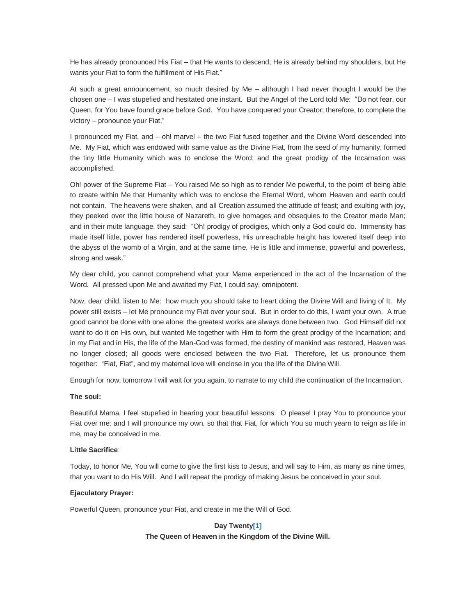He has already pronounced His Fiat – that He wants to descend; He is already behind my shoulders, but He wants your Fiat to form the fulfillment of His Fiat."

At such a great announcement, so much desired by Me – although I had never thought I would be the chosen one – I was stupefied and hesitated one instant. But the Angel of the Lord told Me: "Do not fear, our Queen, for You have found grace before God. You have conquered your Creator; therefore, to complete the victory – pronounce your Fiat."

I pronounced my Fiat, and – oh! marvel – the two Fiat fused together and the Divine Word descended into Me. My Fiat, which was endowed with same value as the Divine Fiat, from the seed of my humanity, formed the tiny little Humanity which was to enclose the Word; and the great prodigy of the Incarnation was accomplished.

Oh! power of the Supreme Fiat – You raised Me so high as to render Me powerful, to the point of being able to create within Me that Humanity which was to enclose the Eternal Word, whom Heaven and earth could not contain. The heavens were shaken, and all Creation assumed the attitude of feast; and exulting with joy, they peeked over the little house of Nazareth, to give homages and obsequies to the Creator made Man; and in their mute language, they said: "Oh! prodigy of prodigies, which only a God could do. Immensity has made itself little, power has rendered itself powerless, His unreachable height has lowered itself deep into the abyss of the womb of a Virgin, and at the same time, He is little and immense, powerful and powerless, strong and weak."

My dear child, you cannot comprehend what your Mama experienced in the act of the Incarnation of the Word. All pressed upon Me and awaited my Fiat, I could say, omnipotent.

Now, dear child, listen to Me: how much you should take to heart doing the Divine Will and living of It. My power still exists – let Me pronounce my Fiat over your soul. But in order to do this, I want your own. A true good cannot be done with one alone; the greatest works are always done between two. God Himself did not want to do it on His own, but wanted Me together with Him to form the great prodigy of the Incarnation; and in my Fiat and in His, the life of the Man-God was formed, the destiny of mankind was restored, Heaven was no longer closed; all goods were enclosed between the two Fiat. Therefore, let us pronounce them together: "Fiat, Fiat", and my maternal love will enclose in you the life of the Divine Will.

Enough for now; tomorrow I will wait for you again, to narrate to my child the continuation of the Incarnation.

## **The soul:**

Beautiful Mama, I feel stupefied in hearing your beautiful lessons. O please! I pray You to pronounce your Fiat over me; and I will pronounce my own, so that that Fiat, for which You so much yearn to reign as life in me, may be conceived in me.

### **Little Sacrifice**:

Today, to honor Me, You will come to give the first kiss to Jesus, and will say to Him, as many as nine times, that you want to do His Will. And I will repeat the prodigy of making Jesus be conceived in your soul.

#### **Ejaculatory Prayer:**

Powerful Queen, pronounce your Fiat, and create in me the Will of God.

**Day Twent[y\[1\]](http://divinewill.org/virgin_mary_in_the_kingdom_of_the.htm#_ftn1) The Queen of Heaven in the Kingdom of the Divine Will.**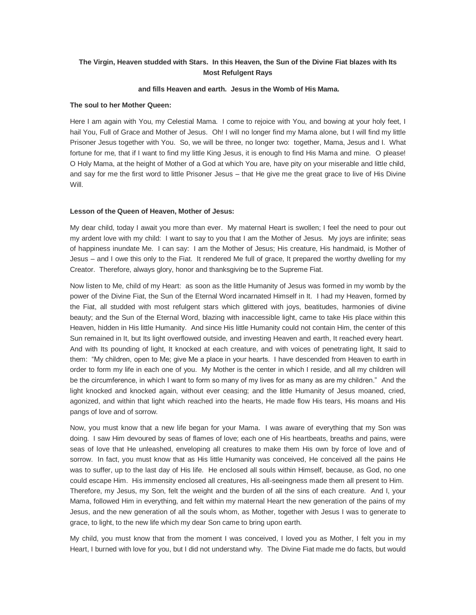## **The Virgin, Heaven studded with Stars. In this Heaven, the Sun of the Divine Fiat blazes with Its Most Refulgent Rays**

#### **and fills Heaven and earth. Jesus in the Womb of His Mama.**

#### **The soul to her Mother Queen:**

Here I am again with You, my Celestial Mama. I come to rejoice with You, and bowing at your holy feet, I hail You, Full of Grace and Mother of Jesus. Oh! I will no longer find my Mama alone, but I will find my little Prisoner Jesus together with You. So, we will be three, no longer two: together, Mama, Jesus and I. What fortune for me, that if I want to find my little King Jesus, it is enough to find His Mama and mine. O please! O Holy Mama, at the height of Mother of a God at which You are, have pity on your miserable and little child, and say for me the first word to little Prisoner Jesus – that He give me the great grace to live of His Divine Will.

#### **Lesson of the Queen of Heaven, Mother of Jesus:**

My dear child, today I await you more than ever. My maternal Heart is swollen; I feel the need to pour out my ardent love with my child: I want to say to you that I am the Mother of Jesus. My joys are infinite; seas of happiness inundate Me. I can say: I am the Mother of Jesus; His creature, His handmaid, is Mother of Jesus – and I owe this only to the Fiat. It rendered Me full of grace, It prepared the worthy dwelling for my Creator. Therefore, always glory, honor and thanksgiving be to the Supreme Fiat.

Now listen to Me, child of my Heart: as soon as the little Humanity of Jesus was formed in my womb by the power of the Divine Fiat, the Sun of the Eternal Word incarnated Himself in It. I had my Heaven, formed by the Fiat, all studded with most refulgent stars which glittered with joys, beatitudes, harmonies of divine beauty; and the Sun of the Eternal Word, blazing with inaccessible light, came to take His place within this Heaven, hidden in His little Humanity. And since His little Humanity could not contain Him, the center of this Sun remained in It, but Its light overflowed outside, and investing Heaven and earth, It reached every heart. And with Its pounding of light, It knocked at each creature, and with voices of penetrating light, It said to them: "My children, open to Me; give Me a place in your hearts. I have descended from Heaven to earth in order to form my life in each one of you. My Mother is the center in which I reside, and all my children will be the circumference, in which I want to form so many of my lives for as many as are my children." And the light knocked and knocked again, without ever ceasing; and the little Humanity of Jesus moaned, cried, agonized, and within that light which reached into the hearts, He made flow His tears, His moans and His pangs of love and of sorrow.

Now, you must know that a new life began for your Mama. I was aware of everything that my Son was doing. I saw Him devoured by seas of flames of love; each one of His heartbeats, breaths and pains, were seas of love that He unleashed, enveloping all creatures to make them His own by force of love and of sorrow. In fact, you must know that as His little Humanity was conceived, He conceived all the pains He was to suffer, up to the last day of His life. He enclosed all souls within Himself, because, as God, no one could escape Him. His immensity enclosed all creatures, His all-seeingness made them all present to Him. Therefore, my Jesus, my Son, felt the weight and the burden of all the sins of each creature. And I, your Mama, followed Him in everything, and felt within my maternal Heart the new generation of the pains of my Jesus, and the new generation of all the souls whom, as Mother, together with Jesus I was to generate to grace, to light, to the new life which my dear Son came to bring upon earth.

My child, you must know that from the moment I was conceived, I loved you as Mother, I felt you in my Heart, I burned with love for you, but I did not understand why. The Divine Fiat made me do facts, but would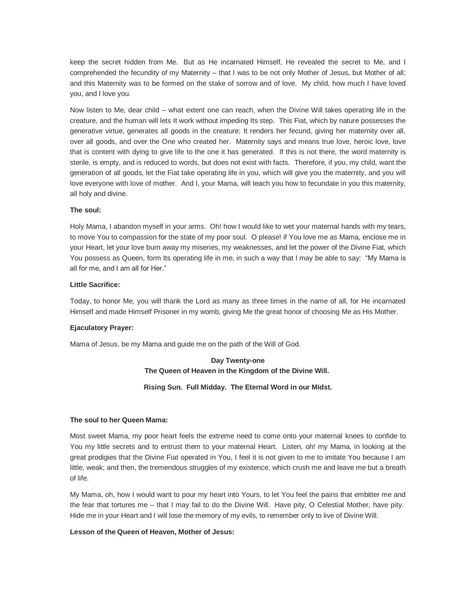keep the secret hidden from Me. But as He incarnated Himself, He revealed the secret to Me, and I comprehended the fecundity of my Maternity – that I was to be not only Mother of Jesus, but Mother of all; and this Maternity was to be formed on the stake of sorrow and of love. My child, how much I have loved you, and I love you.

Now listen to Me, dear child – what extent one can reach, when the Divine Will takes operating life in the creature, and the human will lets It work without impeding Its step. This Fiat, which by nature possesses the generative virtue, generates all goods in the creature; It renders her fecund, giving her maternity over all, over all goods, and over the One who created her. Maternity says and means true love, heroic love, love that is content with dying to give life to the one it has generated. If this is not there, the word maternity is sterile, is empty, and is reduced to words, but does not exist with facts. Therefore, if you, my child, want the generation of all goods, let the Fiat take operating life in you, which will give you the maternity, and you will love everyone with love of mother. And I, your Mama, will teach you how to fecundate in you this maternity, all holy and divine.

#### **The soul:**

Holy Mama, I abandon myself in your arms. Oh! how I would like to wet your maternal hands with my tears, to move You to compassion for the state of my poor soul. O please! if You love me as Mama, enclose me in your Heart, let your love burn away my miseries, my weaknesses, and let the power of the Divine Fiat, which You possess as Queen, form Its operating life in me, in such a way that I may be able to say: "My Mama is all for me, and I am all for Her."

## **Little Sacrifice:**

Today, to honor Me, you will thank the Lord as many as three times in the name of all, for He incarnated Himself and made Himself Prisoner in my womb, giving Me the great honor of choosing Me as His Mother.

#### **Ejaculatory Prayer:**

Mama of Jesus, be my Mama and guide me on the path of the Will of God.

## **Day Twenty-one The Queen of Heaven in the Kingdom of the Divine Will.**

## **Rising Sun. Full Midday. The Eternal Word in our Midst.**

#### **The soul to her Queen Mama:**

Most sweet Mama, my poor heart feels the extreme need to come onto your maternal knees to confide to You my little secrets and to entrust them to your maternal Heart. Listen, oh! my Mama, in looking at the great prodigies that the Divine Fiat operated in You, I feel it is not given to me to imitate You because I am little, weak; and then, the tremendous struggles of my existence, which crush me and leave me but a breath of life.

My Mama, oh, how I would want to pour my heart into Yours, to let You feel the pains that embitter me and the fear that tortures me – that I may fail to do the Divine Will. Have pity, O Celestial Mother, have pity. Hide me in your Heart and I will lose the memory of my evils, to remember only to live of Divine Will.

#### **Lesson of the Queen of Heaven, Mother of Jesus:**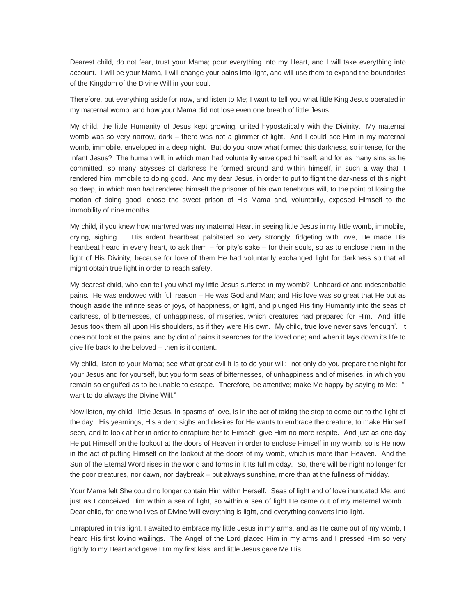Dearest child, do not fear, trust your Mama; pour everything into my Heart, and I will take everything into account. I will be your Mama, I will change your pains into light, and will use them to expand the boundaries of the Kingdom of the Divine Will in your soul.

Therefore, put everything aside for now, and listen to Me; I want to tell you what little King Jesus operated in my maternal womb, and how your Mama did not lose even one breath of little Jesus.

My child, the little Humanity of Jesus kept growing, united hypostatically with the Divinity. My maternal womb was so very narrow, dark – there was not a glimmer of light. And I could see Him in my maternal womb, immobile, enveloped in a deep night. But do you know what formed this darkness, so intense, for the Infant Jesus? The human will, in which man had voluntarily enveloped himself; and for as many sins as he committed, so many abysses of darkness he formed around and within himself, in such a way that it rendered him immobile to doing good. And my dear Jesus, in order to put to flight the darkness of this night so deep, in which man had rendered himself the prisoner of his own tenebrous will, to the point of losing the motion of doing good, chose the sweet prison of His Mama and, voluntarily, exposed Himself to the immobility of nine months.

My child, if you knew how martyred was my maternal Heart in seeing little Jesus in my little womb, immobile, crying, sighing…. His ardent heartbeat palpitated so very strongly; fidgeting with love, He made His heartbeat heard in every heart, to ask them – for pity's sake – for their souls, so as to enclose them in the light of His Divinity, because for love of them He had voluntarily exchanged light for darkness so that all might obtain true light in order to reach safety.

My dearest child, who can tell you what my little Jesus suffered in my womb? Unheard-of and indescribable pains. He was endowed with full reason – He was God and Man; and His love was so great that He put as though aside the infinite seas of joys, of happiness, of light, and plunged His tiny Humanity into the seas of darkness, of bitternesses, of unhappiness, of miseries, which creatures had prepared for Him. And little Jesus took them all upon His shoulders, as if they were His own. My child, true love never says 'enough'. It does not look at the pains, and by dint of pains it searches for the loved one; and when it lays down its life to give life back to the beloved – then is it content.

My child, listen to your Mama; see what great evil it is to do your will: not only do you prepare the night for your Jesus and for yourself, but you form seas of bitternesses, of unhappiness and of miseries, in which you remain so engulfed as to be unable to escape. Therefore, be attentive; make Me happy by saying to Me: "I want to do always the Divine Will."

Now listen, my child: little Jesus, in spasms of love, is in the act of taking the step to come out to the light of the day. His yearnings, His ardent sighs and desires for He wants to embrace the creature, to make Himself seen, and to look at her in order to enrapture her to Himself, give Him no more respite. And just as one day He put Himself on the lookout at the doors of Heaven in order to enclose Himself in my womb, so is He now in the act of putting Himself on the lookout at the doors of my womb, which is more than Heaven. And the Sun of the Eternal Word rises in the world and forms in it Its full midday. So, there will be night no longer for the poor creatures, nor dawn, nor daybreak – but always sunshine, more than at the fullness of midday.

Your Mama felt She could no longer contain Him within Herself. Seas of light and of love inundated Me; and just as I conceived Him within a sea of light, so within a sea of light He came out of my maternal womb. Dear child, for one who lives of Divine Will everything is light, and everything converts into light.

Enraptured in this light, I awaited to embrace my little Jesus in my arms, and as He came out of my womb, I heard His first loving wailings. The Angel of the Lord placed Him in my arms and I pressed Him so very tightly to my Heart and gave Him my first kiss, and little Jesus gave Me His.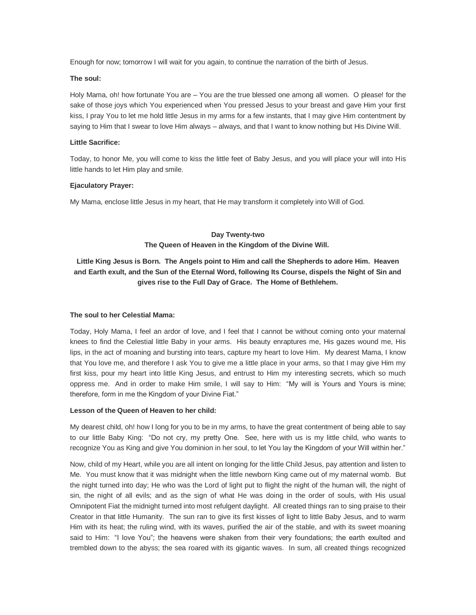Enough for now; tomorrow I will wait for you again, to continue the narration of the birth of Jesus.

## **The soul:**

Holy Mama, oh! how fortunate You are – You are the true blessed one among all women. O please! for the sake of those joys which You experienced when You pressed Jesus to your breast and gave Him your first kiss, I pray You to let me hold little Jesus in my arms for a few instants, that I may give Him contentment by saying to Him that I swear to love Him always – always, and that I want to know nothing but His Divine Will.

## **Little Sacrifice:**

Today, to honor Me, you will come to kiss the little feet of Baby Jesus, and you will place your will into His little hands to let Him play and smile.

## **Ejaculatory Prayer:**

My Mama, enclose little Jesus in my heart, that He may transform it completely into Will of God.

## **Day Twenty-two The Queen of Heaven in the Kingdom of the Divine Will.**

## **Little King Jesus is Born. The Angels point to Him and call the Shepherds to adore Him. Heaven and Earth exult, and the Sun of the Eternal Word, following Its Course, dispels the Night of Sin and gives rise to the Full Day of Grace. The Home of Bethlehem.**

## **The soul to her Celestial Mama:**

Today, Holy Mama, I feel an ardor of love, and I feel that I cannot be without coming onto your maternal knees to find the Celestial little Baby in your arms. His beauty enraptures me, His gazes wound me, His lips, in the act of moaning and bursting into tears, capture my heart to love Him. My dearest Mama, I know that You love me, and therefore I ask You to give me a little place in your arms, so that I may give Him my first kiss, pour my heart into little King Jesus, and entrust to Him my interesting secrets, which so much oppress me. And in order to make Him smile, I will say to Him: "My will is Yours and Yours is mine; therefore, form in me the Kingdom of your Divine Fiat."

## **Lesson of the Queen of Heaven to her child:**

My dearest child, oh! how I long for you to be in my arms, to have the great contentment of being able to say to our little Baby King: "Do not cry, my pretty One. See, here with us is my little child, who wants to recognize You as King and give You dominion in her soul, to let You lay the Kingdom of your Will within her."

Now, child of my Heart, while you are all intent on longing for the little Child Jesus, pay attention and listen to Me. You must know that it was midnight when the little newborn King came out of my maternal womb. But the night turned into day; He who was the Lord of light put to flight the night of the human will, the night of sin, the night of all evils; and as the sign of what He was doing in the order of souls, with His usual Omnipotent Fiat the midnight turned into most refulgent daylight. All created things ran to sing praise to their Creator in that little Humanity. The sun ran to give its first kisses of light to little Baby Jesus, and to warm Him with its heat; the ruling wind, with its waves, purified the air of the stable, and with its sweet moaning said to Him: "I love You"; the heavens were shaken from their very foundations; the earth exulted and trembled down to the abyss; the sea roared with its gigantic waves. In sum, all created things recognized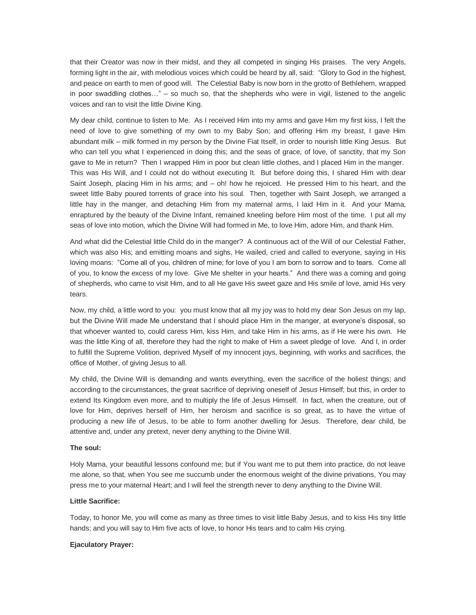that their Creator was now in their midst, and they all competed in singing His praises. The very Angels, forming light in the air, with melodious voices which could be heard by all, said: "Glory to God in the highest, and peace on earth to men of good will. The Celestial Baby is now born in the grotto of Bethlehem, wrapped in poor swaddling clothes…" – so much so, that the shepherds who were in vigil, listened to the angelic voices and ran to visit the little Divine King.

My dear child, continue to listen to Me. As I received Him into my arms and gave Him my first kiss, I felt the need of love to give something of my own to my Baby Son; and offering Him my breast, I gave Him abundant milk – milk formed in my person by the Divine Fiat Itself, in order to nourish little King Jesus. But who can tell you what I experienced in doing this; and the seas of grace, of love, of sanctity, that my Son gave to Me in return? Then I wrapped Him in poor but clean little clothes, and I placed Him in the manger. This was His Will, and I could not do without executing It. But before doing this, I shared Him with dear Saint Joseph, placing Him in his arms; and – oh! how he rejoiced. He pressed Him to his heart, and the sweet little Baby poured torrents of grace into his soul. Then, together with Saint Joseph, we arranged a little hay in the manger, and detaching Him from my maternal arms, I laid Him in it. And your Mama, enraptured by the beauty of the Divine Infant, remained kneeling before Him most of the time. I put all my seas of love into motion, which the Divine Will had formed in Me, to love Him, adore Him, and thank Him.

And what did the Celestial little Child do in the manger? A continuous act of the Will of our Celestial Father, which was also His; and emitting moans and sighs, He wailed, cried and called to everyone, saying in His loving moans: "Come all of you, children of mine; for love of you I am born to sorrow and to tears. Come all of you, to know the excess of my love. Give Me shelter in your hearts." And there was a coming and going of shepherds, who came to visit Him, and to all He gave His sweet gaze and His smile of love, amid His very tears.

Now, my child, a little word to you: you must know that all my joy was to hold my dear Son Jesus on my lap, but the Divine Will made Me understand that I should place Him in the manger, at everyone's disposal, so that whoever wanted to, could caress Him, kiss Him, and take Him in his arms, as if He were his own. He was the little King of all, therefore they had the right to make of Him a sweet pledge of love. And I, in order to fulfill the Supreme Volition, deprived Myself of my innocent joys, beginning, with works and sacrifices, the office of Mother, of giving Jesus to all.

My child, the Divine Will is demanding and wants everything, even the sacrifice of the holiest things; and according to the circumstances, the great sacrifice of depriving oneself of Jesus Himself; but this, in order to extend Its Kingdom even more, and to multiply the life of Jesus Himself. In fact, when the creature, out of love for Him, deprives herself of Him, her heroism and sacrifice is so great, as to have the virtue of producing a new life of Jesus, to be able to form another dwelling for Jesus. Therefore, dear child, be attentive and, under any pretext, never deny anything to the Divine Will.

## **The soul:**

Holy Mama, your beautiful lessons confound me; but if You want me to put them into practice, do not leave me alone, so that, when You see me succumb under the enormous weight of the divine privations, You may press me to your maternal Heart; and I will feel the strength never to deny anything to the Divine Will.

#### **Little Sacrifice:**

Today, to honor Me, you will come as many as three times to visit little Baby Jesus, and to kiss His tiny little hands; and you will say to Him five acts of love, to honor His tears and to calm His crying.

#### **Ejaculatory Prayer:**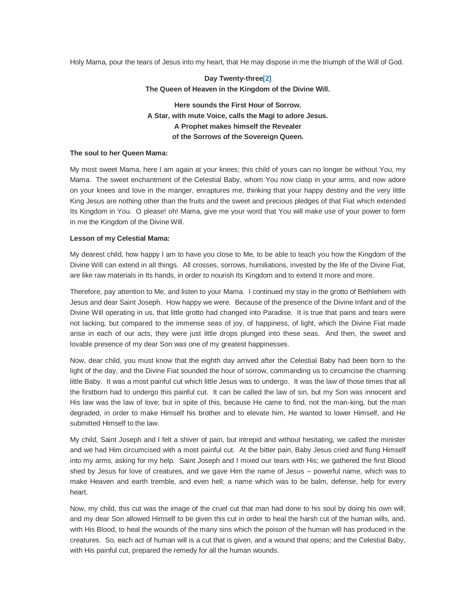Holy Mama, pour the tears of Jesus into my heart, that He may dispose in me the triumph of the Will of God.

## **Day Twenty-thre[e\[2\]](http://divinewill.org/virgin_mary_in_the_kingdom_of_the.htm#_ftn2) The Queen of Heaven in the Kingdom of the Divine Will.**

## **Here sounds the First Hour of Sorrow. A Star, with mute Voice, calls the Magi to adore Jesus. A Prophet makes himself the Revealer of the Sorrows of the Sovereign Queen.**

## **The soul to her Queen Mama:**

My most sweet Mama, here I am again at your knees; this child of yours can no longer be without You, my Mama. The sweet enchantment of the Celestial Baby, whom You now clasp in your arms, and now adore on your knees and love in the manger, enraptures me, thinking that your happy destiny and the very little King Jesus are nothing other than the fruits and the sweet and precious pledges of that Fiat which extended Its Kingdom in You. O please! oh! Mama, give me your word that You will make use of your power to form in me the Kingdom of the Divine Will.

#### **Lesson of my Celestial Mama:**

My dearest child, how happy I am to have you close to Me, to be able to teach you how the Kingdom of the Divine Will can extend in all things. All crosses, sorrows, humiliations, invested by the life of the Divine Fiat, are like raw materials in Its hands, in order to nourish Its Kingdom and to extend It more and more.

Therefore, pay attention to Me, and listen to your Mama. I continued my stay in the grotto of Bethlehem with Jesus and dear Saint Joseph. How happy we were. Because of the presence of the Divine Infant and of the Divine Will operating in us, that little grotto had changed into Paradise. It is true that pains and tears were not lacking, but compared to the immense seas of joy, of happiness, of light, which the Divine Fiat made arise in each of our acts, they were just little drops plunged into these seas. And then, the sweet and lovable presence of my dear Son was one of my greatest happinesses.

Now, dear child, you must know that the eighth day arrived after the Celestial Baby had been born to the light of the day, and the Divine Fiat sounded the hour of sorrow, commanding us to circumcise the charming little Baby. It was a most painful cut which little Jesus was to undergo. It was the law of those times that all the firstborn had to undergo this painful cut. It can be called the law of sin, but my Son was innocent and His law was the law of love; but in spite of this, because He came to find, not the man-king, but the man degraded, in order to make Himself his brother and to elevate him, He wanted to lower Himself, and He submitted Himself to the law.

My child, Saint Joseph and I felt a shiver of pain, but intrepid and without hesitating, we called the minister and we had Him circumcised with a most painful cut. At the bitter pain, Baby Jesus cried and flung Himself into my arms, asking for my help. Saint Joseph and I mixed our tears with His; we gathered the first Blood shed by Jesus for love of creatures, and we gave Him the name of Jesus – powerful name, which was to make Heaven and earth tremble, and even hell; a name which was to be balm, defense, help for every heart.

Now, my child, this cut was the image of the cruel cut that man had done to his soul by doing his own will; and my dear Son allowed Himself to be given this cut in order to heal the harsh cut of the human wills, and, with His Blood, to heal the wounds of the many sins which the poison of the human will has produced in the creatures. So, each act of human will is a cut that is given, and a wound that opens; and the Celestial Baby, with His painful cut, prepared the remedy for all the human wounds.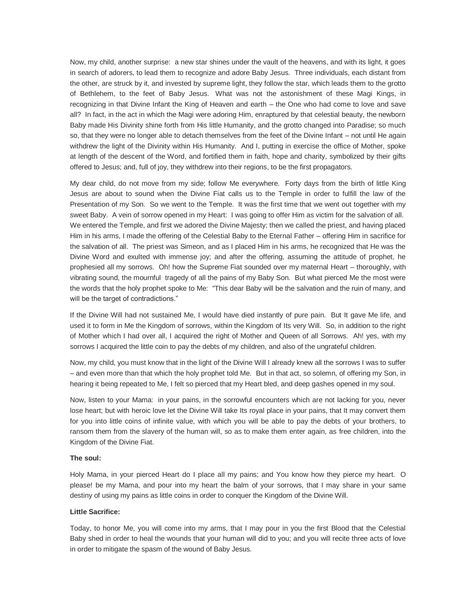Now, my child, another surprise: a new star shines under the vault of the heavens, and with its light, it goes in search of adorers, to lead them to recognize and adore Baby Jesus. Three individuals, each distant from the other, are struck by it, and invested by supreme light, they follow the star, which leads them to the grotto of Bethlehem, to the feet of Baby Jesus. What was not the astonishment of these Magi Kings, in recognizing in that Divine Infant the King of Heaven and earth – the One who had come to love and save all? In fact, in the act in which the Magi were adoring Him, enraptured by that celestial beauty, the newborn Baby made His Divinity shine forth from His little Humanity, and the grotto changed into Paradise; so much so, that they were no longer able to detach themselves from the feet of the Divine Infant – not until He again withdrew the light of the Divinity within His Humanity. And I, putting in exercise the office of Mother, spoke at length of the descent of the Word, and fortified them in faith, hope and charity, symbolized by their gifts offered to Jesus; and, full of joy, they withdrew into their regions, to be the first propagators.

My dear child, do not move from my side; follow Me everywhere. Forty days from the birth of little King Jesus are about to sound when the Divine Fiat calls us to the Temple in order to fulfill the law of the Presentation of my Son. So we went to the Temple. It was the first time that we went out together with my sweet Baby. A vein of sorrow opened in my Heart: I was going to offer Him as victim for the salvation of all. We entered the Temple, and first we adored the Divine Majesty; then we called the priest, and having placed Him in his arms, I made the offering of the Celestial Baby to the Eternal Father – offering Him in sacrifice for the salvation of all. The priest was Simeon, and as I placed Him in his arms, he recognized that He was the Divine Word and exulted with immense joy; and after the offering, assuming the attitude of prophet, he prophesied all my sorrows. Oh! how the Supreme Fiat sounded over my maternal Heart – thoroughly, with vibrating sound, the mournful tragedy of all the pains of my Baby Son. But what pierced Me the most were the words that the holy prophet spoke to Me: "This dear Baby will be the salvation and the ruin of many, and will be the target of contradictions."

If the Divine Will had not sustained Me, I would have died instantly of pure pain. But It gave Me life, and used it to form in Me the Kingdom of sorrows, within the Kingdom of Its very Will. So, in addition to the right of Mother which I had over all, I acquired the right of Mother and Queen of all Sorrows. Ah! yes, with my sorrows I acquired the little coin to pay the debts of my children, and also of the ungrateful children.

Now, my child, you must know that in the light of the Divine Will I already knew all the sorrows I was to suffer – and even more than that which the holy prophet told Me. But in that act, so solemn, of offering my Son, in hearing it being repeated to Me, I felt so pierced that my Heart bled, and deep gashes opened in my soul.

Now, listen to your Mama: in your pains, in the sorrowful encounters which are not lacking for you, never lose heart; but with heroic love let the Divine Will take Its royal place in your pains, that It may convert them for you into little coins of infinite value, with which you will be able to pay the debts of your brothers, to ransom them from the slavery of the human will, so as to make them enter again, as free children, into the Kingdom of the Divine Fiat.

#### **The soul:**

Holy Mama, in your pierced Heart do I place all my pains; and You know how they pierce my heart. O please! be my Mama, and pour into my heart the balm of your sorrows, that I may share in your same destiny of using my pains as little coins in order to conquer the Kingdom of the Divine Will.

## **Little Sacrifice:**

Today, to honor Me, you will come into my arms, that I may pour in you the first Blood that the Celestial Baby shed in order to heal the wounds that your human will did to you; and you will recite three acts of love in order to mitigate the spasm of the wound of Baby Jesus.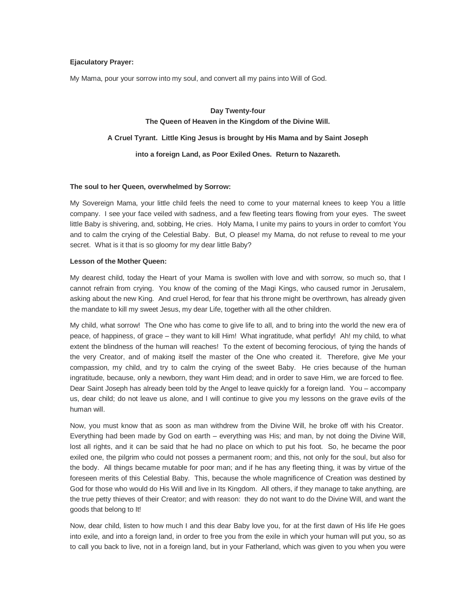## **Ejaculatory Prayer:**

My Mama, pour your sorrow into my soul, and convert all my pains into Will of God.

**Day Twenty-four The Queen of Heaven in the Kingdom of the Divine Will. A Cruel Tyrant. Little King Jesus is brought by His Mama and by Saint Joseph into a foreign Land, as Poor Exiled Ones. Return to Nazareth.**

#### **The soul to her Queen, overwhelmed by Sorrow:**

My Sovereign Mama, your little child feels the need to come to your maternal knees to keep You a little company. I see your face veiled with sadness, and a few fleeting tears flowing from your eyes. The sweet little Baby is shivering, and, sobbing, He cries. Holy Mama, I unite my pains to yours in order to comfort You and to calm the crying of the Celestial Baby. But, O please! my Mama, do not refuse to reveal to me your secret. What is it that is so gloomy for my dear little Baby?

#### **Lesson of the Mother Queen:**

My dearest child, today the Heart of your Mama is swollen with love and with sorrow, so much so, that I cannot refrain from crying. You know of the coming of the Magi Kings, who caused rumor in Jerusalem, asking about the new King. And cruel Herod, for fear that his throne might be overthrown, has already given the mandate to kill my sweet Jesus, my dear Life, together with all the other children.

My child, what sorrow! The One who has come to give life to all, and to bring into the world the new era of peace, of happiness, of grace – they want to kill Him! What ingratitude, what perfidy! Ah! my child, to what extent the blindness of the human will reaches! To the extent of becoming ferocious, of tying the hands of the very Creator, and of making itself the master of the One who created it. Therefore, give Me your compassion, my child, and try to calm the crying of the sweet Baby. He cries because of the human ingratitude, because, only a newborn, they want Him dead; and in order to save Him, we are forced to flee. Dear Saint Joseph has already been told by the Angel to leave quickly for a foreign land. You – accompany us, dear child; do not leave us alone, and I will continue to give you my lessons on the grave evils of the human will.

Now, you must know that as soon as man withdrew from the Divine Will, he broke off with his Creator. Everything had been made by God on earth – everything was His; and man, by not doing the Divine Will, lost all rights, and it can be said that he had no place on which to put his foot. So, he became the poor exiled one, the pilgrim who could not posses a permanent room; and this, not only for the soul, but also for the body. All things became mutable for poor man; and if he has any fleeting thing, it was by virtue of the foreseen merits of this Celestial Baby. This, because the whole magnificence of Creation was destined by God for those who would do His Will and live in Its Kingdom. All others, if they manage to take anything, are the true petty thieves of their Creator; and with reason: they do not want to do the Divine Will, and want the goods that belong to It!

Now, dear child, listen to how much I and this dear Baby love you, for at the first dawn of His life He goes into exile, and into a foreign land, in order to free you from the exile in which your human will put you, so as to call you back to live, not in a foreign land, but in your Fatherland, which was given to you when you were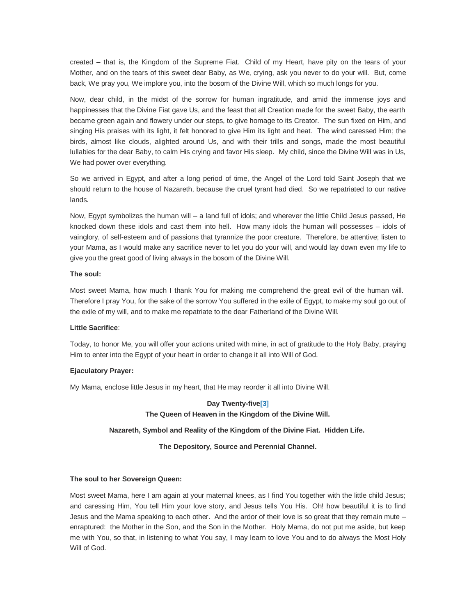created – that is, the Kingdom of the Supreme Fiat. Child of my Heart, have pity on the tears of your Mother, and on the tears of this sweet dear Baby, as We, crying, ask you never to do your will. But, come back, We pray you, We implore you, into the bosom of the Divine Will, which so much longs for you.

Now, dear child, in the midst of the sorrow for human ingratitude, and amid the immense joys and happinesses that the Divine Fiat gave Us, and the feast that all Creation made for the sweet Baby, the earth became green again and flowery under our steps, to give homage to its Creator. The sun fixed on Him, and singing His praises with its light, it felt honored to give Him its light and heat. The wind caressed Him; the birds, almost like clouds, alighted around Us, and with their trills and songs, made the most beautiful lullabies for the dear Baby, to calm His crying and favor His sleep. My child, since the Divine Will was in Us, We had power over everything.

So we arrived in Egypt, and after a long period of time, the Angel of the Lord told Saint Joseph that we should return to the house of Nazareth, because the cruel tyrant had died. So we repatriated to our native lands.

Now, Egypt symbolizes the human will – a land full of idols; and wherever the little Child Jesus passed, He knocked down these idols and cast them into hell. How many idols the human will possesses – idols of vainglory, of self-esteem and of passions that tyrannize the poor creature. Therefore, be attentive; listen to your Mama, as I would make any sacrifice never to let you do your will, and would lay down even my life to give you the great good of living always in the bosom of the Divine Will.

#### **The soul:**

Most sweet Mama, how much I thank You for making me comprehend the great evil of the human will. Therefore I pray You, for the sake of the sorrow You suffered in the exile of Egypt, to make my soul go out of the exile of my will, and to make me repatriate to the dear Fatherland of the Divine Will.

#### **Little Sacrifice**:

Today, to honor Me, you will offer your actions united with mine, in act of gratitude to the Holy Baby, praying Him to enter into the Egypt of your heart in order to change it all into Will of God.

## **Ejaculatory Prayer:**

My Mama, enclose little Jesus in my heart, that He may reorder it all into Divine Will.

## **Day Twenty-fiv[e\[3\]](http://divinewill.org/virgin_mary_in_the_kingdom_of_the.htm#_ftn3) The Queen of Heaven in the Kingdom of the Divine Will.**

#### **Nazareth, Symbol and Reality of the Kingdom of the Divine Fiat. Hidden Life.**

## **The Depository, Source and Perennial Channel.**

#### **The soul to her Sovereign Queen:**

Most sweet Mama, here I am again at your maternal knees, as I find You together with the little child Jesus; and caressing Him, You tell Him your love story, and Jesus tells You His. Oh! how beautiful it is to find Jesus and the Mama speaking to each other. And the ardor of their love is so great that they remain mute – enraptured: the Mother in the Son, and the Son in the Mother. Holy Mama, do not put me aside, but keep me with You, so that, in listening to what You say, I may learn to love You and to do always the Most Holy Will of God.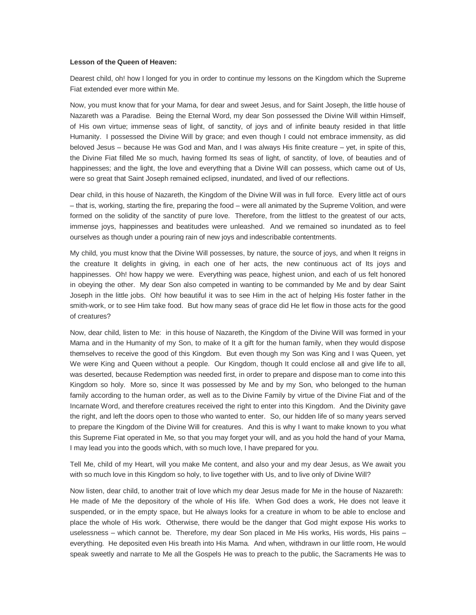#### **Lesson of the Queen of Heaven:**

Dearest child, oh! how I longed for you in order to continue my lessons on the Kingdom which the Supreme Fiat extended ever more within Me.

Now, you must know that for your Mama, for dear and sweet Jesus, and for Saint Joseph, the little house of Nazareth was a Paradise. Being the Eternal Word, my dear Son possessed the Divine Will within Himself, of His own virtue; immense seas of light, of sanctity, of joys and of infinite beauty resided in that little Humanity. I possessed the Divine Will by grace; and even though I could not embrace immensity, as did beloved Jesus – because He was God and Man, and I was always His finite creature – yet, in spite of this, the Divine Fiat filled Me so much, having formed Its seas of light, of sanctity, of love, of beauties and of happinesses; and the light, the love and everything that a Divine Will can possess, which came out of Us, were so great that Saint Joseph remained eclipsed, inundated, and lived of our reflections.

Dear child, in this house of Nazareth, the Kingdom of the Divine Will was in full force. Every little act of ours – that is, working, starting the fire, preparing the food – were all animated by the Supreme Volition, and were formed on the solidity of the sanctity of pure love. Therefore, from the littlest to the greatest of our acts, immense joys, happinesses and beatitudes were unleashed. And we remained so inundated as to feel ourselves as though under a pouring rain of new joys and indescribable contentments.

My child, you must know that the Divine Will possesses, by nature, the source of joys, and when It reigns in the creature It delights in giving, in each one of her acts, the new continuous act of Its joys and happinesses. Oh! how happy we were. Everything was peace, highest union, and each of us felt honored in obeying the other. My dear Son also competed in wanting to be commanded by Me and by dear Saint Joseph in the little jobs. Oh! how beautiful it was to see Him in the act of helping His foster father in the smith-work, or to see Him take food. But how many seas of grace did He let flow in those acts for the good of creatures?

Now, dear child, listen to Me: in this house of Nazareth, the Kingdom of the Divine Will was formed in your Mama and in the Humanity of my Son, to make of It a gift for the human family, when they would dispose themselves to receive the good of this Kingdom. But even though my Son was King and I was Queen, yet We were King and Queen without a people. Our Kingdom, though It could enclose all and give life to all, was deserted, because Redemption was needed first, in order to prepare and dispose man to come into this Kingdom so holy. More so, since It was possessed by Me and by my Son, who belonged to the human family according to the human order, as well as to the Divine Family by virtue of the Divine Fiat and of the Incarnate Word, and therefore creatures received the right to enter into this Kingdom. And the Divinity gave the right, and left the doors open to those who wanted to enter. So, our hidden life of so many years served to prepare the Kingdom of the Divine Will for creatures. And this is why I want to make known to you what this Supreme Fiat operated in Me, so that you may forget your will, and as you hold the hand of your Mama, I may lead you into the goods which, with so much love, I have prepared for you.

Tell Me, child of my Heart, will you make Me content, and also your and my dear Jesus, as We await you with so much love in this Kingdom so holy, to live together with Us, and to live only of Divine Will?

Now listen, dear child, to another trait of love which my dear Jesus made for Me in the house of Nazareth: He made of Me the depository of the whole of His life. When God does a work, He does not leave it suspended, or in the empty space, but He always looks for a creature in whom to be able to enclose and place the whole of His work. Otherwise, there would be the danger that God might expose His works to uselessness – which cannot be. Therefore, my dear Son placed in Me His works, His words, His pains – everything. He deposited even His breath into His Mama. And when, withdrawn in our little room, He would speak sweetly and narrate to Me all the Gospels He was to preach to the public, the Sacraments He was to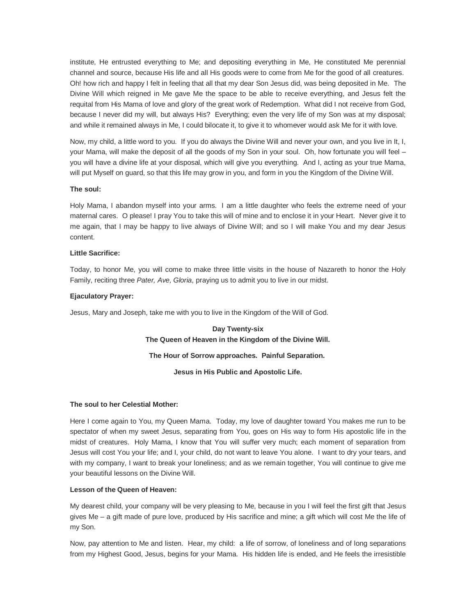institute, He entrusted everything to Me; and depositing everything in Me, He constituted Me perennial channel and source, because His life and all His goods were to come from Me for the good of all creatures. Oh! how rich and happy I felt in feeling that all that my dear Son Jesus did, was being deposited in Me. The Divine Will which reigned in Me gave Me the space to be able to receive everything, and Jesus felt the requital from His Mama of love and glory of the great work of Redemption. What did I not receive from God, because I never did my will, but always His? Everything; even the very life of my Son was at my disposal; and while it remained always in Me, I could bilocate it, to give it to whomever would ask Me for it with love.

Now, my child, a little word to you. If you do always the Divine Will and never your own, and you live in It, I, your Mama, will make the deposit of all the goods of my Son in your soul. Oh, how fortunate you will feel – you will have a divine life at your disposal, which will give you everything. And I, acting as your true Mama, will put Myself on guard, so that this life may grow in you, and form in you the Kingdom of the Divine Will.

#### **The soul:**

Holy Mama, I abandon myself into your arms. I am a little daughter who feels the extreme need of your maternal cares. O please! I pray You to take this will of mine and to enclose it in your Heart. Never give it to me again, that I may be happy to live always of Divine Will; and so I will make You and my dear Jesus content.

## **Little Sacrifice:**

Today, to honor Me, you will come to make three little visits in the house of Nazareth to honor the Holy Family, reciting three *Pater, Ave, Gloria*, praying us to admit you to live in our midst.

#### **Ejaculatory Prayer:**

Jesus, Mary and Joseph, take me with you to live in the Kingdom of the Will of God.

## **Day Twenty-six The Queen of Heaven in the Kingdom of the Divine Will.**

**The Hour of Sorrow approaches. Painful Separation.**

## **Jesus in His Public and Apostolic Life.**

#### **The soul to her Celestial Mother:**

Here I come again to You, my Queen Mama. Today, my love of daughter toward You makes me run to be spectator of when my sweet Jesus, separating from You, goes on His way to form His apostolic life in the midst of creatures. Holy Mama, I know that You will suffer very much; each moment of separation from Jesus will cost You your life; and I, your child, do not want to leave You alone. I want to dry your tears, and with my company, I want to break your loneliness; and as we remain together, You will continue to give me your beautiful lessons on the Divine Will.

#### **Lesson of the Queen of Heaven:**

My dearest child, your company will be very pleasing to Me, because in you I will feel the first gift that Jesus gives Me – a gift made of pure love, produced by His sacrifice and mine; a gift which will cost Me the life of my Son.

Now, pay attention to Me and listen. Hear, my child: a life of sorrow, of loneliness and of long separations from my Highest Good, Jesus, begins for your Mama. His hidden life is ended, and He feels the irresistible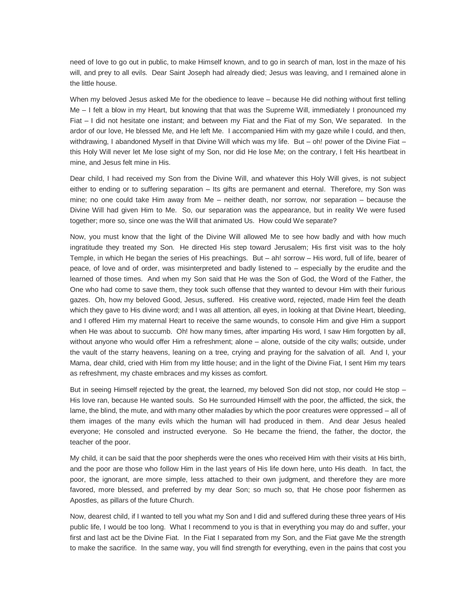need of love to go out in public, to make Himself known, and to go in search of man, lost in the maze of his will, and prey to all evils. Dear Saint Joseph had already died; Jesus was leaving, and I remained alone in the little house.

When my beloved Jesus asked Me for the obedience to leave – because He did nothing without first telling Me – I felt a blow in my Heart, but knowing that that was the Supreme Will, immediately I pronounced my Fiat – I did not hesitate one instant; and between my Fiat and the Fiat of my Son, We separated. In the ardor of our love, He blessed Me, and He left Me. I accompanied Him with my gaze while I could, and then, withdrawing, I abandoned Myself in that Divine Will which was my life. But – oh! power of the Divine Fiat – this Holy Will never let Me lose sight of my Son, nor did He lose Me; on the contrary, I felt His heartbeat in mine, and Jesus felt mine in His.

Dear child, I had received my Son from the Divine Will, and whatever this Holy Will gives, is not subject either to ending or to suffering separation – Its gifts are permanent and eternal. Therefore, my Son was mine; no one could take Him away from Me – neither death, nor sorrow, nor separation – because the Divine Will had given Him to Me. So, our separation was the appearance, but in reality We were fused together; more so, since one was the Will that animated Us. How could We separate?

Now, you must know that the light of the Divine Will allowed Me to see how badly and with how much ingratitude they treated my Son. He directed His step toward Jerusalem; His first visit was to the holy Temple, in which He began the series of His preachings. But – ah! sorrow – His word, full of life, bearer of peace, of love and of order, was misinterpreted and badly listened to – especially by the erudite and the learned of those times. And when my Son said that He was the Son of God, the Word of the Father, the One who had come to save them, they took such offense that they wanted to devour Him with their furious gazes. Oh, how my beloved Good, Jesus, suffered. His creative word, rejected, made Him feel the death which they gave to His divine word; and I was all attention, all eyes, in looking at that Divine Heart, bleeding, and I offered Him my maternal Heart to receive the same wounds, to console Him and give Him a support when He was about to succumb. Oh! how many times, after imparting His word, I saw Him forgotten by all, without anyone who would offer Him a refreshment; alone – alone, outside of the city walls; outside, under the vault of the starry heavens, leaning on a tree, crying and praying for the salvation of all. And I, your Mama, dear child, cried with Him from my little house; and in the light of the Divine Fiat, I sent Him my tears as refreshment, my chaste embraces and my kisses as comfort.

But in seeing Himself rejected by the great, the learned, my beloved Son did not stop, nor could He stop – His love ran, because He wanted souls. So He surrounded Himself with the poor, the afflicted, the sick, the lame, the blind, the mute, and with many other maladies by which the poor creatures were oppressed – all of them images of the many evils which the human will had produced in them. And dear Jesus healed everyone; He consoled and instructed everyone. So He became the friend, the father, the doctor, the teacher of the poor.

My child, it can be said that the poor shepherds were the ones who received Him with their visits at His birth, and the poor are those who follow Him in the last years of His life down here, unto His death. In fact, the poor, the ignorant, are more simple, less attached to their own judgment, and therefore they are more favored, more blessed, and preferred by my dear Son; so much so, that He chose poor fishermen as Apostles, as pillars of the future Church.

Now, dearest child, if I wanted to tell you what my Son and I did and suffered during these three years of His public life, I would be too long. What I recommend to you is that in everything you may do and suffer, your first and last act be the Divine Fiat. In the Fiat I separated from my Son, and the Fiat gave Me the strength to make the sacrifice. In the same way, you will find strength for everything, even in the pains that cost you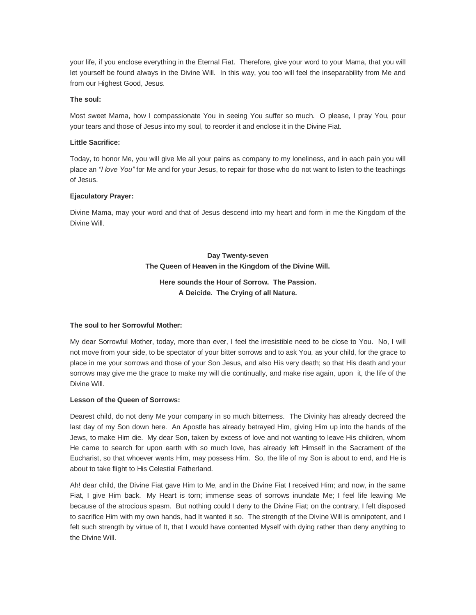your life, if you enclose everything in the Eternal Fiat. Therefore, give your word to your Mama, that you will let yourself be found always in the Divine Will. In this way, you too will feel the inseparability from Me and from our Highest Good, Jesus.

#### **The soul:**

Most sweet Mama, how I compassionate You in seeing You suffer so much. O please, I pray You, pour your tears and those of Jesus into my soul, to reorder it and enclose it in the Divine Fiat.

#### **Little Sacrifice:**

Today, to honor Me, you will give Me all your pains as company to my loneliness, and in each pain you will place an *"I love You"* for Me and for your Jesus, to repair for those who do not want to listen to the teachings of Jesus.

#### **Ejaculatory Prayer:**

Divine Mama, may your word and that of Jesus descend into my heart and form in me the Kingdom of the Divine Will.

## **Day Twenty-seven The Queen of Heaven in the Kingdom of the Divine Will.**

## **Here sounds the Hour of Sorrow. The Passion. A Deicide. The Crying of all Nature.**

#### **The soul to her Sorrowful Mother:**

My dear Sorrowful Mother, today, more than ever, I feel the irresistible need to be close to You. No, I will not move from your side, to be spectator of your bitter sorrows and to ask You, as your child, for the grace to place in me your sorrows and those of your Son Jesus, and also His very death; so that His death and your sorrows may give me the grace to make my will die continually, and make rise again, upon it, the life of the Divine Will.

#### **Lesson of the Queen of Sorrows:**

Dearest child, do not deny Me your company in so much bitterness. The Divinity has already decreed the last day of my Son down here. An Apostle has already betrayed Him, giving Him up into the hands of the Jews, to make Him die. My dear Son, taken by excess of love and not wanting to leave His children, whom He came to search for upon earth with so much love, has already left Himself in the Sacrament of the Eucharist, so that whoever wants Him, may possess Him. So, the life of my Son is about to end, and He is about to take flight to His Celestial Fatherland.

Ah! dear child, the Divine Fiat gave Him to Me, and in the Divine Fiat I received Him; and now, in the same Fiat, I give Him back. My Heart is torn; immense seas of sorrows inundate Me; I feel life leaving Me because of the atrocious spasm. But nothing could I deny to the Divine Fiat; on the contrary, I felt disposed to sacrifice Him with my own hands, had It wanted it so. The strength of the Divine Will is omnipotent, and I felt such strength by virtue of It, that I would have contented Myself with dying rather than deny anything to the Divine Will.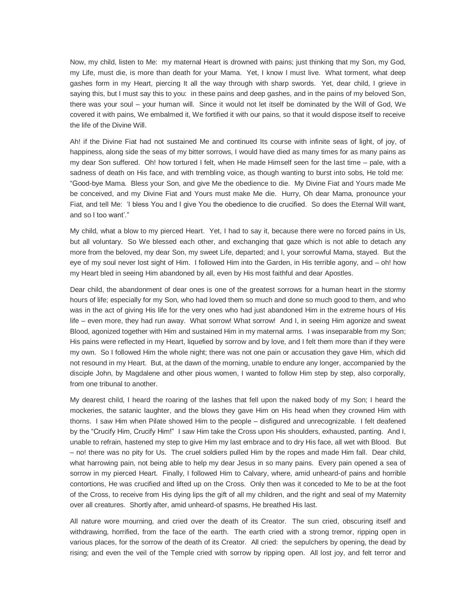Now, my child, listen to Me: my maternal Heart is drowned with pains; just thinking that my Son, my God, my Life, must die, is more than death for your Mama. Yet, I know I must live. What torment, what deep gashes form in my Heart, piercing It all the way through with sharp swords. Yet, dear child, I grieve in saying this, but I must say this to you: in these pains and deep gashes, and in the pains of my beloved Son, there was your soul – your human will. Since it would not let itself be dominated by the Will of God, We covered it with pains, We embalmed it, We fortified it with our pains, so that it would dispose itself to receive the life of the Divine Will.

Ah! if the Divine Fiat had not sustained Me and continued Its course with infinite seas of light, of joy, of happiness, along side the seas of my bitter sorrows, I would have died as many times for as many pains as my dear Son suffered. Oh! how tortured I felt, when He made Himself seen for the last time – pale, with a sadness of death on His face, and with trembling voice, as though wanting to burst into sobs, He told me: "Good-bye Mama. Bless your Son, and give Me the obedience to die. My Divine Fiat and Yours made Me be conceived, and my Divine Fiat and Yours must make Me die. Hurry, Oh dear Mama, pronounce your Fiat, and tell Me: 'I bless You and I give You the obedience to die crucified. So does the Eternal Will want, and so I too want'."

My child, what a blow to my pierced Heart. Yet, I had to say it, because there were no forced pains in Us, but all voluntary. So We blessed each other, and exchanging that gaze which is not able to detach any more from the beloved, my dear Son, my sweet Life, departed; and I, your sorrowful Mama, stayed. But the eye of my soul never lost sight of Him. I followed Him into the Garden, in His terrible agony, and – oh! how my Heart bled in seeing Him abandoned by all, even by His most faithful and dear Apostles.

Dear child, the abandonment of dear ones is one of the greatest sorrows for a human heart in the stormy hours of life; especially for my Son, who had loved them so much and done so much good to them, and who was in the act of giving His life for the very ones who had just abandoned Him in the extreme hours of His life – even more, they had run away. What sorrow! What sorrow! And I, in seeing Him agonize and sweat Blood, agonized together with Him and sustained Him in my maternal arms. I was inseparable from my Son; His pains were reflected in my Heart, liquefied by sorrow and by love, and I felt them more than if they were my own. So I followed Him the whole night; there was not one pain or accusation they gave Him, which did not resound in my Heart. But, at the dawn of the morning, unable to endure any longer, accompanied by the disciple John, by Magdalene and other pious women, I wanted to follow Him step by step, also corporally, from one tribunal to another.

My dearest child, I heard the roaring of the lashes that fell upon the naked body of my Son; I heard the mockeries, the satanic laughter, and the blows they gave Him on His head when they crowned Him with thorns. I saw Him when Pilate showed Him to the people – disfigured and unrecognizable. I felt deafened by the "Crucify Him, Crucify Him!" I saw Him take the Cross upon His shoulders, exhausted, panting. And I, unable to refrain, hastened my step to give Him my last embrace and to dry His face, all wet with Blood. But – no! there was no pity for Us. The cruel soldiers pulled Him by the ropes and made Him fall. Dear child, what harrowing pain, not being able to help my dear Jesus in so many pains. Every pain opened a sea of sorrow in my pierced Heart. Finally, I followed Him to Calvary, where, amid unheard-of pains and horrible contortions, He was crucified and lifted up on the Cross. Only then was it conceded to Me to be at the foot of the Cross, to receive from His dying lips the gift of all my children, and the right and seal of my Maternity over all creatures. Shortly after, amid unheard-of spasms, He breathed His last.

All nature wore mourning, and cried over the death of its Creator. The sun cried, obscuring itself and withdrawing, horrified, from the face of the earth. The earth cried with a strong tremor, ripping open in various places, for the sorrow of the death of its Creator. All cried: the sepulchers by opening, the dead by rising; and even the veil of the Temple cried with sorrow by ripping open. All lost joy, and felt terror and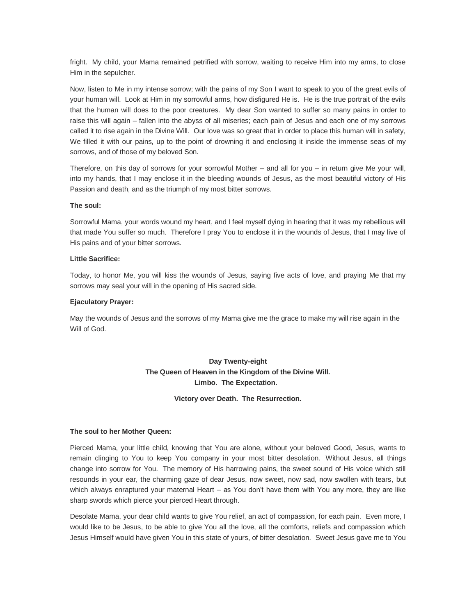fright. My child, your Mama remained petrified with sorrow, waiting to receive Him into my arms, to close Him in the sepulcher.

Now, listen to Me in my intense sorrow; with the pains of my Son I want to speak to you of the great evils of your human will. Look at Him in my sorrowful arms, how disfigured He is. He is the true portrait of the evils that the human will does to the poor creatures. My dear Son wanted to suffer so many pains in order to raise this will again – fallen into the abyss of all miseries; each pain of Jesus and each one of my sorrows called it to rise again in the Divine Will. Our love was so great that in order to place this human will in safety, We filled it with our pains, up to the point of drowning it and enclosing it inside the immense seas of my sorrows, and of those of my beloved Son.

Therefore, on this day of sorrows for your sorrowful Mother – and all for you – in return give Me your will, into my hands, that I may enclose it in the bleeding wounds of Jesus, as the most beautiful victory of His Passion and death, and as the triumph of my most bitter sorrows.

## **The soul:**

Sorrowful Mama, your words wound my heart, and I feel myself dying in hearing that it was my rebellious will that made You suffer so much. Therefore I pray You to enclose it in the wounds of Jesus, that I may live of His pains and of your bitter sorrows.

#### **Little Sacrifice:**

Today, to honor Me, you will kiss the wounds of Jesus, saying five acts of love, and praying Me that my sorrows may seal your will in the opening of His sacred side.

#### **Ejaculatory Prayer:**

May the wounds of Jesus and the sorrows of my Mama give me the grace to make my will rise again in the Will of God.

## **Day Twenty-eight The Queen of Heaven in the Kingdom of the Divine Will. Limbo. The Expectation.**

#### **Victory over Death. The Resurrection.**

### **The soul to her Mother Queen:**

Pierced Mama, your little child, knowing that You are alone, without your beloved Good, Jesus, wants to remain clinging to You to keep You company in your most bitter desolation. Without Jesus, all things change into sorrow for You. The memory of His harrowing pains, the sweet sound of His voice which still resounds in your ear, the charming gaze of dear Jesus, now sweet, now sad, now swollen with tears, but which always enraptured your maternal Heart – as You don't have them with You any more, they are like sharp swords which pierce your pierced Heart through.

Desolate Mama, your dear child wants to give You relief, an act of compassion, for each pain. Even more, I would like to be Jesus, to be able to give You all the love, all the comforts, reliefs and compassion which Jesus Himself would have given You in this state of yours, of bitter desolation. Sweet Jesus gave me to You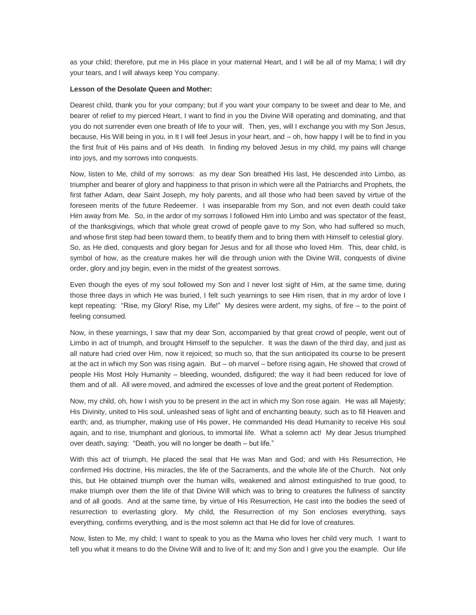as your child; therefore, put me in His place in your maternal Heart, and I will be all of my Mama; I will dry your tears, and I will always keep You company.

## **Lesson of the Desolate Queen and Mother:**

Dearest child, thank you for your company; but if you want your company to be sweet and dear to Me, and bearer of relief to my pierced Heart, I want to find in you the Divine Will operating and dominating, and that you do not surrender even one breath of life to your will. Then, yes, will I exchange you with my Son Jesus, because, His Will being in you, in It I will feel Jesus in your heart, and – oh, how happy I will be to find in you the first fruit of His pains and of His death. In finding my beloved Jesus in my child, my pains will change into joys, and my sorrows into conquests.

Now, listen to Me, child of my sorrows: as my dear Son breathed His last, He descended into Limbo, as triumpher and bearer of glory and happiness to that prison in which were all the Patriarchs and Prophets, the first father Adam, dear Saint Joseph, my holy parents, and all those who had been saved by virtue of the foreseen merits of the future Redeemer. I was inseparable from my Son, and not even death could take Him away from Me. So, in the ardor of my sorrows I followed Him into Limbo and was spectator of the feast, of the thanksgivings, which that whole great crowd of people gave to my Son, who had suffered so much, and whose first step had been toward them, to beatify them and to bring them with Himself to celestial glory. So, as He died, conquests and glory began for Jesus and for all those who loved Him. This, dear child, is symbol of how, as the creature makes her will die through union with the Divine Will, conquests of divine order, glory and joy begin, even in the midst of the greatest sorrows.

Even though the eyes of my soul followed my Son and I never lost sight of Him, at the same time, during those three days in which He was buried, I felt such yearnings to see Him risen, that in my ardor of love I kept repeating: "Rise, my Glory! Rise, my Life!" My desires were ardent, my sighs, of fire – to the point of feeling consumed.

Now, in these yearnings, I saw that my dear Son, accompanied by that great crowd of people, went out of Limbo in act of triumph, and brought Himself to the sepulcher. It was the dawn of the third day, and just as all nature had cried over Him, now it rejoiced; so much so, that the sun anticipated its course to be present at the act in which my Son was rising again. But – oh marvel – before rising again, He showed that crowd of people His Most Holy Humanity – bleeding, wounded, disfigured; the way it had been reduced for love of them and of all. All were moved, and admired the excesses of love and the great portent of Redemption.

Now, my child, oh, how I wish you to be present in the act in which my Son rose again. He was all Majesty; His Divinity, united to His soul, unleashed seas of light and of enchanting beauty, such as to fill Heaven and earth; and, as triumpher, making use of His power, He commanded His dead Humanity to receive His soul again, and to rise, triumphant and glorious, to immortal life. What a solemn act! My dear Jesus triumphed over death, saying: "Death, you will no longer be death – but life."

With this act of triumph, He placed the seal that He was Man and God; and with His Resurrection, He confirmed His doctrine, His miracles, the life of the Sacraments, and the whole life of the Church. Not only this, but He obtained triumph over the human wills, weakened and almost extinguished to true good, to make triumph over them the life of that Divine Will which was to bring to creatures the fullness of sanctity and of all goods. And at the same time, by virtue of His Resurrection, He cast into the bodies the seed of resurrection to everlasting glory. My child, the Resurrection of my Son encloses everything, says everything, confirms everything, and is the most solemn act that He did for love of creatures.

Now, listen to Me, my child; I want to speak to you as the Mama who loves her child very much. I want to tell you what it means to do the Divine Will and to live of It; and my Son and I give you the example. Our life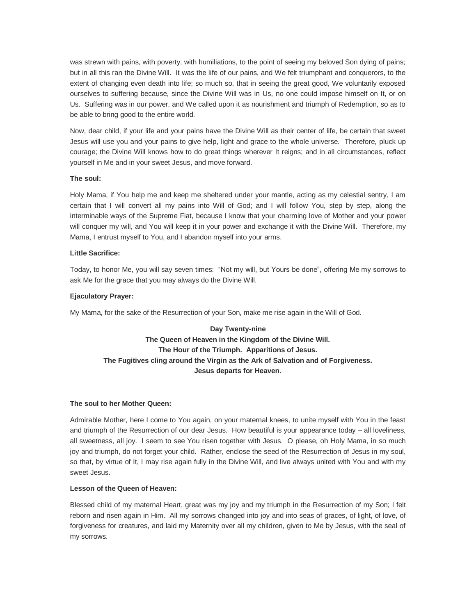was strewn with pains, with poverty, with humiliations, to the point of seeing my beloved Son dying of pains; but in all this ran the Divine Will. It was the life of our pains, and We felt triumphant and conquerors, to the extent of changing even death into life; so much so, that in seeing the great good, We voluntarily exposed ourselves to suffering because, since the Divine Will was in Us, no one could impose himself on It, or on Us. Suffering was in our power, and We called upon it as nourishment and triumph of Redemption, so as to be able to bring good to the entire world.

Now, dear child, if your life and your pains have the Divine Will as their center of life, be certain that sweet Jesus will use you and your pains to give help, light and grace to the whole universe. Therefore, pluck up courage; the Divine Will knows how to do great things wherever It reigns; and in all circumstances, reflect yourself in Me and in your sweet Jesus, and move forward.

## **The soul:**

Holy Mama, if You help me and keep me sheltered under your mantle, acting as my celestial sentry, I am certain that I will convert all my pains into Will of God; and I will follow You, step by step, along the interminable ways of the Supreme Fiat, because I know that your charming love of Mother and your power will conquer my will, and You will keep it in your power and exchange it with the Divine Will. Therefore, my Mama, I entrust myself to You, and I abandon myself into your arms.

## **Little Sacrifice:**

Today, to honor Me, you will say seven times: "Not my will, but Yours be done", offering Me my sorrows to ask Me for the grace that you may always do the Divine Will.

## **Ejaculatory Prayer:**

My Mama, for the sake of the Resurrection of your Son, make me rise again in the Will of God.

## **Day Twenty-nine The Queen of Heaven in the Kingdom of the Divine Will. The Hour of the Triumph. Apparitions of Jesus. The Fugitives cling around the Virgin as the Ark of Salvation and of Forgiveness. Jesus departs for Heaven.**

## **The soul to her Mother Queen:**

Admirable Mother, here I come to You again, on your maternal knees, to unite myself with You in the feast and triumph of the Resurrection of our dear Jesus. How beautiful is your appearance today – all loveliness, all sweetness, all joy. I seem to see You risen together with Jesus. O please, oh Holy Mama, in so much joy and triumph, do not forget your child. Rather, enclose the seed of the Resurrection of Jesus in my soul, so that, by virtue of It, I may rise again fully in the Divine Will, and live always united with You and with my sweet Jesus.

## **Lesson of the Queen of Heaven:**

Blessed child of my maternal Heart, great was my joy and my triumph in the Resurrection of my Son; I felt reborn and risen again in Him. All my sorrows changed into joy and into seas of graces, of light, of love, of forgiveness for creatures, and laid my Maternity over all my children, given to Me by Jesus, with the seal of my sorrows.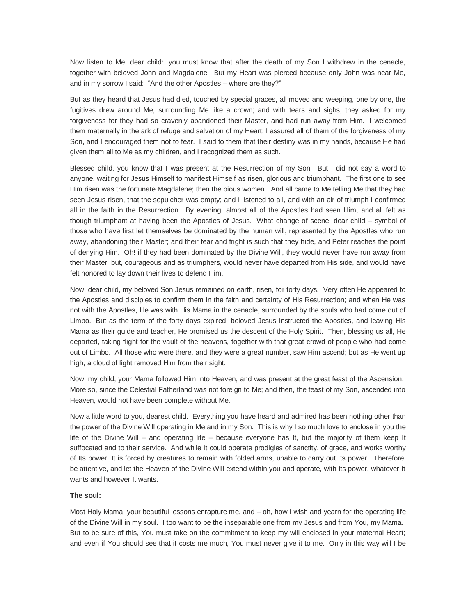Now listen to Me, dear child: you must know that after the death of my Son I withdrew in the cenacle, together with beloved John and Magdalene. But my Heart was pierced because only John was near Me, and in my sorrow I said: "And the other Apostles – where are they?"

But as they heard that Jesus had died, touched by special graces, all moved and weeping, one by one, the fugitives drew around Me, surrounding Me like a crown; and with tears and sighs, they asked for my forgiveness for they had so cravenly abandoned their Master, and had run away from Him. I welcomed them maternally in the ark of refuge and salvation of my Heart; I assured all of them of the forgiveness of my Son, and I encouraged them not to fear. I said to them that their destiny was in my hands, because He had given them all to Me as my children, and I recognized them as such.

Blessed child, you know that I was present at the Resurrection of my Son. But I did not say a word to anyone, waiting for Jesus Himself to manifest Himself as risen, glorious and triumphant. The first one to see Him risen was the fortunate Magdalene; then the pious women. And all came to Me telling Me that they had seen Jesus risen, that the sepulcher was empty; and I listened to all, and with an air of triumph I confirmed all in the faith in the Resurrection. By evening, almost all of the Apostles had seen Him, and all felt as though triumphant at having been the Apostles of Jesus. What change of scene, dear child – symbol of those who have first let themselves be dominated by the human will, represented by the Apostles who run away, abandoning their Master; and their fear and fright is such that they hide, and Peter reaches the point of denying Him. Oh! if they had been dominated by the Divine Will, they would never have run away from their Master, but, courageous and as triumphers, would never have departed from His side, and would have felt honored to lay down their lives to defend Him.

Now, dear child, my beloved Son Jesus remained on earth, risen, for forty days. Very often He appeared to the Apostles and disciples to confirm them in the faith and certainty of His Resurrection; and when He was not with the Apostles, He was with His Mama in the cenacle, surrounded by the souls who had come out of Limbo. But as the term of the forty days expired, beloved Jesus instructed the Apostles, and leaving His Mama as their guide and teacher, He promised us the descent of the Holy Spirit. Then, blessing us all, He departed, taking flight for the vault of the heavens, together with that great crowd of people who had come out of Limbo. All those who were there, and they were a great number, saw Him ascend; but as He went up high, a cloud of light removed Him from their sight.

Now, my child, your Mama followed Him into Heaven, and was present at the great feast of the Ascension. More so, since the Celestial Fatherland was not foreign to Me; and then, the feast of my Son, ascended into Heaven, would not have been complete without Me.

Now a little word to you, dearest child. Everything you have heard and admired has been nothing other than the power of the Divine Will operating in Me and in my Son. This is why I so much love to enclose in you the life of the Divine Will – and operating life – because everyone has It, but the majority of them keep It suffocated and to their service. And while It could operate prodigies of sanctity, of grace, and works worthy of Its power, It is forced by creatures to remain with folded arms, unable to carry out Its power. Therefore, be attentive, and let the Heaven of the Divine Will extend within you and operate, with Its power, whatever It wants and however It wants.

#### **The soul:**

Most Holy Mama, your beautiful lessons enrapture me, and – oh, how I wish and yearn for the operating life of the Divine Will in my soul. I too want to be the inseparable one from my Jesus and from You, my Mama. But to be sure of this, You must take on the commitment to keep my will enclosed in your maternal Heart; and even if You should see that it costs me much, You must never give it to me. Only in this way will I be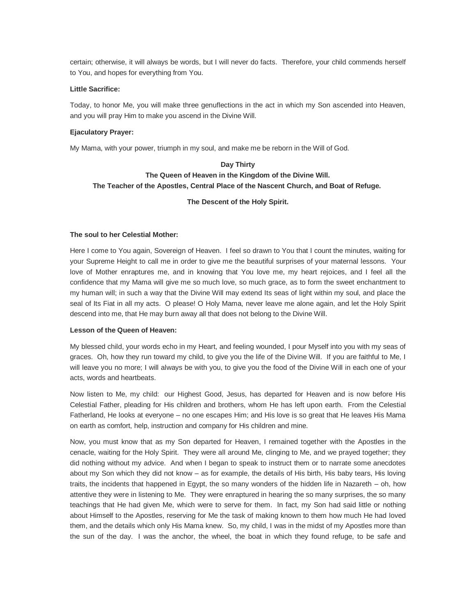certain; otherwise, it will always be words, but I will never do facts. Therefore, your child commends herself to You, and hopes for everything from You.

### **Little Sacrifice:**

Today, to honor Me, you will make three genuflections in the act in which my Son ascended into Heaven, and you will pray Him to make you ascend in the Divine Will.

#### **Ejaculatory Prayer:**

My Mama, with your power, triumph in my soul, and make me be reborn in the Will of God.

## **Day Thirty The Queen of Heaven in the Kingdom of the Divine Will. The Teacher of the Apostles, Central Place of the Nascent Church, and Boat of Refuge.**

#### **The Descent of the Holy Spirit.**

## **The soul to her Celestial Mother:**

Here I come to You again, Sovereign of Heaven. I feel so drawn to You that I count the minutes, waiting for your Supreme Height to call me in order to give me the beautiful surprises of your maternal lessons. Your love of Mother enraptures me, and in knowing that You love me, my heart rejoices, and I feel all the confidence that my Mama will give me so much love, so much grace, as to form the sweet enchantment to my human will; in such a way that the Divine Will may extend Its seas of light within my soul, and place the seal of Its Fiat in all my acts. O please! O Holy Mama, never leave me alone again, and let the Holy Spirit descend into me, that He may burn away all that does not belong to the Divine Will.

#### **Lesson of the Queen of Heaven:**

My blessed child, your words echo in my Heart, and feeling wounded, I pour Myself into you with my seas of graces. Oh, how they run toward my child, to give you the life of the Divine Will. If you are faithful to Me, I will leave you no more; I will always be with you, to give you the food of the Divine Will in each one of your acts, words and heartbeats.

Now listen to Me, my child: our Highest Good, Jesus, has departed for Heaven and is now before His Celestial Father, pleading for His children and brothers, whom He has left upon earth. From the Celestial Fatherland, He looks at everyone – no one escapes Him; and His love is so great that He leaves His Mama on earth as comfort, help, instruction and company for His children and mine.

Now, you must know that as my Son departed for Heaven, I remained together with the Apostles in the cenacle, waiting for the Holy Spirit. They were all around Me, clinging to Me, and we prayed together; they did nothing without my advice. And when I began to speak to instruct them or to narrate some anecdotes about my Son which they did not know – as for example, the details of His birth, His baby tears, His loving traits, the incidents that happened in Egypt, the so many wonders of the hidden life in Nazareth – oh, how attentive they were in listening to Me. They were enraptured in hearing the so many surprises, the so many teachings that He had given Me, which were to serve for them. In fact, my Son had said little or nothing about Himself to the Apostles, reserving for Me the task of making known to them how much He had loved them, and the details which only His Mama knew. So, my child, I was in the midst of my Apostles more than the sun of the day. I was the anchor, the wheel, the boat in which they found refuge, to be safe and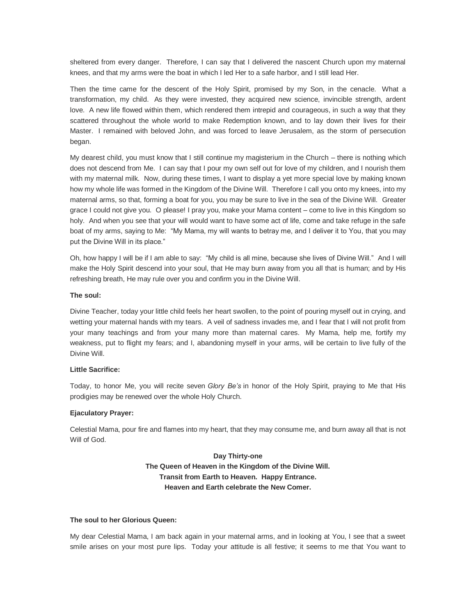sheltered from every danger. Therefore, I can say that I delivered the nascent Church upon my maternal knees, and that my arms were the boat in which I led Her to a safe harbor, and I still lead Her.

Then the time came for the descent of the Holy Spirit, promised by my Son, in the cenacle. What a transformation, my child. As they were invested, they acquired new science, invincible strength, ardent love. A new life flowed within them, which rendered them intrepid and courageous, in such a way that they scattered throughout the whole world to make Redemption known, and to lay down their lives for their Master. I remained with beloved John, and was forced to leave Jerusalem, as the storm of persecution began.

My dearest child, you must know that I still continue my magisterium in the Church – there is nothing which does not descend from Me. I can say that I pour my own self out for love of my children, and I nourish them with my maternal milk. Now, during these times, I want to display a yet more special love by making known how my whole life was formed in the Kingdom of the Divine Will. Therefore I call you onto my knees, into my maternal arms, so that, forming a boat for you, you may be sure to live in the sea of the Divine Will. Greater grace I could not give you. O please! I pray you, make your Mama content – come to live in this Kingdom so holy. And when you see that your will would want to have some act of life, come and take refuge in the safe boat of my arms, saying to Me: "My Mama, my will wants to betray me, and I deliver it to You, that you may put the Divine Will in its place."

Oh, how happy I will be if I am able to say: "My child is all mine, because she lives of Divine Will." And I will make the Holy Spirit descend into your soul, that He may burn away from you all that is human; and by His refreshing breath, He may rule over you and confirm you in the Divine Will.

### **The soul:**

Divine Teacher, today your little child feels her heart swollen, to the point of pouring myself out in crying, and wetting your maternal hands with my tears. A veil of sadness invades me, and I fear that I will not profit from your many teachings and from your many more than maternal cares. My Mama, help me, fortify my weakness, put to flight my fears; and I, abandoning myself in your arms, will be certain to live fully of the Divine Will.

## **Little Sacrifice:**

Today, to honor Me, you will recite seven *Glory Be's* in honor of the Holy Spirit, praying to Me that His prodigies may be renewed over the whole Holy Church.

### **Ejaculatory Prayer:**

Celestial Mama, pour fire and flames into my heart, that they may consume me, and burn away all that is not Will of God.

> **Day Thirty-one The Queen of Heaven in the Kingdom of the Divine Will. Transit from Earth to Heaven. Happy Entrance. Heaven and Earth celebrate the New Comer.**

#### **The soul to her Glorious Queen:**

My dear Celestial Mama, I am back again in your maternal arms, and in looking at You, I see that a sweet smile arises on your most pure lips. Today your attitude is all festive; it seems to me that You want to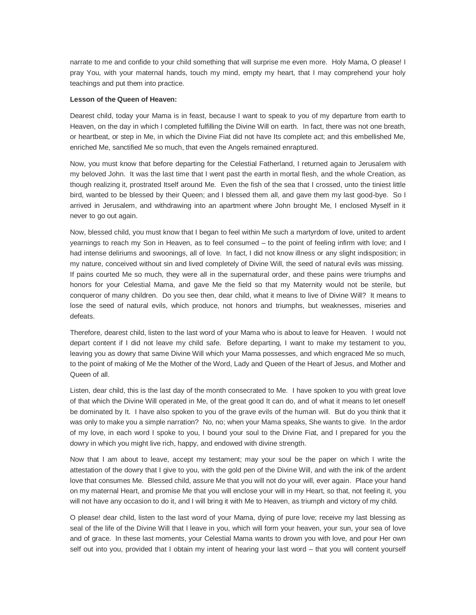narrate to me and confide to your child something that will surprise me even more. Holy Mama, O please! I pray You, with your maternal hands, touch my mind, empty my heart, that I may comprehend your holy teachings and put them into practice.

#### **Lesson of the Queen of Heaven:**

Dearest child, today your Mama is in feast, because I want to speak to you of my departure from earth to Heaven, on the day in which I completed fulfilling the Divine Will on earth. In fact, there was not one breath, or heartbeat, or step in Me, in which the Divine Fiat did not have Its complete act; and this embellished Me, enriched Me, sanctified Me so much, that even the Angels remained enraptured.

Now, you must know that before departing for the Celestial Fatherland, I returned again to Jerusalem with my beloved John. It was the last time that I went past the earth in mortal flesh, and the whole Creation, as though realizing it, prostrated Itself around Me. Even the fish of the sea that I crossed, unto the tiniest little bird, wanted to be blessed by their Queen; and I blessed them all, and gave them my last good-bye. So I arrived in Jerusalem, and withdrawing into an apartment where John brought Me, I enclosed Myself in it never to go out again.

Now, blessed child, you must know that I began to feel within Me such a martyrdom of love, united to ardent yearnings to reach my Son in Heaven, as to feel consumed – to the point of feeling infirm with love; and I had intense deliriums and swoonings, all of love. In fact, I did not know illness or any slight indisposition; in my nature, conceived without sin and lived completely of Divine Will, the seed of natural evils was missing. If pains courted Me so much, they were all in the supernatural order, and these pains were triumphs and honors for your Celestial Mama, and gave Me the field so that my Maternity would not be sterile, but conqueror of many children. Do you see then, dear child, what it means to live of Divine Will? It means to lose the seed of natural evils, which produce, not honors and triumphs, but weaknesses, miseries and defeats.

Therefore, dearest child, listen to the last word of your Mama who is about to leave for Heaven. I would not depart content if I did not leave my child safe. Before departing, I want to make my testament to you, leaving you as dowry that same Divine Will which your Mama possesses, and which engraced Me so much, to the point of making of Me the Mother of the Word, Lady and Queen of the Heart of Jesus, and Mother and Queen of all.

Listen, dear child, this is the last day of the month consecrated to Me. I have spoken to you with great love of that which the Divine Will operated in Me, of the great good It can do, and of what it means to let oneself be dominated by It. I have also spoken to you of the grave evils of the human will. But do you think that it was only to make you a simple narration? No, no; when your Mama speaks, She wants to give. In the ardor of my love, in each word I spoke to you, I bound your soul to the Divine Fiat, and I prepared for you the dowry in which you might live rich, happy, and endowed with divine strength.

Now that I am about to leave, accept my testament; may your soul be the paper on which I write the attestation of the dowry that I give to you, with the gold pen of the Divine Will, and with the ink of the ardent love that consumes Me. Blessed child, assure Me that you will not do your will, ever again. Place your hand on my maternal Heart, and promise Me that you will enclose your will in my Heart, so that, not feeling it, you will not have any occasion to do it, and I will bring it with Me to Heaven, as triumph and victory of my child.

O please! dear child, listen to the last word of your Mama, dying of pure love; receive my last blessing as seal of the life of the Divine Will that I leave in you, which will form your heaven, your sun, your sea of love and of grace. In these last moments, your Celestial Mama wants to drown you with love, and pour Her own self out into you, provided that I obtain my intent of hearing your last word – that you will content yourself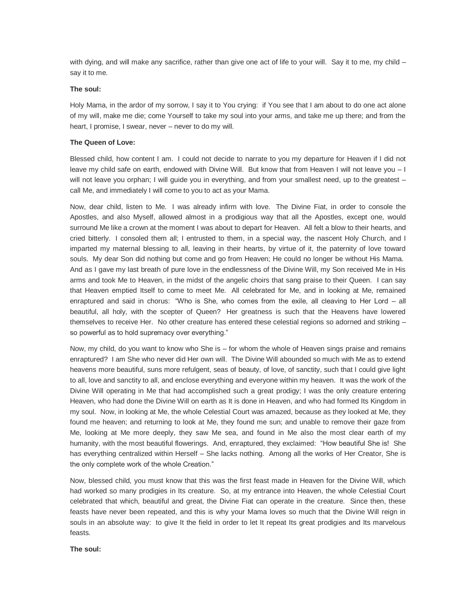with dying, and will make any sacrifice, rather than give one act of life to your will. Say it to me, my child – say it to me.

## **The soul:**

Holy Mama, in the ardor of my sorrow, I say it to You crying: if You see that I am about to do one act alone of my will, make me die; come Yourself to take my soul into your arms, and take me up there; and from the heart, I promise, I swear, never – never to do my will.

#### **The Queen of Love:**

Blessed child, how content I am. I could not decide to narrate to you my departure for Heaven if I did not leave my child safe on earth, endowed with Divine Will. But know that from Heaven I will not leave you – I will not leave you orphan; I will guide you in everything, and from your smallest need, up to the greatest call Me, and immediately I will come to you to act as your Mama.

Now, dear child, listen to Me. I was already infirm with love. The Divine Fiat, in order to console the Apostles, and also Myself, allowed almost in a prodigious way that all the Apostles, except one, would surround Me like a crown at the moment I was about to depart for Heaven. All felt a blow to their hearts, and cried bitterly. I consoled them all; I entrusted to them, in a special way, the nascent Holy Church, and I imparted my maternal blessing to all, leaving in their hearts, by virtue of it, the paternity of love toward souls. My dear Son did nothing but come and go from Heaven; He could no longer be without His Mama. And as I gave my last breath of pure love in the endlessness of the Divine Will, my Son received Me in His arms and took Me to Heaven, in the midst of the angelic choirs that sang praise to their Queen. I can say that Heaven emptied Itself to come to meet Me. All celebrated for Me, and in looking at Me, remained enraptured and said in chorus: "Who is She, who comes from the exile, all cleaving to Her Lord – all beautiful, all holy, with the scepter of Queen? Her greatness is such that the Heavens have lowered themselves to receive Her. No other creature has entered these celestial regions so adorned and striking – so powerful as to hold supremacy over everything."

Now, my child, do you want to know who She is – for whom the whole of Heaven sings praise and remains enraptured? I am She who never did Her own will. The Divine Will abounded so much with Me as to extend heavens more beautiful, suns more refulgent, seas of beauty, of love, of sanctity, such that I could give light to all, love and sanctity to all, and enclose everything and everyone within my heaven. It was the work of the Divine Will operating in Me that had accomplished such a great prodigy; I was the only creature entering Heaven, who had done the Divine Will on earth as It is done in Heaven, and who had formed Its Kingdom in my soul. Now, in looking at Me, the whole Celestial Court was amazed, because as they looked at Me, they found me heaven; and returning to look at Me, they found me sun; and unable to remove their gaze from Me, looking at Me more deeply, they saw Me sea, and found in Me also the most clear earth of my humanity, with the most beautiful flowerings. And, enraptured, they exclaimed: "How beautiful She is! She has everything centralized within Herself – She lacks nothing. Among all the works of Her Creator, She is the only complete work of the whole Creation."

Now, blessed child, you must know that this was the first feast made in Heaven for the Divine Will, which had worked so many prodigies in Its creature. So, at my entrance into Heaven, the whole Celestial Court celebrated that which, beautiful and great, the Divine Fiat can operate in the creature. Since then, these feasts have never been repeated, and this is why your Mama loves so much that the Divine Will reign in souls in an absolute way: to give It the field in order to let It repeat Its great prodigies and Its marvelous feasts.

#### **The soul:**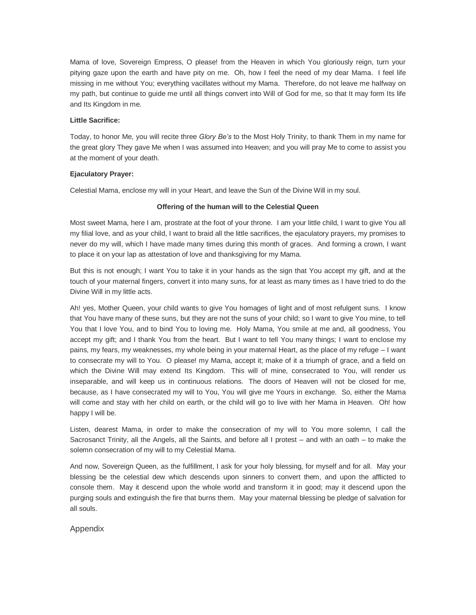Mama of love, Sovereign Empress, O please! from the Heaven in which You gloriously reign, turn your pitying gaze upon the earth and have pity on me. Oh, how I feel the need of my dear Mama. I feel life missing in me without You; everything vacillates without my Mama. Therefore, do not leave me halfway on my path, but continue to guide me until all things convert into Will of God for me, so that It may form Its life and Its Kingdom in me.

### **Little Sacrifice:**

Today, to honor Me, you will recite three *Glory Be's* to the Most Holy Trinity, to thank Them in my name for the great glory They gave Me when I was assumed into Heaven; and you will pray Me to come to assist you at the moment of your death.

#### **Ejaculatory Prayer:**

Celestial Mama, enclose my will in your Heart, and leave the Sun of the Divine Will in my soul.

#### **Offering of the human will to the Celestial Queen**

Most sweet Mama, here I am, prostrate at the foot of your throne. I am your little child, I want to give You all my filial love, and as your child, I want to braid all the little sacrifices, the ejaculatory prayers, my promises to never do my will, which I have made many times during this month of graces. And forming a crown, I want to place it on your lap as attestation of love and thanksgiving for my Mama.

But this is not enough; I want You to take it in your hands as the sign that You accept my gift, and at the touch of your maternal fingers, convert it into many suns, for at least as many times as I have tried to do the Divine Will in my little acts.

Ah! yes, Mother Queen, your child wants to give You homages of light and of most refulgent suns. I know that You have many of these suns, but they are not the suns of your child; so I want to give You mine, to tell You that I love You, and to bind You to loving me. Holy Mama, You smile at me and, all goodness, You accept my gift; and I thank You from the heart. But I want to tell You many things; I want to enclose my pains, my fears, my weaknesses, my whole being in your maternal Heart, as the place of my refuge – I want to consecrate my will to You. O please! my Mama, accept it; make of it a triumph of grace, and a field on which the Divine Will may extend Its Kingdom. This will of mine, consecrated to You, will render us inseparable, and will keep us in continuous relations. The doors of Heaven will not be closed for me, because, as I have consecrated my will to You, You will give me Yours in exchange. So, either the Mama will come and stay with her child on earth, or the child will go to live with her Mama in Heaven. Oh! how happy I will be.

Listen, dearest Mama, in order to make the consecration of my will to You more solemn, I call the Sacrosanct Trinity, all the Angels, all the Saints, and before all I protest – and with an oath – to make the solemn consecration of my will to my Celestial Mama.

And now, Sovereign Queen, as the fulfillment, I ask for your holy blessing, for myself and for all. May your blessing be the celestial dew which descends upon sinners to convert them, and upon the afflicted to console them. May it descend upon the whole world and transform it in good; may it descend upon the purging souls and extinguish the fire that burns them. May your maternal blessing be pledge of salvation for all souls.

Appendix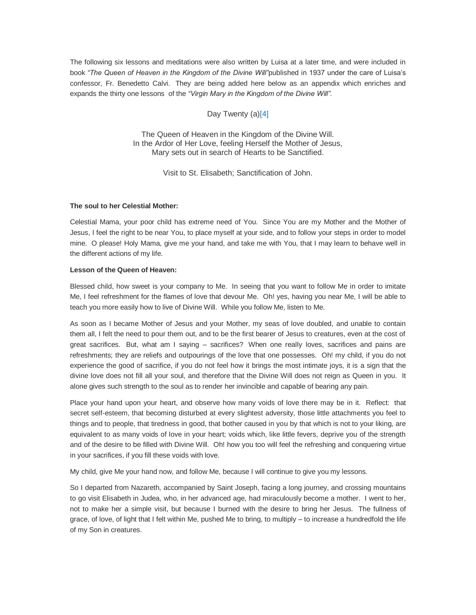The following six lessons and meditations were also written by Luisa at a later time, and were included in book *"The Queen of Heaven in the Kingdom of the Divine Will"*published in 1937 under the care of Luisa's confessor, Fr. Benedetto Calvi. They are being added here below as an appendix which enriches and expands the thirty one lessons of the *"Virgin Mary in the Kingdom of the Divine Will".*

Day Twenty (a[\)\[4\]](http://divinewill.org/virgin_mary_in_the_kingdom_of_the.htm#_ftn4)

The Queen of Heaven in the Kingdom of the Divine Will. In the Ardor of Her Love, feeling Herself the Mother of Jesus, Mary sets out in search of Hearts to be Sanctified.

Visit to St. Elisabeth; Sanctification of John.

## **The soul to her Celestial Mother:**

Celestial Mama, your poor child has extreme need of You. Since You are my Mother and the Mother of Jesus, I feel the right to be near You, to place myself at your side, and to follow your steps in order to model mine. O please! Holy Mama, give me your hand, and take me with You, that I may learn to behave well in the different actions of my life.

#### **Lesson of the Queen of Heaven:**

Blessed child, how sweet is your company to Me. In seeing that you want to follow Me in order to imitate Me, I feel refreshment for the flames of love that devour Me. Oh! yes, having you near Me, I will be able to teach you more easily how to live of Divine Will. While you follow Me, listen to Me.

As soon as I became Mother of Jesus and your Mother, my seas of love doubled, and unable to contain them all, I felt the need to pour them out, and to be the first bearer of Jesus to creatures, even at the cost of great sacrifices. But, what am I saying – sacrifices? When one really loves, sacrifices and pains are refreshments; they are reliefs and outpourings of the love that one possesses. Oh! my child, if you do not experience the good of sacrifice, if you do not feel how it brings the most intimate joys, it is a sign that the divine love does not fill all your soul, and therefore that the Divine Will does not reign as Queen in you. It alone gives such strength to the soul as to render her invincible and capable of bearing any pain.

Place your hand upon your heart, and observe how many voids of love there may be in it. Reflect: that secret self-esteem, that becoming disturbed at every slightest adversity, those little attachments you feel to things and to people, that tiredness in good, that bother caused in you by that which is not to your liking, are equivalent to as many voids of love in your heart; voids which, like little fevers, deprive you of the strength and of the desire to be filled with Divine Will. Oh! how you too will feel the refreshing and conquering virtue in your sacrifices, if you fill these voids with love.

My child, give Me your hand now, and follow Me, because I will continue to give you my lessons.

So I departed from Nazareth, accompanied by Saint Joseph, facing a long journey, and crossing mountains to go visit Elisabeth in Judea, who, in her advanced age, had miraculously become a mother. I went to her, not to make her a simple visit, but because I burned with the desire to bring her Jesus. The fullness of grace, of love, of light that I felt within Me, pushed Me to bring, to multiply – to increase a hundredfold the life of my Son in creatures.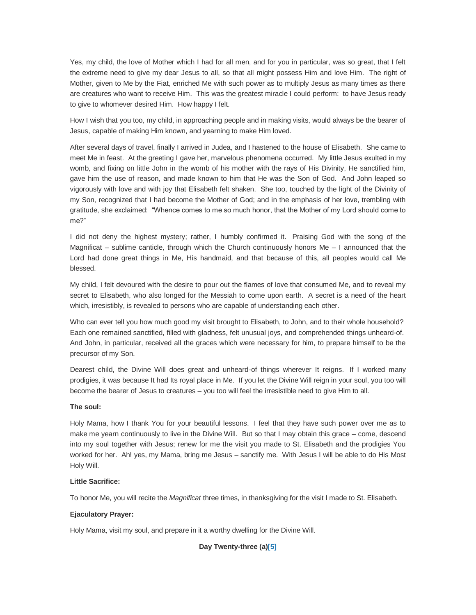Yes, my child, the love of Mother which I had for all men, and for you in particular, was so great, that I felt the extreme need to give my dear Jesus to all, so that all might possess Him and love Him. The right of Mother, given to Me by the Fiat, enriched Me with such power as to multiply Jesus as many times as there are creatures who want to receive Him. This was the greatest miracle I could perform: to have Jesus ready to give to whomever desired Him. How happy I felt.

How I wish that you too, my child, in approaching people and in making visits, would always be the bearer of Jesus, capable of making Him known, and yearning to make Him loved.

After several days of travel, finally I arrived in Judea, and I hastened to the house of Elisabeth. She came to meet Me in feast. At the greeting I gave her, marvelous phenomena occurred. My little Jesus exulted in my womb, and fixing on little John in the womb of his mother with the rays of His Divinity, He sanctified him, gave him the use of reason, and made known to him that He was the Son of God. And John leaped so vigorously with love and with joy that Elisabeth felt shaken. She too, touched by the light of the Divinity of my Son, recognized that I had become the Mother of God; and in the emphasis of her love, trembling with gratitude, she exclaimed: "Whence comes to me so much honor, that the Mother of my Lord should come to me?"

I did not deny the highest mystery; rather, I humbly confirmed it. Praising God with the song of the Magnificat – sublime canticle, through which the Church continuously honors Me – I announced that the Lord had done great things in Me, His handmaid, and that because of this, all peoples would call Me blessed.

My child, I felt devoured with the desire to pour out the flames of love that consumed Me, and to reveal my secret to Elisabeth, who also longed for the Messiah to come upon earth. A secret is a need of the heart which, irresistibly, is revealed to persons who are capable of understanding each other.

Who can ever tell you how much good my visit brought to Elisabeth, to John, and to their whole household? Each one remained sanctified, filled with gladness, felt unusual joys, and comprehended things unheard-of. And John, in particular, received all the graces which were necessary for him, to prepare himself to be the precursor of my Son.

Dearest child, the Divine Will does great and unheard-of things wherever It reigns. If I worked many prodigies, it was because It had Its royal place in Me. If you let the Divine Will reign in your soul, you too will become the bearer of Jesus to creatures – you too will feel the irresistible need to give Him to all.

## **The soul:**

Holy Mama, how I thank You for your beautiful lessons. I feel that they have such power over me as to make me yearn continuously to live in the Divine Will. But so that I may obtain this grace – come, descend into my soul together with Jesus; renew for me the visit you made to St. Elisabeth and the prodigies You worked for her. Ah! yes, my Mama, bring me Jesus – sanctify me. With Jesus I will be able to do His Most Holy Will.

## **Little Sacrifice:**

To honor Me, you will recite the *Magnificat* three times, in thanksgiving for the visit I made to St. Elisabeth.

## **Ejaculatory Prayer:**

Holy Mama, visit my soul, and prepare in it a worthy dwelling for the Divine Will.

## **Day Twenty-three (a[\)\[5\]](http://divinewill.org/virgin_mary_in_the_kingdom_of_the.htm#_ftn5)**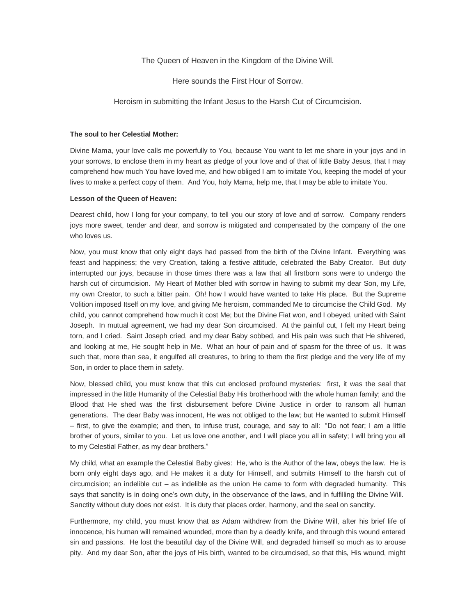The Queen of Heaven in the Kingdom of the Divine Will.

Here sounds the First Hour of Sorrow.

Heroism in submitting the Infant Jesus to the Harsh Cut of Circumcision.

## **The soul to her Celestial Mother:**

Divine Mama, your love calls me powerfully to You, because You want to let me share in your joys and in your sorrows, to enclose them in my heart as pledge of your love and of that of little Baby Jesus, that I may comprehend how much You have loved me, and how obliged I am to imitate You, keeping the model of your lives to make a perfect copy of them. And You, holy Mama, help me, that I may be able to imitate You.

## **Lesson of the Queen of Heaven:**

Dearest child, how I long for your company, to tell you our story of love and of sorrow. Company renders joys more sweet, tender and dear, and sorrow is mitigated and compensated by the company of the one who loves us.

Now, you must know that only eight days had passed from the birth of the Divine Infant. Everything was feast and happiness; the very Creation, taking a festive attitude, celebrated the Baby Creator. But duty interrupted our joys, because in those times there was a law that all firstborn sons were to undergo the harsh cut of circumcision. My Heart of Mother bled with sorrow in having to submit my dear Son, my Life, my own Creator, to such a bitter pain. Oh! how I would have wanted to take His place. But the Supreme Volition imposed Itself on my love, and giving Me heroism, commanded Me to circumcise the Child God. My child, you cannot comprehend how much it cost Me; but the Divine Fiat won, and I obeyed, united with Saint Joseph. In mutual agreement, we had my dear Son circumcised. At the painful cut, I felt my Heart being torn, and I cried. Saint Joseph cried, and my dear Baby sobbed, and His pain was such that He shivered, and looking at me, He sought help in Me. What an hour of pain and of spasm for the three of us. It was such that, more than sea, it engulfed all creatures, to bring to them the first pledge and the very life of my Son, in order to place them in safety.

Now, blessed child, you must know that this cut enclosed profound mysteries: first, it was the seal that impressed in the little Humanity of the Celestial Baby His brotherhood with the whole human family; and the Blood that He shed was the first disbursement before Divine Justice in order to ransom all human generations. The dear Baby was innocent, He was not obliged to the law; but He wanted to submit Himself – first, to give the example; and then, to infuse trust, courage, and say to all: "Do not fear; I am a little brother of yours, similar to you. Let us love one another, and I will place you all in safety; I will bring you all to my Celestial Father, as my dear brothers."

My child, what an example the Celestial Baby gives: He, who is the Author of the law, obeys the law. He is born only eight days ago, and He makes it a duty for Himself, and submits Himself to the harsh cut of circumcision; an indelible cut – as indelible as the union He came to form with degraded humanity. This says that sanctity is in doing one's own duty, in the observance of the laws, and in fulfilling the Divine Will. Sanctity without duty does not exist. It is duty that places order, harmony, and the seal on sanctity.

Furthermore, my child, you must know that as Adam withdrew from the Divine Will, after his brief life of innocence, his human will remained wounded, more than by a deadly knife, and through this wound entered sin and passions. He lost the beautiful day of the Divine Will, and degraded himself so much as to arouse pity. And my dear Son, after the joys of His birth, wanted to be circumcised, so that this, His wound, might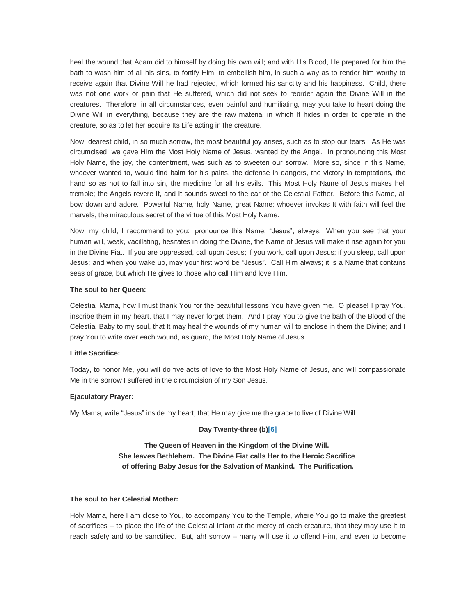heal the wound that Adam did to himself by doing his own will; and with His Blood, He prepared for him the bath to wash him of all his sins, to fortify Him, to embellish him, in such a way as to render him worthy to receive again that Divine Will he had rejected, which formed his sanctity and his happiness. Child, there was not one work or pain that He suffered, which did not seek to reorder again the Divine Will in the creatures. Therefore, in all circumstances, even painful and humiliating, may you take to heart doing the Divine Will in everything, because they are the raw material in which It hides in order to operate in the creature, so as to let her acquire Its Life acting in the creature.

Now, dearest child, in so much sorrow, the most beautiful joy arises, such as to stop our tears. As He was circumcised, we gave Him the Most Holy Name of Jesus, wanted by the Angel. In pronouncing this Most Holy Name, the joy, the contentment, was such as to sweeten our sorrow. More so, since in this Name, whoever wanted to, would find balm for his pains, the defense in dangers, the victory in temptations, the hand so as not to fall into sin, the medicine for all his evils. This Most Holy Name of Jesus makes hell tremble; the Angels revere It, and It sounds sweet to the ear of the Celestial Father. Before this Name, all bow down and adore. Powerful Name, holy Name, great Name; whoever invokes It with faith will feel the marvels, the miraculous secret of the virtue of this Most Holy Name.

Now, my child, I recommend to you: pronounce this Name, "Jesus", always. When you see that your human will, weak, vacillating, hesitates in doing the Divine, the Name of Jesus will make it rise again for you in the Divine Fiat. If you are oppressed, call upon Jesus; if you work, call upon Jesus; if you sleep, call upon Jesus; and when you wake up, may your first word be "Jesus". Call Him always; it is a Name that contains seas of grace, but which He gives to those who call Him and love Him.

#### **The soul to her Queen:**

Celestial Mama, how I must thank You for the beautiful lessons You have given me. O please! I pray You, inscribe them in my heart, that I may never forget them. And I pray You to give the bath of the Blood of the Celestial Baby to my soul, that It may heal the wounds of my human will to enclose in them the Divine; and I pray You to write over each wound, as guard, the Most Holy Name of Jesus.

#### **Little Sacrifice:**

Today, to honor Me, you will do five acts of love to the Most Holy Name of Jesus, and will compassionate Me in the sorrow I suffered in the circumcision of my Son Jesus.

## **Ejaculatory Prayer:**

My Mama, write "Jesus" inside my heart, that He may give me the grace to live of Divine Will.

## **Day Twenty-three (b[\)\[6\]](http://divinewill.org/virgin_mary_in_the_kingdom_of_the.htm#_ftn6)**

## **The Queen of Heaven in the Kingdom of the Divine Will. She leaves Bethlehem. The Divine Fiat calls Her to the Heroic Sacrifice of offering Baby Jesus for the Salvation of Mankind. The Purification.**

## **The soul to her Celestial Mother:**

Holy Mama, here I am close to You, to accompany You to the Temple, where You go to make the greatest of sacrifices – to place the life of the Celestial Infant at the mercy of each creature, that they may use it to reach safety and to be sanctified. But, ah! sorrow – many will use it to offend Him, and even to become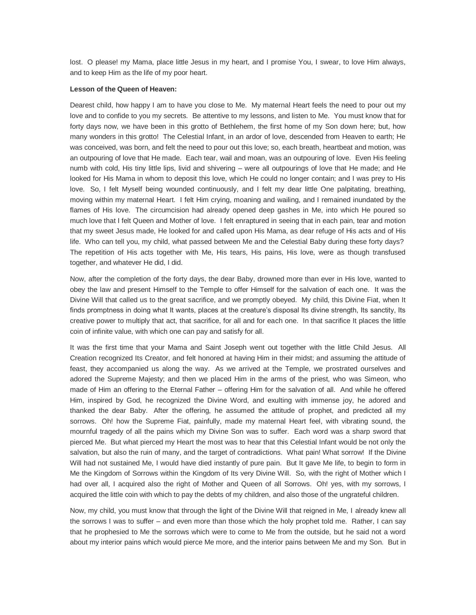lost. O please! my Mama, place little Jesus in my heart, and I promise You, I swear, to love Him always, and to keep Him as the life of my poor heart.

## **Lesson of the Queen of Heaven:**

Dearest child, how happy I am to have you close to Me. My maternal Heart feels the need to pour out my love and to confide to you my secrets. Be attentive to my lessons, and listen to Me. You must know that for forty days now, we have been in this grotto of Bethlehem, the first home of my Son down here; but, how many wonders in this grotto! The Celestial Infant, in an ardor of love, descended from Heaven to earth; He was conceived, was born, and felt the need to pour out this love; so, each breath, heartbeat and motion, was an outpouring of love that He made. Each tear, wail and moan, was an outpouring of love. Even His feeling numb with cold, His tiny little lips, livid and shivering – were all outpourings of love that He made; and He looked for His Mama in whom to deposit this love, which He could no longer contain; and I was prey to His love. So, I felt Myself being wounded continuously, and I felt my dear little One palpitating, breathing, moving within my maternal Heart. I felt Him crying, moaning and wailing, and I remained inundated by the flames of His love. The circumcision had already opened deep gashes in Me, into which He poured so much love that I felt Queen and Mother of love. I felt enraptured in seeing that in each pain, tear and motion that my sweet Jesus made, He looked for and called upon His Mama, as dear refuge of His acts and of His life. Who can tell you, my child, what passed between Me and the Celestial Baby during these forty days? The repetition of His acts together with Me, His tears, His pains, His love, were as though transfused together, and whatever He did, I did.

Now, after the completion of the forty days, the dear Baby, drowned more than ever in His love, wanted to obey the law and present Himself to the Temple to offer Himself for the salvation of each one. It was the Divine Will that called us to the great sacrifice, and we promptly obeyed. My child, this Divine Fiat, when It finds promptness in doing what It wants, places at the creature's disposal Its divine strength, Its sanctity, Its creative power to multiply that act, that sacrifice, for all and for each one. In that sacrifice It places the little coin of infinite value, with which one can pay and satisfy for all.

It was the first time that your Mama and Saint Joseph went out together with the little Child Jesus. All Creation recognized Its Creator, and felt honored at having Him in their midst; and assuming the attitude of feast, they accompanied us along the way. As we arrived at the Temple, we prostrated ourselves and adored the Supreme Majesty; and then we placed Him in the arms of the priest, who was Simeon, who made of Him an offering to the Eternal Father – offering Him for the salvation of all. And while he offered Him, inspired by God, he recognized the Divine Word, and exulting with immense joy, he adored and thanked the dear Baby. After the offering, he assumed the attitude of prophet, and predicted all my sorrows. Oh! how the Supreme Fiat, painfully, made my maternal Heart feel, with vibrating sound, the mournful tragedy of all the pains which my Divine Son was to suffer. Each word was a sharp sword that pierced Me. But what pierced my Heart the most was to hear that this Celestial Infant would be not only the salvation, but also the ruin of many, and the target of contradictions. What pain! What sorrow! If the Divine Will had not sustained Me, I would have died instantly of pure pain. But It gave Me life, to begin to form in Me the Kingdom of Sorrows within the Kingdom of Its very Divine Will. So, with the right of Mother which I had over all, I acquired also the right of Mother and Queen of all Sorrows. Oh! yes, with my sorrows, I acquired the little coin with which to pay the debts of my children, and also those of the ungrateful children.

Now, my child, you must know that through the light of the Divine Will that reigned in Me, I already knew all the sorrows I was to suffer – and even more than those which the holy prophet told me. Rather, I can say that he prophesied to Me the sorrows which were to come to Me from the outside, but he said not a word about my interior pains which would pierce Me more, and the interior pains between Me and my Son. But in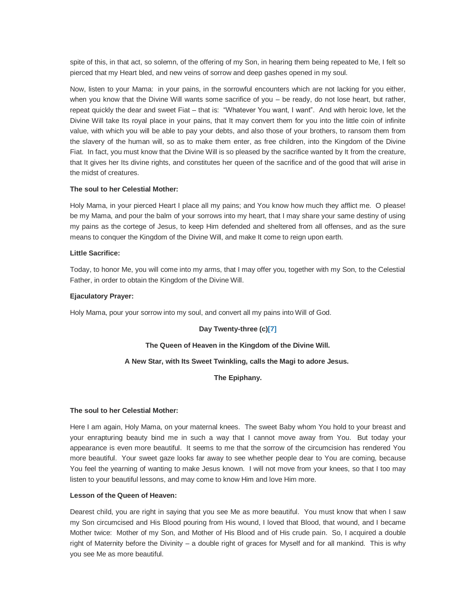spite of this, in that act, so solemn, of the offering of my Son, in hearing them being repeated to Me, I felt so pierced that my Heart bled, and new veins of sorrow and deep gashes opened in my soul.

Now, listen to your Mama: in your pains, in the sorrowful encounters which are not lacking for you either, when you know that the Divine Will wants some sacrifice of you – be ready, do not lose heart, but rather, repeat quickly the dear and sweet Fiat – that is: "Whatever You want, I want". And with heroic love, let the Divine Will take Its royal place in your pains, that It may convert them for you into the little coin of infinite value, with which you will be able to pay your debts, and also those of your brothers, to ransom them from the slavery of the human will, so as to make them enter, as free children, into the Kingdom of the Divine Fiat. In fact, you must know that the Divine Will is so pleased by the sacrifice wanted by It from the creature, that It gives her Its divine rights, and constitutes her queen of the sacrifice and of the good that will arise in the midst of creatures.

## **The soul to her Celestial Mother:**

Holy Mama, in your pierced Heart I place all my pains; and You know how much they afflict me. O please! be my Mama, and pour the balm of your sorrows into my heart, that I may share your same destiny of using my pains as the cortege of Jesus, to keep Him defended and sheltered from all offenses, and as the sure means to conquer the Kingdom of the Divine Will, and make It come to reign upon earth.

## **Little Sacrifice:**

Today, to honor Me, you will come into my arms, that I may offer you, together with my Son, to the Celestial Father, in order to obtain the Kingdom of the Divine Will.

#### **Ejaculatory Prayer:**

Holy Mama, pour your sorrow into my soul, and convert all my pains into Will of God.

## **Day Twenty-three (c[\)\[7\]](http://divinewill.org/virgin_mary_in_the_kingdom_of_the.htm#_ftn7)**

## **The Queen of Heaven in the Kingdom of the Divine Will.**

#### **A New Star, with Its Sweet Twinkling, calls the Magi to adore Jesus.**

**The Epiphany.**

## **The soul to her Celestial Mother:**

Here I am again, Holy Mama, on your maternal knees. The sweet Baby whom You hold to your breast and your enrapturing beauty bind me in such a way that I cannot move away from You. But today your appearance is even more beautiful. It seems to me that the sorrow of the circumcision has rendered You more beautiful. Your sweet gaze looks far away to see whether people dear to You are coming, because You feel the yearning of wanting to make Jesus known. I will not move from your knees, so that I too may listen to your beautiful lessons, and may come to know Him and love Him more.

## **Lesson of the Queen of Heaven:**

Dearest child, you are right in saying that you see Me as more beautiful. You must know that when I saw my Son circumcised and His Blood pouring from His wound, I loved that Blood, that wound, and I became Mother twice: Mother of my Son, and Mother of His Blood and of His crude pain. So, I acquired a double right of Maternity before the Divinity – a double right of graces for Myself and for all mankind. This is why you see Me as more beautiful.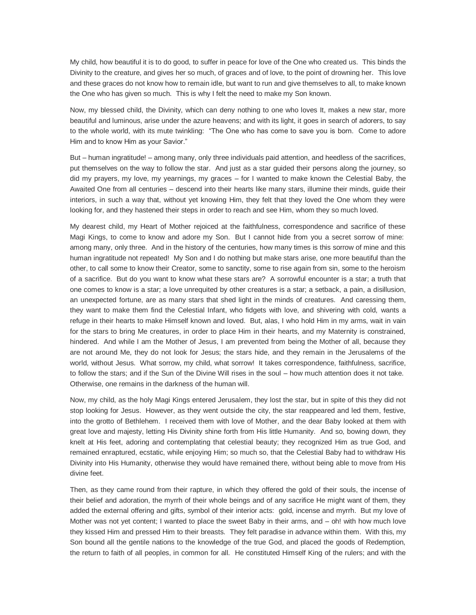My child, how beautiful it is to do good, to suffer in peace for love of the One who created us. This binds the Divinity to the creature, and gives her so much, of graces and of love, to the point of drowning her. This love and these graces do not know how to remain idle, but want to run and give themselves to all, to make known the One who has given so much. This is why I felt the need to make my Son known.

Now, my blessed child, the Divinity, which can deny nothing to one who loves It, makes a new star, more beautiful and luminous, arise under the azure heavens; and with its light, it goes in search of adorers, to say to the whole world, with its mute twinkling: "The One who has come to save you is born. Come to adore Him and to know Him as your Savior."

But – human ingratitude! – among many, only three individuals paid attention, and heedless of the sacrifices, put themselves on the way to follow the star. And just as a star guided their persons along the journey, so did my prayers, my love, my yearnings, my graces – for I wanted to make known the Celestial Baby, the Awaited One from all centuries – descend into their hearts like many stars, illumine their minds, guide their interiors, in such a way that, without yet knowing Him, they felt that they loved the One whom they were looking for, and they hastened their steps in order to reach and see Him, whom they so much loved.

My dearest child, my Heart of Mother rejoiced at the faithfulness, correspondence and sacrifice of these Magi Kings, to come to know and adore my Son. But I cannot hide from you a secret sorrow of mine: among many, only three. And in the history of the centuries, how many times is this sorrow of mine and this human ingratitude not repeated! My Son and I do nothing but make stars arise, one more beautiful than the other, to call some to know their Creator, some to sanctity, some to rise again from sin, some to the heroism of a sacrifice. But do you want to know what these stars are? A sorrowful encounter is a star; a truth that one comes to know is a star; a love unrequited by other creatures is a star; a setback, a pain, a disillusion, an unexpected fortune, are as many stars that shed light in the minds of creatures. And caressing them, they want to make them find the Celestial Infant, who fidgets with love, and shivering with cold, wants a refuge in their hearts to make Himself known and loved. But, alas, I who hold Him in my arms, wait in vain for the stars to bring Me creatures, in order to place Him in their hearts, and my Maternity is constrained, hindered. And while I am the Mother of Jesus, I am prevented from being the Mother of all, because they are not around Me, they do not look for Jesus; the stars hide, and they remain in the Jerusalems of the world, without Jesus. What sorrow, my child, what sorrow! It takes correspondence, faithfulness, sacrifice, to follow the stars; and if the Sun of the Divine Will rises in the soul – how much attention does it not take. Otherwise, one remains in the darkness of the human will.

Now, my child, as the holy Magi Kings entered Jerusalem, they lost the star, but in spite of this they did not stop looking for Jesus. However, as they went outside the city, the star reappeared and led them, festive, into the grotto of Bethlehem. I received them with love of Mother, and the dear Baby looked at them with great love and majesty, letting His Divinity shine forth from His little Humanity. And so, bowing down, they knelt at His feet, adoring and contemplating that celestial beauty; they recognized Him as true God, and remained enraptured, ecstatic, while enjoying Him; so much so, that the Celestial Baby had to withdraw His Divinity into His Humanity, otherwise they would have remained there, without being able to move from His divine feet.

Then, as they came round from their rapture, in which they offered the gold of their souls, the incense of their belief and adoration, the myrrh of their whole beings and of any sacrifice He might want of them, they added the external offering and gifts, symbol of their interior acts: gold, incense and myrrh. But my love of Mother was not yet content; I wanted to place the sweet Baby in their arms, and – oh! with how much love they kissed Him and pressed Him to their breasts. They felt paradise in advance within them. With this, my Son bound all the gentile nations to the knowledge of the true God, and placed the goods of Redemption, the return to faith of all peoples, in common for all. He constituted Himself King of the rulers; and with the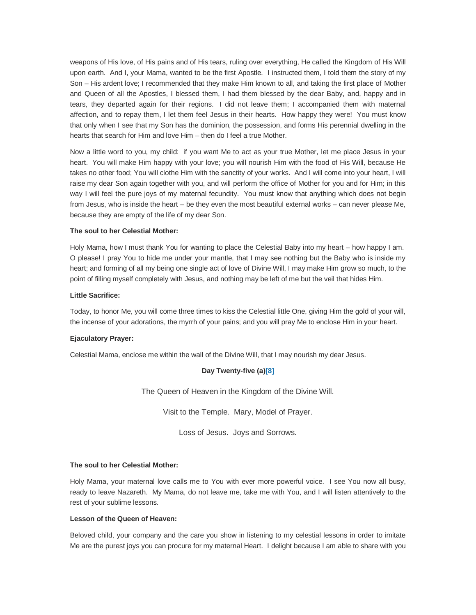weapons of His love, of His pains and of His tears, ruling over everything, He called the Kingdom of His Will upon earth. And I, your Mama, wanted to be the first Apostle. I instructed them, I told them the story of my Son – His ardent love; I recommended that they make Him known to all, and taking the first place of Mother and Queen of all the Apostles, I blessed them, I had them blessed by the dear Baby, and, happy and in tears, they departed again for their regions. I did not leave them; I accompanied them with maternal affection, and to repay them, I let them feel Jesus in their hearts. How happy they were! You must know that only when I see that my Son has the dominion, the possession, and forms His perennial dwelling in the hearts that search for Him and love Him – then do I feel a true Mother.

Now a little word to you, my child: if you want Me to act as your true Mother, let me place Jesus in your heart. You will make Him happy with your love; you will nourish Him with the food of His Will, because He takes no other food; You will clothe Him with the sanctity of your works. And I will come into your heart, I will raise my dear Son again together with you, and will perform the office of Mother for you and for Him; in this way I will feel the pure joys of my maternal fecundity. You must know that anything which does not begin from Jesus, who is inside the heart – be they even the most beautiful external works – can never please Me, because they are empty of the life of my dear Son.

#### **The soul to her Celestial Mother:**

Holy Mama, how I must thank You for wanting to place the Celestial Baby into my heart – how happy I am. O please! I pray You to hide me under your mantle, that I may see nothing but the Baby who is inside my heart; and forming of all my being one single act of love of Divine Will, I may make Him grow so much, to the point of filling myself completely with Jesus, and nothing may be left of me but the veil that hides Him.

#### **Little Sacrifice:**

Today, to honor Me, you will come three times to kiss the Celestial little One, giving Him the gold of your will, the incense of your adorations, the myrrh of your pains; and you will pray Me to enclose Him in your heart.

#### **Ejaculatory Prayer:**

Celestial Mama, enclose me within the wall of the Divine Will, that I may nourish my dear Jesus.

#### **Day Twenty-five (a[\)\[8\]](http://divinewill.org/virgin_mary_in_the_kingdom_of_the.htm#_ftn8)**

The Queen of Heaven in the Kingdom of the Divine Will.

Visit to the Temple. Mary, Model of Prayer.

Loss of Jesus. Joys and Sorrows.

#### **The soul to her Celestial Mother:**

Holy Mama, your maternal love calls me to You with ever more powerful voice. I see You now all busy, ready to leave Nazareth. My Mama, do not leave me, take me with You, and I will listen attentively to the rest of your sublime lessons.

#### **Lesson of the Queen of Heaven:**

Beloved child, your company and the care you show in listening to my celestial lessons in order to imitate Me are the purest joys you can procure for my maternal Heart. I delight because I am able to share with you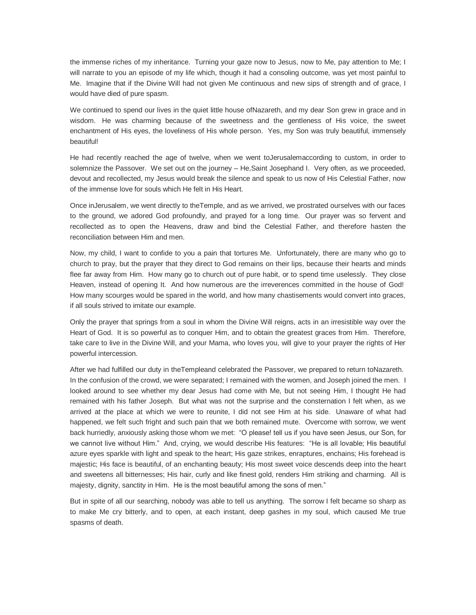the immense riches of my inheritance. Turning your gaze now to Jesus, now to Me, pay attention to Me; I will narrate to you an episode of my life which, though it had a consoling outcome, was yet most painful to Me. Imagine that if the Divine Will had not given Me continuous and new sips of strength and of grace, I would have died of pure spasm.

We continued to spend our lives in the quiet little house of Nazareth, and my dear Son grew in grace and in wisdom. He was charming because of the sweetness and the gentleness of His voice, the sweet enchantment of His eyes, the loveliness of His whole person. Yes, my Son was truly beautiful, immensely beautiful!

He had recently reached the age of twelve, when we went toJerusalemaccording to custom, in order to solemnize the Passover. We set out on the journey – He,Saint Josephand I. Very often, as we proceeded, devout and recollected, my Jesus would break the silence and speak to us now of His Celestial Father, now of the immense love for souls which He felt in His Heart.

Once inJerusalem, we went directly to theTemple, and as we arrived, we prostrated ourselves with our faces to the ground, we adored God profoundly, and prayed for a long time. Our prayer was so fervent and recollected as to open the Heavens, draw and bind the Celestial Father, and therefore hasten the reconciliation between Him and men.

Now, my child, I want to confide to you a pain that tortures Me. Unfortunately, there are many who go to church to pray, but the prayer that they direct to God remains on their lips, because their hearts and minds flee far away from Him. How many go to church out of pure habit, or to spend time uselessly. They close Heaven, instead of opening It. And how numerous are the irreverences committed in the house of God! How many scourges would be spared in the world, and how many chastisements would convert into graces, if all souls strived to imitate our example.

Only the prayer that springs from a soul in whom the Divine Will reigns, acts in an irresistible way over the Heart of God. It is so powerful as to conquer Him, and to obtain the greatest graces from Him. Therefore, take care to live in the Divine Will, and your Mama, who loves you, will give to your prayer the rights of Her powerful intercession.

After we had fulfilled our duty in theTempleand celebrated the Passover, we prepared to return toNazareth. In the confusion of the crowd, we were separated; I remained with the women, and Joseph joined the men. I looked around to see whether my dear Jesus had come with Me, but not seeing Him, I thought He had remained with his father Joseph. But what was not the surprise and the consternation I felt when, as we arrived at the place at which we were to reunite, I did not see Him at his side. Unaware of what had happened, we felt such fright and such pain that we both remained mute. Overcome with sorrow, we went back hurriedly, anxiously asking those whom we met: "O please! tell us if you have seen Jesus, our Son, for we cannot live without Him." And, crying, we would describe His features: "He is all lovable; His beautiful azure eyes sparkle with light and speak to the heart; His gaze strikes, enraptures, enchains; His forehead is majestic; His face is beautiful, of an enchanting beauty; His most sweet voice descends deep into the heart and sweetens all bitternesses; His hair, curly and like finest gold, renders Him striking and charming. All is majesty, dignity, sanctity in Him. He is the most beautiful among the sons of men."

But in spite of all our searching, nobody was able to tell us anything. The sorrow I felt became so sharp as to make Me cry bitterly, and to open, at each instant, deep gashes in my soul, which caused Me true spasms of death.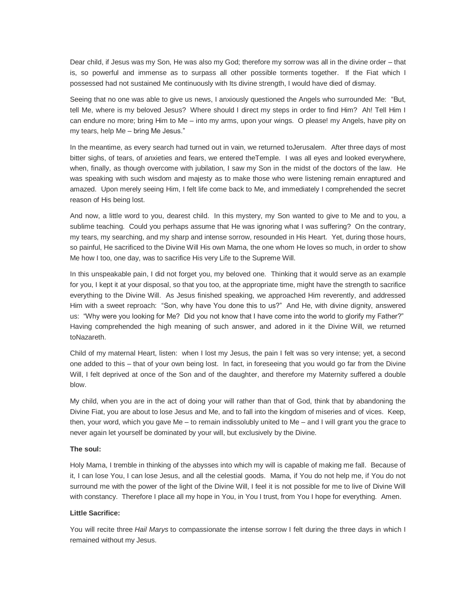Dear child, if Jesus was my Son, He was also my God; therefore my sorrow was all in the divine order – that is, so powerful and immense as to surpass all other possible torments together. If the Fiat which I possessed had not sustained Me continuously with Its divine strength, I would have died of dismay.

Seeing that no one was able to give us news, I anxiously questioned the Angels who surrounded Me: "But, tell Me, where is my beloved Jesus? Where should I direct my steps in order to find Him? Ah! Tell Him I can endure no more; bring Him to Me – into my arms, upon your wings. O please! my Angels, have pity on my tears, help Me – bring Me Jesus."

In the meantime, as every search had turned out in vain, we returned toJerusalem. After three days of most bitter sighs, of tears, of anxieties and fears, we entered theTemple. I was all eyes and looked everywhere, when, finally, as though overcome with jubilation, I saw my Son in the midst of the doctors of the law. He was speaking with such wisdom and majesty as to make those who were listening remain enraptured and amazed. Upon merely seeing Him, I felt life come back to Me, and immediately I comprehended the secret reason of His being lost.

And now, a little word to you, dearest child. In this mystery, my Son wanted to give to Me and to you, a sublime teaching. Could you perhaps assume that He was ignoring what I was suffering? On the contrary, my tears, my searching, and my sharp and intense sorrow, resounded in His Heart. Yet, during those hours, so painful, He sacrificed to the Divine Will His own Mama, the one whom He loves so much, in order to show Me how I too, one day, was to sacrifice His very Life to the Supreme Will.

In this unspeakable pain, I did not forget you, my beloved one. Thinking that it would serve as an example for you, I kept it at your disposal, so that you too, at the appropriate time, might have the strength to sacrifice everything to the Divine Will. As Jesus finished speaking, we approached Him reverently, and addressed Him with a sweet reproach: "Son, why have You done this to us?" And He, with divine dignity, answered us: "Why were you looking for Me? Did you not know that I have come into the world to glorify my Father?" Having comprehended the high meaning of such answer, and adored in it the Divine Will, we returned toNazareth.

Child of my maternal Heart, listen: when I lost my Jesus, the pain I felt was so very intense; yet, a second one added to this – that of your own being lost. In fact, in foreseeing that you would go far from the Divine Will, I felt deprived at once of the Son and of the daughter, and therefore my Maternity suffered a double blow.

My child, when you are in the act of doing your will rather than that of God, think that by abandoning the Divine Fiat, you are about to lose Jesus and Me, and to fall into the kingdom of miseries and of vices. Keep, then, your word, which you gave Me – to remain indissolubly united to Me – and I will grant you the grace to never again let yourself be dominated by your will, but exclusively by the Divine.

## **The soul:**

Holy Mama, I tremble in thinking of the abysses into which my will is capable of making me fall. Because of it, I can lose You, I can lose Jesus, and all the celestial goods. Mama, if You do not help me, if You do not surround me with the power of the light of the Divine Will, I feel it is not possible for me to live of Divine Will with constancy. Therefore I place all my hope in You, in You I trust, from You I hope for everything. Amen.

## **Little Sacrifice:**

You will recite three *Hail Marys* to compassionate the intense sorrow I felt during the three days in which I remained without my Jesus.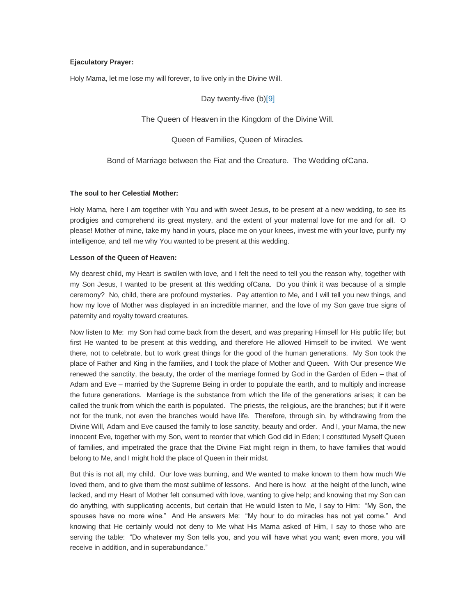## **Ejaculatory Prayer:**

Holy Mama, let me lose my will forever, to live only in the Divine Will.

Day twenty-five (b[\)\[9\]](http://divinewill.org/virgin_mary_in_the_kingdom_of_the.htm#_ftn9)

The Queen of Heaven in the Kingdom of the Divine Will.

Queen of Families, Queen of Miracles.

Bond of Marriage between the Fiat and the Creature. The Wedding ofCana.

## **The soul to her Celestial Mother:**

Holy Mama, here I am together with You and with sweet Jesus, to be present at a new wedding, to see its prodigies and comprehend its great mystery, and the extent of your maternal love for me and for all. O please! Mother of mine, take my hand in yours, place me on your knees, invest me with your love, purify my intelligence, and tell me why You wanted to be present at this wedding.

#### **Lesson of the Queen of Heaven:**

My dearest child, my Heart is swollen with love, and I felt the need to tell you the reason why, together with my Son Jesus, I wanted to be present at this wedding ofCana. Do you think it was because of a simple ceremony? No, child, there are profound mysteries. Pay attention to Me, and I will tell you new things, and how my love of Mother was displayed in an incredible manner, and the love of my Son gave true signs of paternity and royalty toward creatures.

Now listen to Me: my Son had come back from the desert, and was preparing Himself for His public life; but first He wanted to be present at this wedding, and therefore He allowed Himself to be invited. We went there, not to celebrate, but to work great things for the good of the human generations. My Son took the place of Father and King in the families, and I took the place of Mother and Queen. With Our presence We renewed the sanctity, the beauty, the order of the marriage formed by God in the Garden of Eden – that of Adam and Eve – married by the Supreme Being in order to populate the earth, and to multiply and increase the future generations. Marriage is the substance from which the life of the generations arises; it can be called the trunk from which the earth is populated. The priests, the religious, are the branches; but if it were not for the trunk, not even the branches would have life. Therefore, through sin, by withdrawing from the Divine Will, Adam and Eve caused the family to lose sanctity, beauty and order. And I, your Mama, the new innocent Eve, together with my Son, went to reorder that which God did in Eden; I constituted Myself Queen of families, and impetrated the grace that the Divine Fiat might reign in them, to have families that would belong to Me, and I might hold the place of Queen in their midst.

But this is not all, my child. Our love was burning, and We wanted to make known to them how much We loved them, and to give them the most sublime of lessons. And here is how: at the height of the lunch, wine lacked, and my Heart of Mother felt consumed with love, wanting to give help; and knowing that my Son can do anything, with supplicating accents, but certain that He would listen to Me, I say to Him: "My Son, the spouses have no more wine." And He answers Me: "My hour to do miracles has not yet come." And knowing that He certainly would not deny to Me what His Mama asked of Him, I say to those who are serving the table: "Do whatever my Son tells you, and you will have what you want; even more, you will receive in addition, and in superabundance."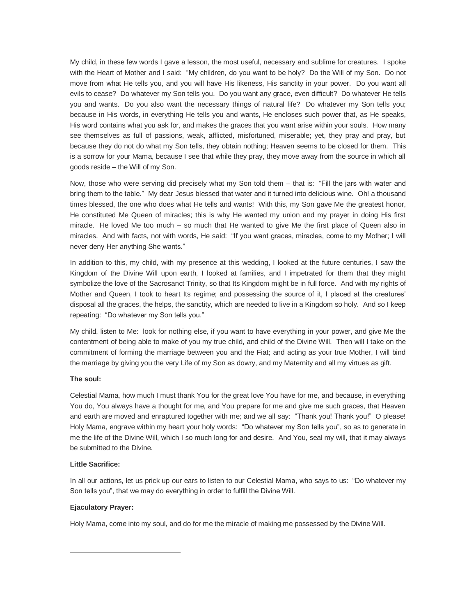My child, in these few words I gave a lesson, the most useful, necessary and sublime for creatures. I spoke with the Heart of Mother and I said: "My children, do you want to be holy? Do the Will of my Son. Do not move from what He tells you, and you will have His likeness, His sanctity in your power. Do you want all evils to cease? Do whatever my Son tells you. Do you want any grace, even difficult? Do whatever He tells you and wants. Do you also want the necessary things of natural life? Do whatever my Son tells you; because in His words, in everything He tells you and wants, He encloses such power that, as He speaks, His word contains what you ask for, and makes the graces that you want arise within your souls. How many see themselves as full of passions, weak, afflicted, misfortuned, miserable; yet, they pray and pray, but because they do not do what my Son tells, they obtain nothing; Heaven seems to be closed for them. This is a sorrow for your Mama, because I see that while they pray, they move away from the source in which all goods reside – the Will of my Son.

Now, those who were serving did precisely what my Son told them – that is: "Fill the jars with water and bring them to the table." My dear Jesus blessed that water and it turned into delicious wine. Oh! a thousand times blessed, the one who does what He tells and wants! With this, my Son gave Me the greatest honor, He constituted Me Queen of miracles; this is why He wanted my union and my prayer in doing His first miracle. He loved Me too much – so much that He wanted to give Me the first place of Queen also in miracles. And with facts, not with words, He said: "If you want graces, miracles, come to my Mother; I will never deny Her anything She wants."

In addition to this, my child, with my presence at this wedding, I looked at the future centuries, I saw the Kingdom of the Divine Will upon earth, I looked at families, and I impetrated for them that they might symbolize the love of the Sacrosanct Trinity, so that Its Kingdom might be in full force. And with my rights of Mother and Queen, I took to heart Its regime; and possessing the source of it, I placed at the creatures' disposal all the graces, the helps, the sanctity, which are needed to live in a Kingdom so holy. And so I keep repeating: "Do whatever my Son tells you."

My child, listen to Me: look for nothing else, if you want to have everything in your power, and give Me the contentment of being able to make of you my true child, and child of the Divine Will. Then will I take on the commitment of forming the marriage between you and the Fiat; and acting as your true Mother, I will bind the marriage by giving you the very Life of my Son as dowry, and my Maternity and all my virtues as gift.

## **The soul:**

Celestial Mama, how much I must thank You for the great love You have for me, and because, in everything You do, You always have a thought for me, and You prepare for me and give me such graces, that Heaven and earth are moved and enraptured together with me; and we all say: "Thank you! Thank you!" O please! Holy Mama, engrave within my heart your holy words: "Do whatever my Son tells you", so as to generate in me the life of the Divine Will, which I so much long for and desire. And You, seal my will, that it may always be submitted to the Divine.

## **Little Sacrifice:**

In all our actions, let us prick up our ears to listen to our Celestial Mama, who says to us: "Do whatever my Son tells you", that we may do everything in order to fulfill the Divine Will.

## **Ejaculatory Prayer:**

Holy Mama, come into my soul, and do for me the miracle of making me possessed by the Divine Will.